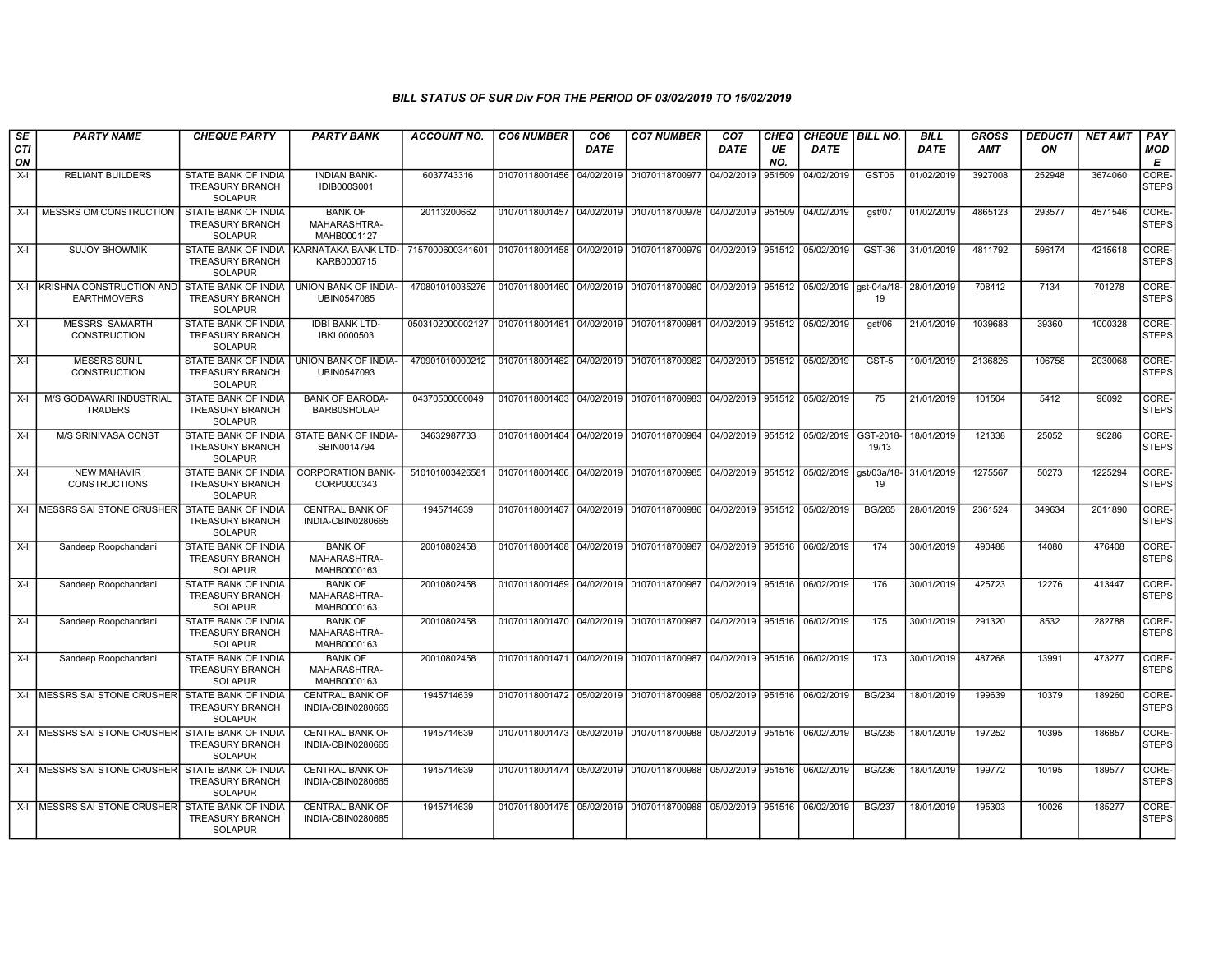| SE               | <b>PARTY NAME</b>                                     | <b>CHEQUE PARTY</b>                                                    | <b>PARTY BANK</b>                                   | <b>ACCOUNT NO.</b> | <b>CO6 NUMBER</b>         | CO <sub>6</sub> | <b>CO7 NUMBER</b>                                                           | CO <sub>7</sub>              | CHEQ      | <b>CHEQUE   BILL NO.</b> |                   | <b>BILL</b> | <b>GROSS</b> | <i><b>DEDUCTI</b></i> | NET AMT | <b>PAY</b>                  |
|------------------|-------------------------------------------------------|------------------------------------------------------------------------|-----------------------------------------------------|--------------------|---------------------------|-----------------|-----------------------------------------------------------------------------|------------------------------|-----------|--------------------------|-------------------|-------------|--------------|-----------------------|---------|-----------------------------|
| <b>CTI</b><br>ON |                                                       |                                                                        |                                                     |                    |                           | <b>DATE</b>     |                                                                             | <b>DATE</b>                  | UE<br>NO. | <b>DATE</b>              |                   | <b>DATE</b> | AMT          | ON                    |         | <b>MOD</b><br>Е             |
| $X-I$            | <b>RELIANT BUILDERS</b>                               | <b>STATE BANK OF INDIA</b><br><b>TREASURY BRANCH</b><br>SOLAPUR        | <b>INDIAN BANK-</b><br><b>IDIB000S001</b>           | 6037743316         | 01070118001456            | 04/02/2019      | 01070118700977                                                              | 04/02/2019                   | 951509    | 04/02/2019               | GST <sub>06</sub> | 01/02/2019  | 3927008      | 252948                | 3674060 | <b>CORE</b><br><b>STEPS</b> |
| $X-I$            | MESSRS OM CONSTRUCTION                                | STATE BANK OF INDIA<br><b>TREASURY BRANCH</b><br>SOLAPUR               | <b>BANK OF</b><br>MAHARASHTRA-<br>MAHB0001127       | 20113200662        | 01070118001457            | 04/02/2019      | 01070118700978 04/02/2019                                                   |                              | 951509    | 04/02/2019               | gst/07            | 01/02/2019  | 4865123      | 293577                | 4571546 | <b>CORE</b><br><b>STEPS</b> |
| $X-I$            | <b>SUJOY BHOWMIK</b>                                  | STATE BANK OF INDIA<br><b>TREASURY BRANCH</b><br><b>SOLAPUR</b>        | KARNATAKA BANK LTD- 7157000600341601<br>KARB0000715 |                    | 01070118001458            | 04/02/2019      | 01070118700979 04/02/2019                                                   |                              | 951512    | 05/02/2019               | <b>GST-36</b>     | 31/01/2019  | 4811792      | 596174                | 4215618 | CORE-<br><b>STEPS</b>       |
| $X-I$            | <b>KRISHNA CONSTRUCTION AND</b><br><b>EARTHMOVERS</b> | STATE BANK OF INDIA<br><b>TREASURY BRANCH</b><br><b>SOLAPUR</b>        | UNION BANK OF INDIA-<br>UBIN0547085                 | 470801010035276    | 01070118001460            | 04/02/2019      | 01070118700980                                                              | 04/02/2019 951512            |           | 05/02/2019               | ast-04a/18-<br>19 | 28/01/2019  | 708412       | 7134                  | 701278  | CORE-<br>STEPS              |
| $X-I$            | <b>MESSRS SAMARTH</b><br><b>CONSTRUCTION</b>          | <b>STATE BANK OF INDIA</b><br><b>TREASURY BRANCH</b><br><b>SOLAPUR</b> | <b>IDBI BANK LTD-</b><br>IBKL0000503                | 0503102000002127   | 01070118001461 04/02/2019 |                 | 01070118700981                                                              | 04/02/2019 951512            |           | 05/02/2019               | qst/06            | 21/01/2019  | 1039688      | 39360                 | 1000328 | CORE-<br>STEPS              |
| $X-I$            | <b>MESSRS SUNIL</b><br><b>CONSTRUCTION</b>            | STATE BANK OF INDIA<br><b>TREASURY BRANCH</b><br><b>SOLAPUR</b>        | UNION BANK OF INDIA-<br>UBIN0547093                 | 470901010000212    | 01070118001462 04/02/2019 |                 | 01070118700982 04/02/2019 951512 05/02/2019                                 |                              |           |                          | GST-5             | 10/01/2019  | 2136826      | 106758                | 2030068 | CORE-<br><b>STEPS</b>       |
| $X-I$            | M/S GODAWARI INDUSTRIAL<br><b>TRADERS</b>             | STATE BANK OF INDIA<br><b>TREASURY BRANCH</b><br><b>SOLAPUR</b>        | <b>BANK OF BARODA-</b><br><b>BARB0SHOLAP</b>        | 04370500000049     | 01070118001463            | 04/02/2019      | 01070118700983                                                              | 04/02/2019 951512 05/02/2019 |           |                          | 75                | 21/01/2019  | 101504       | 5412                  | 96092   | CORE-<br>STEPS              |
| $X-I$            | <b>M/S SRINIVASA CONST</b>                            | <b>STATE BANK OF INDIA</b><br><b>TREASURY BRANCH</b><br><b>SOLAPUR</b> | STATE BANK OF INDIA-<br>SBIN0014794                 | 34632987733        |                           |                 | 01070118001464 04/02/2019 01070118700984 04/02/2019 951512 05/02/2019       |                              |           |                          | GST-2018<br>19/13 | 18/01/2019  | 121338       | 25052                 | 96286   | CORE-<br><b>STEPS</b>       |
| X-I              | <b>NEW MAHAVIR</b><br><b>CONSTRUCTIONS</b>            | STATE BANK OF INDIA<br><b>TREASURY BRANCH</b><br><b>SOLAPUR</b>        | <b>CORPORATION BANK-</b><br>CORP0000343             | 51010100342658     | 01070118001466            |                 | 04/02/2019   01070118700985   04/02/2019   951512   05/02/2019   qst/03a/18 |                              |           |                          | 19                | 31/01/2019  | 1275567      | 50273                 | 1225294 | CORE-<br><b>STEPS</b>       |
| $X-I$            | <b>MESSRS SAI STONE CRUSHER</b>                       | STATE BANK OF INDIA<br><b>TREASURY BRANCH</b><br><b>SOLAPUR</b>        | <b>CENTRAL BANK OF</b><br>INDIA-CBIN0280665         | 1945714639         | 01070118001467 04/02/2019 |                 | 01070118700986 04/02/2019 951512                                            |                              |           | 05/02/2019               | <b>BG/265</b>     | 28/01/2019  | 2361524      | 349634                | 2011890 | CORE-<br><b>STEPS</b>       |
| X-I              | Sandeep Roopchandani                                  | STATE BANK OF INDIA<br><b>TREASURY BRANCH</b><br><b>SOLAPUR</b>        | <b>BANK OF</b><br>MAHARASHTRA-<br>MAHB0000163       | 20010802458        |                           |                 | 01070118001468 04/02/2019 01070118700987 04/02/2019 951516 06/02/2019       |                              |           |                          | 174               | 30/01/2019  | 490488       | 14080                 | 476408  | CORE-<br><b>STEPS</b>       |
| $X-I$            | Sandeep Roopchandani                                  | <b>STATE BANK OF INDIA</b><br><b>TREASURY BRANCH</b><br><b>SOLAPUR</b> | <b>BANK OF</b><br>MAHARASHTRA-<br>MAHB0000163       | 20010802458        | 01070118001469 04/02/2019 |                 | 01070118700987 04/02/2019 951516 06/02/2019                                 |                              |           |                          | 176               | 30/01/2019  | 425723       | 12276                 | 413447  | CORE-<br><b>STEPS</b>       |
| $X-I$            | Sandeep Roopchandani                                  | STATE BANK OF INDIA<br><b>TREASURY BRANCH</b><br><b>SOLAPUR</b>        | <b>BANK OF</b><br>MAHARASHTRA-<br>MAHB0000163       | 20010802458        | 01070118001470 04/02/2019 |                 | 01070118700987                                                              | 04/02/2019 951516            |           | 06/02/2019               | 175               | 30/01/2019  | 291320       | 8532                  | 282788  | CORE-<br>STEPS              |
| $X-I$            | Sandeep Roopchandani                                  | <b>STATE BANK OF INDIA</b><br><b>TREASURY BRANCH</b><br><b>SOLAPUR</b> | <b>BANK OF</b><br>MAHARASHTRA-<br>MAHB0000163       | 20010802458        |                           |                 | 01070118001471 04/02/2019 01070118700987 04/02/2019 951516 06/02/2019       |                              |           |                          | 173               | 30/01/2019  | 487268       | 13991                 | 473277  | CORE-<br><b>STEPS</b>       |
| $X-I$            | MESSRS SAI STONE CRUSHER                              | STATE BANK OF INDIA<br><b>TREASURY BRANCH</b><br>SOLAPUR               | <b>CENTRAL BANK OF</b><br>INDIA-CBIN0280665         | 1945714639         | 01070118001472 05/02/2019 |                 | 01070118700988 05/02/2019 951516                                            |                              |           | 06/02/2019               | <b>BG/234</b>     | 18/01/2019  | 199639       | 10379                 | 189260  | CORE-<br><b>STEPS</b>       |
|                  | X-I MESSRS SAI STONE CRUSHER                          | STATE BANK OF INDIA<br><b>TREASURY BRANCH</b><br><b>SOLAPUR</b>        | <b>CENTRAL BANK OF</b><br>INDIA-CBIN0280665         | 1945714639         | 01070118001473 05/02/2019 |                 | 01070118700988 05/02/2019 951516                                            |                              |           | 06/02/2019               | <b>BG/235</b>     | 18/01/2019  | 197252       | 10395                 | 186857  | CORE-<br><b>STEPS</b>       |
|                  | X-I MESSRS SAI STONE CRUSHER                          | <b>STATE BANK OF INDIA</b><br><b>TREASURY BRANCH</b><br><b>SOLAPUR</b> | <b>CENTRAL BANK OF</b><br>INDIA-CBIN0280665         | 1945714639         | 01070118001474 05/02/2019 |                 | 01070118700988 05/02/2019 951516 06/02/2019                                 |                              |           |                          | <b>BG/236</b>     | 18/01/2019  | 199772       | 10195                 | 189577  | CORE-<br><b>STEPS</b>       |
|                  | X-I MESSRS SAI STONE CRUSHER                          | <b>STATE BANK OF INDIA</b><br><b>TREASURY BRANCH</b><br><b>SOLAPUR</b> | <b>CENTRAL BANK OF</b><br>INDIA-CBIN0280665         | 1945714639         | 01070118001475 05/02/2019 |                 | 01070118700988                                                              | 05/02/2019 951516 06/02/2019 |           |                          | <b>BG/237</b>     | 18/01/2019  | 195303       | 10026                 | 185277  | CORE-<br><b>STEPS</b>       |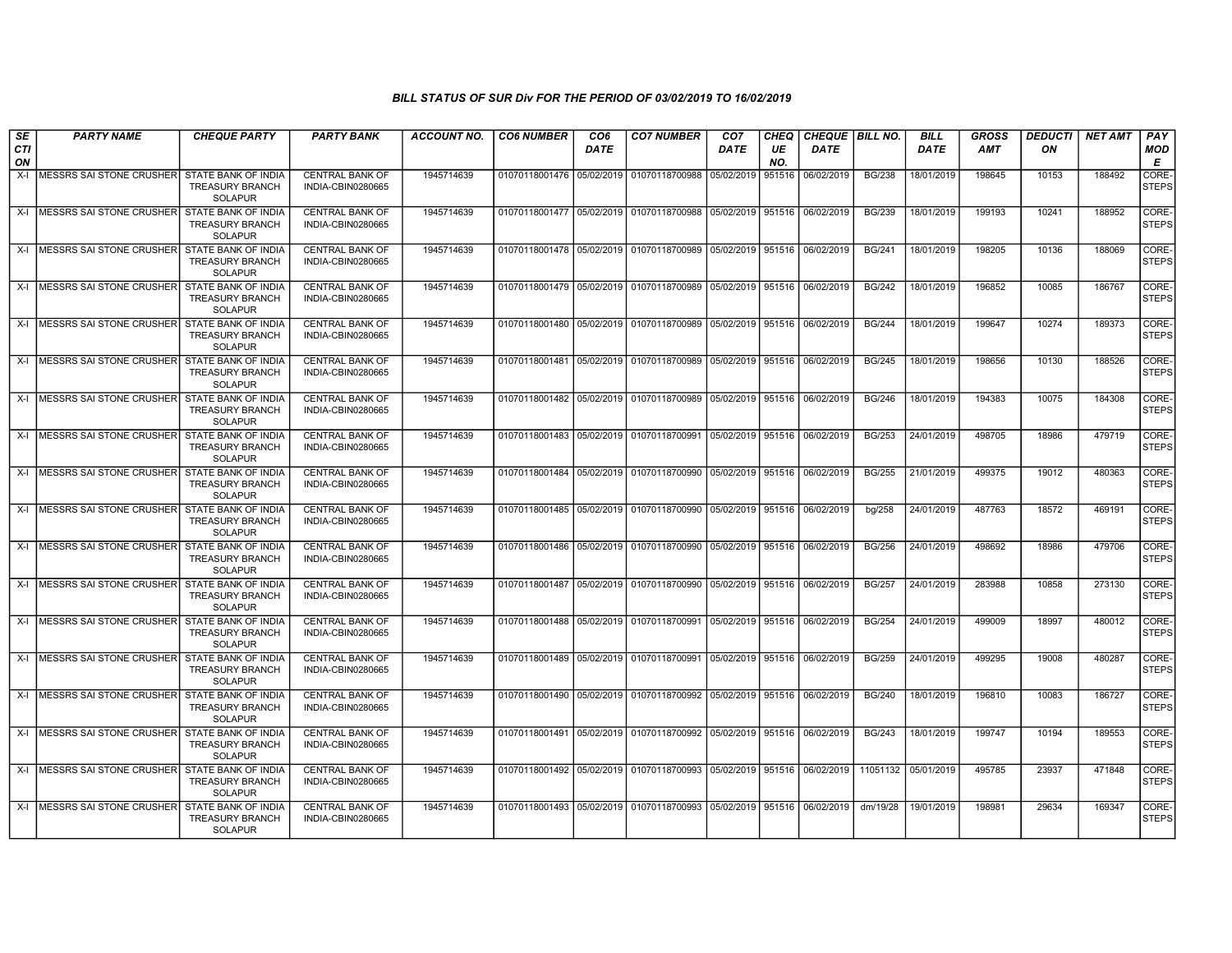| SE               | <b>PARTY NAME</b>              | <b>CHEQUE PARTY</b>                                             | <b>PARTY BANK</b>                           | <b>ACCOUNT NO.</b> | <b>CO6 NUMBER</b> | CO <sub>6</sub> | <b>CO7 NUMBER</b>                                                     | CO <sub>7</sub>              | CHEQ      | CHEQUE   BILL NO. |               | <b>BILL</b>         | <b>GROSS</b> | <i><b>DEDUCTI</b></i> | <b>NET AMT</b> | <b>PAY</b>            |
|------------------|--------------------------------|-----------------------------------------------------------------|---------------------------------------------|--------------------|-------------------|-----------------|-----------------------------------------------------------------------|------------------------------|-----------|-------------------|---------------|---------------------|--------------|-----------------------|----------------|-----------------------|
| <b>CTI</b><br>ON |                                |                                                                 |                                             |                    |                   | <b>DATE</b>     |                                                                       | <b>DATE</b>                  | UE<br>NO. | DATE              |               | <b>DATE</b>         | AMT          | ON                    |                | MOD<br>Е              |
| $X-I$            | MESSRS SAI STONE CRUSHER       | STATE BANK OF INDIA<br><b>TREASURY BRANCH</b><br><b>SOLAPUR</b> | <b>CENTRAL BANK OF</b><br>INDIA-CBIN0280665 | 1945714639         |                   |                 | 01070118001476 05/02/2019 01070118700988                              | 05/02/2019                   | 951516    | 06/02/2019        | <b>BG/238</b> | 18/01/2019          | 198645       | 10153                 | 188492         | CORE<br><b>STEPS</b>  |
|                  | X-I   MESSRS SAI STONE CRUSHER | STATE BANK OF INDIA<br><b>TREASURY BRANCH</b><br><b>SOLAPUR</b> | <b>CENTRAL BANK OF</b><br>INDIA-CBIN0280665 | 1945714639         |                   |                 | 01070118001477 05/02/2019 01070118700988                              | 05/02/2019 951516            |           | 06/02/2019        | <b>BG/239</b> | 18/01/2019          | 199193       | 10241                 | 188952         | CORE<br><b>STEPS</b>  |
|                  | X-I   MESSRS SAI STONE CRUSHER | <b>STATE BANK OF INDIA</b><br><b>TREASURY BRANCH</b><br>SOLAPUR | <b>CENTRAL BANK OF</b><br>INDIA-CBIN0280665 | 1945714639         |                   |                 | 01070118001478 05/02/2019 01070118700989 05/02/2019 951516 06/02/2019 |                              |           |                   | <b>BG/241</b> | 18/01/2019          | 198205       | 10136                 | 188069         | CORE-<br><b>STEPS</b> |
|                  | X-I IMESSRS SAI STONE CRUSHER  | STATE BANK OF INDIA<br><b>TREASURY BRANCH</b><br><b>SOLAPUR</b> | <b>CENTRAL BANK OF</b><br>INDIA-CBIN0280665 | 1945714639         |                   |                 | 01070118001479 05/02/2019 01070118700989 05/02/2019 951516            |                              |           | 06/02/2019        | <b>BG/242</b> | 18/01/2019          | 196852       | 10085                 | 186767         | CORE-<br>STEPS        |
|                  | X-I MESSRS SAI STONE CRUSHER   | STATE BANK OF INDIA<br><b>TREASURY BRANCH</b><br><b>SOLAPUR</b> | <b>CENTRAL BANK OF</b><br>INDIA-CBIN0280665 | 1945714639         |                   |                 | 01070118001480 05/02/2019 01070118700989 05/02/2019 951516            |                              |           | 06/02/2019        | <b>BG/244</b> | 18/01/2019          | 199647       | 10274                 | 189373         | CORE-<br><b>STEPS</b> |
|                  | X-I MESSRS SAI STONE CRUSHER   | STATE BANK OF INDIA<br><b>TREASURY BRANCH</b><br>SOLAPUR        | <b>CENTRAL BANK OF</b><br>INDIA-CBIN0280665 | 1945714639         |                   |                 | 01070118001481 05/02/2019 01070118700989 05/02/2019 951516 06/02/2019 |                              |           |                   | <b>BG/245</b> | 18/01/2019          | 198656       | 10130                 | 188526         | CORE-<br><b>STEPS</b> |
|                  | X-I IMESSRS SAI STONE CRUSHER  | STATE BANK OF INDIA<br><b>TREASURY BRANCH</b><br><b>SOLAPUR</b> | <b>CENTRAL BANK OF</b><br>INDIA-CBIN0280665 | 1945714639         |                   |                 | 01070118001482 05/02/2019 01070118700989 05/02/2019 951516 06/02/2019 |                              |           |                   | <b>BG/246</b> | 18/01/2019          | 194383       | 10075                 | 184308         | CORE-<br><b>STEPS</b> |
|                  | X-I MESSRS SAI STONE CRUSHER   | STATE BANK OF INDIA<br><b>TREASURY BRANCH</b><br><b>SOLAPUR</b> | <b>CENTRAL BANK OF</b><br>INDIA-CBIN0280665 | 1945714639         |                   |                 | 01070118001483 05/02/2019 01070118700991                              | 05/02/2019 951516 06/02/2019 |           |                   | <b>BG/253</b> | 24/01/2019          | 498705       | 18986                 | 479719         | CORE-<br><b>STEPS</b> |
|                  | X-I MESSRS SAI STONE CRUSHER   | STATE BANK OF INDIA<br><b>TREASURY BRANCH</b><br><b>SOLAPUR</b> | <b>CENTRAL BANK OF</b><br>INDIA-CBIN0280665 | 1945714639         |                   |                 | 01070118001484 05/02/2019 01070118700990 05/02/2019 951516 06/02/2019 |                              |           |                   | <b>BG/255</b> | 21/01/2019          | 499375       | 19012                 | 480363         | CORE-<br><b>STEPS</b> |
|                  | X-I IMESSRS SAI STONE CRUSHER  | STATE BANK OF INDIA<br><b>TREASURY BRANCH</b><br><b>SOLAPUR</b> | <b>CENTRAL BANK OF</b><br>INDIA-CBIN0280665 | 1945714639         |                   |                 | 01070118001485 05/02/2019 01070118700990 05/02/2019 951516 06/02/2019 |                              |           |                   | bg/258        | 24/01/2019          | 487763       | 18572                 | 469191         | CORE-<br><b>STEPS</b> |
|                  | X-I MESSRS SAI STONE CRUSHER   | STATE BANK OF INDIA<br><b>TREASURY BRANCH</b><br><b>SOLAPUR</b> | <b>CENTRAL BANK OF</b><br>INDIA-CBIN0280665 | 1945714639         |                   |                 | 01070118001486 05/02/2019 01070118700990 05/02/2019 951516 06/02/2019 |                              |           |                   | <b>BG/256</b> | 24/01/2019          | 498692       | 18986                 | 479706         | CORE-<br><b>STEPS</b> |
|                  | X-I MESSRS SAI STONE CRUSHER   | STATE BANK OF INDIA<br><b>TREASURY BRANCH</b><br><b>SOLAPUR</b> | <b>CENTRAL BANK OF</b><br>INDIA-CBIN0280665 | 1945714639         |                   |                 | 01070118001487 05/02/2019 01070118700990 05/02/2019 951516 06/02/2019 |                              |           |                   | <b>BG/257</b> | 24/01/2019          | 283988       | 10858                 | 273130         | CORE-<br><b>STEPS</b> |
|                  | X-I IMESSRS SAI STONE CRUSHER  | STATE BANK OF INDIA<br><b>TREASURY BRANCH</b><br><b>SOLAPUR</b> | <b>CENTRAL BANK OF</b><br>INDIA-CBIN0280665 | 1945714639         |                   |                 | 01070118001488 05/02/2019 01070118700991 05/02/2019 951516 06/02/2019 |                              |           |                   | <b>BG/254</b> | 24/01/2019          | 499009       | 18997                 | 480012         | CORE-<br><b>STEPS</b> |
|                  | X-I MESSRS SAI STONE CRUSHER   | STATE BANK OF INDIA<br><b>TREASURY BRANCH</b><br><b>SOLAPUR</b> | <b>CENTRAL BANK OF</b><br>INDIA-CBIN0280665 | 1945714639         |                   |                 | 01070118001489 05/02/2019 01070118700991 05/02/2019 951516 06/02/2019 |                              |           |                   | <b>BG/259</b> | 24/01/2019          | 499295       | 19008                 | 480287         | CORE-<br><b>STEPS</b> |
|                  | X-I MESSRS SAI STONE CRUSHER   | STATE BANK OF INDIA<br><b>TREASURY BRANCH</b><br>SOLAPUR        | <b>CENTRAL BANK OF</b><br>INDIA-CBIN0280665 | 1945714639         |                   |                 | 01070118001490 05/02/2019 01070118700992 05/02/2019 951516 06/02/2019 |                              |           |                   | <b>BG/240</b> | 18/01/2019          | 196810       | 10083                 | 186727         | CORE-<br><b>STEPS</b> |
|                  | X-I IMESSRS SAI STONE CRUSHERI | STATE BANK OF INDIA<br><b>TREASURY BRANCH</b><br><b>SOLAPUR</b> | <b>CENTRAL BANK OF</b><br>INDIA-CBIN0280665 | 1945714639         |                   |                 | 01070118001491 05/02/2019 01070118700992 05/02/2019 951516 06/02/2019 |                              |           |                   | <b>BG/243</b> | 18/01/2019          | 199747       | 10194                 | 189553         | CORE-<br><b>STEPS</b> |
|                  | X-I MESSRS SAI STONE CRUSHER   | STATE BANK OF INDIA<br><b>TREASURY BRANCH</b><br><b>SOLAPUR</b> | <b>CENTRAL BANK OF</b><br>INDIA-CBIN0280665 | 1945714639         |                   |                 | 01070118001492 05/02/2019 01070118700993 05/02/2019 951516 06/02/2019 |                              |           |                   |               | 11051132 05/01/2019 | 495785       | 23937                 | 471848         | CORE-<br><b>STEPS</b> |
|                  | X-I IMESSRS SAI STONE CRUSHER  | STATE BANK OF INDIA<br><b>TREASURY BRANCH</b><br><b>SOLAPUR</b> | <b>CENTRAL BANK OF</b><br>INDIA-CBIN0280665 | 1945714639         |                   |                 | 01070118001493 05/02/2019 01070118700993 05/02/2019 951516 06/02/2019 |                              |           |                   | dm/19/28      | 19/01/2019          | 198981       | 29634                 | 169347         | CORE-<br><b>STEPS</b> |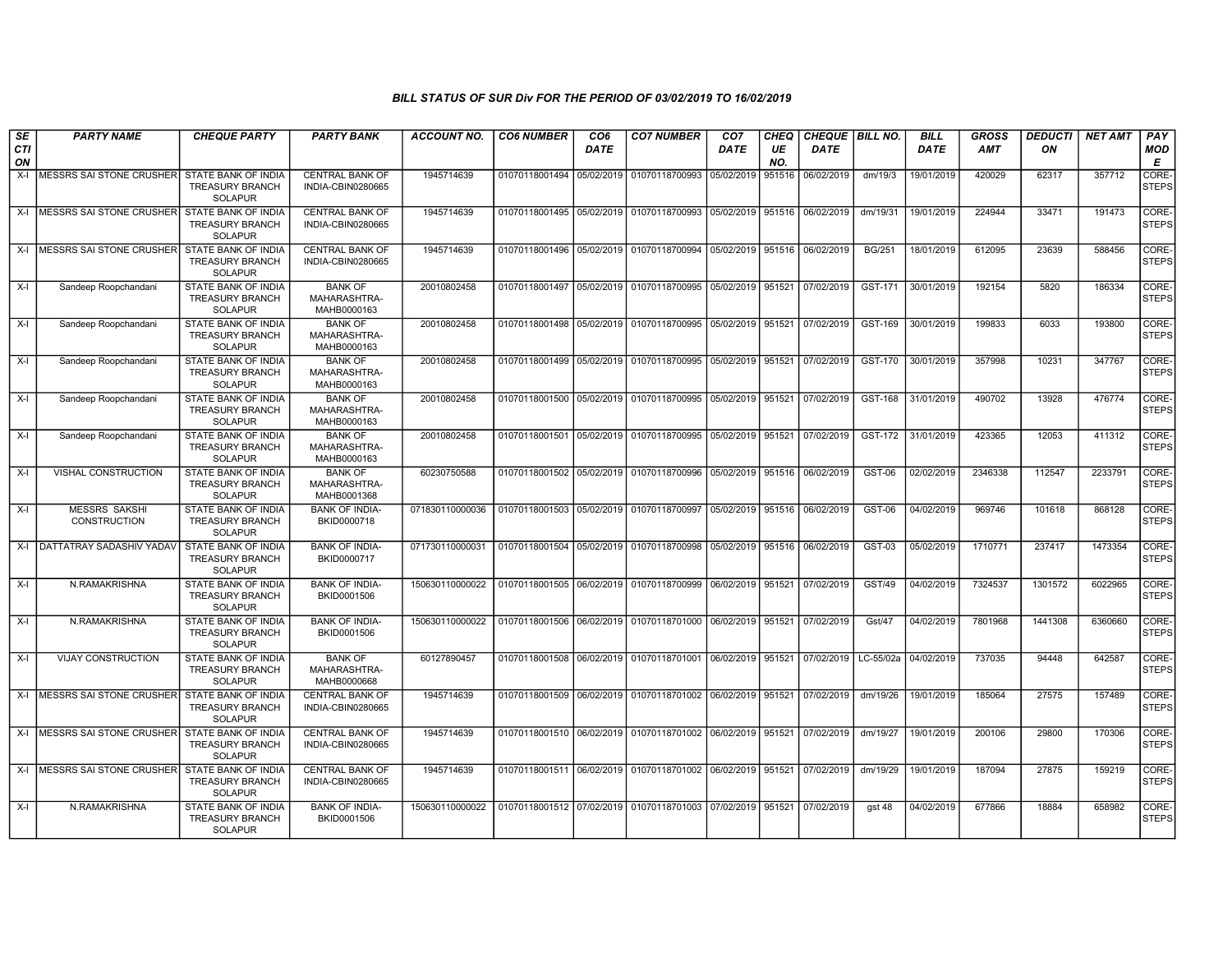| SE               | <b>PARTY NAME</b>                                | <b>CHEQUE PARTY</b>                                                    | <b>PARTY BANK</b>                             | <b>ACCOUNT NO.</b> | <b>CO6 NUMBER</b>         | CO <sub>6</sub> | <b>CO7 NUMBER</b>                                                               | CO <sub>7</sub>   | CHEQ      | CHEQUE   BILL NO. |               | <b>BILL</b> | <b>GROSS</b> | <b>DEDUCTI</b> | <b>NET AMT</b> | <b>PAY</b>            |
|------------------|--------------------------------------------------|------------------------------------------------------------------------|-----------------------------------------------|--------------------|---------------------------|-----------------|---------------------------------------------------------------------------------|-------------------|-----------|-------------------|---------------|-------------|--------------|----------------|----------------|-----------------------|
| <b>CTI</b><br>ON |                                                  |                                                                        |                                               |                    |                           | <b>DATE</b>     |                                                                                 | <b>DATE</b>       | UE<br>NO. | <b>DATE</b>       |               | <b>DATE</b> | <b>AMT</b>   | ON             |                | <b>MOD</b><br>E       |
| $X-I$            | MESSRS SAI STONE CRUSHER STATE BANK OF INDIA     | <b>TREASURY BRANCH</b><br><b>SOLAPUR</b>                               | <b>CENTRAL BANK OF</b><br>INDIA-CBIN0280665   | 1945714639         | 01070118001494            | 05/02/2019      | 01070118700993                                                                  | 05/02/2019        | 951516    | 06/02/2019        | dm/19/3       | 19/01/2019  | 420029       | 62317          | 357712         | CORE-<br>STEPS        |
| X-I              | <b>IMESSRS SAI STONE CRUSHER</b>                 | STATE BANK OF INDIA<br><b>TREASURY BRANCH</b><br><b>SOLAPUR</b>        | <b>CENTRAL BANK OF</b><br>INDIA-CBIN0280665   | 1945714639         |                           |                 | 01070118001495 05/02/2019 01070118700993 05/02/2019 951516                      |                   |           | 06/02/2019        | dm/19/31      | 19/01/2019  | 224944       | 33471          | 191473         | CORE-<br><b>STEPS</b> |
| $X-I$            | MESSRS SAI STONE CRUSHER                         | STATE BANK OF INDIA<br>TREASURY BRANCH<br><b>SOLAPUR</b>               | <b>CENTRAL BANK OF</b><br>INDIA-CBIN0280665   | 1945714639         |                           |                 | 01070118001496 05/02/2019 01070118700994                                        | 05/02/2019 951516 |           | 06/02/2019        | <b>BG/251</b> | 18/01/2019  | 612095       | 23639          | 588456         | CORE-<br><b>STEPS</b> |
| $X-I$            | Sandeep Roopchandani                             | STATE BANK OF INDIA<br><b>TREASURY BRANCH</b><br><b>SOLAPUR</b>        | <b>BANK OF</b><br>MAHARASHTRA-<br>MAHB0000163 | 20010802458        |                           |                 | 01070118001497 05/02/2019 01070118700995 05/02/2019 951521 07/02/2019           |                   |           |                   | GST-171       | 30/01/2019  | 192154       | 5820           | 186334         | CORE-<br><b>STEPS</b> |
| $X-I$            | Sandeep Roopchandani                             | <b>STATE BANK OF INDIA</b><br><b>TREASURY BRANCH</b><br><b>SOLAPUR</b> | <b>BANK OF</b><br>MAHARASHTRA-<br>MAHB0000163 | 20010802458        | 01070118001498            |                 | 05/02/2019 01070118700995 05/02/2019 951521                                     |                   |           | 07/02/2019        | GST-169       | 30/01/2019  | 199833       | 6033           | 193800         | CORE-<br>STEPS        |
| $X-I$            | Sandeep Roopchandani                             | STATE BANK OF INDIA<br><b>TREASURY BRANCH</b><br><b>SOLAPUR</b>        | <b>BANK OF</b><br>MAHARASHTRA-<br>MAHB0000163 | 20010802458        | 01070118001499 05/02/2019 |                 | 01070118700995 05/02/2019 951521                                                |                   |           | 07/02/2019        | GST-170       | 30/01/2019  | 357998       | 10231          | 347767         | CORE-<br><b>STEPS</b> |
| $X-I$            | Sandeep Roopchandani                             | STATE BANK OF INDIA<br><b>TREASURY BRANCH</b><br><b>SOLAPUR</b>        | <b>BANK OF</b><br>MAHARASHTRA-<br>MAHB0000163 | 20010802458        | 01070118001500 05/02/2019 |                 | 01070118700995 05/02/2019 951521                                                |                   |           | 07/02/2019        | GST-168       | 31/01/2019  | 490702       | 13928          | 476774         | CORE-<br><b>STEPS</b> |
| $X-I$            | Sandeep Roopchandani                             | <b>STATE BANK OF INDIA</b><br><b>TREASURY BRANCH</b><br><b>SOLAPUR</b> | <b>BANK OF</b><br>MAHARASHTRA-<br>MAHB0000163 | 20010802458        |                           |                 | 01070118001501 05/02/2019 01070118700995 05/02/2019 951521 07/02/2019           |                   |           |                   | GST-172       | 31/01/2019  | 423365       | 12053          | 411312         | CORE-<br><b>STEPS</b> |
| $X-I$            | VISHAL CONSTRUCTION                              | STATE BANK OF INDIA<br><b>TREASURY BRANCH</b><br><b>SOLAPUR</b>        | <b>BANK OF</b><br>MAHARASHTRA-<br>MAHB0001368 | 60230750588        | 01070118001502            | 05/02/2019      | 01070118700996 05/02/2019 951516                                                |                   |           | 06/02/2019        | GST-06        | 02/02/2019  | 2346338      | 112547         | 2233791        | CORE-<br><b>STEPS</b> |
| X-I              | <b>MESSRS SAKSHI</b><br><b>CONSTRUCTION</b>      | STATE BANK OF INDIA<br><b>TREASURY BRANCH</b><br><b>SOLAPUR</b>        | <b>BANK OF INDIA-</b><br>BKID0000718          | 071830110000036    |                           |                 | 01070118001503   05/02/2019   01070118700997   05/02/2019   951516   06/02/2019 |                   |           |                   | GST-06        | 04/02/2019  | 969746       | 101618         | 868128         | CORE-<br><b>STEPS</b> |
| $X-I$            | DATTATRAY SADASHIV YADAV                         | STATE BANK OF INDIA<br><b>TREASURY BRANCH</b><br><b>SOLAPUR</b>        | <b>BANK OF INDIA-</b><br>BKID0000717          | 071730110000031    |                           |                 | 01070118001504 05/02/2019 01070118700998 05/02/2019 951516                      |                   |           | 06/02/2019        | GST-03        | 05/02/2019  | 1710771      | 237417         | 1473354        | CORE-<br><b>STEPS</b> |
| $X-I$            | N.RAMAKRISHNA                                    | <b>STATE BANK OF INDIA</b><br><b>TREASURY BRANCH</b><br><b>SOLAPUR</b> | <b>BANK OF INDIA-</b><br>BKID0001506          | 150630110000022    |                           |                 | 01070118001505 06/02/2019 01070118700999 06/02/2019 951521                      |                   |           | 07/02/2019        | GST/49        | 04/02/2019  | 7324537      | 1301572        | 6022965        | CORE-<br><b>STEPS</b> |
| $X-I$            | N.RAMAKRISHNA                                    | STATE BANK OF INDIA<br><b>TREASURY BRANCH</b><br><b>SOLAPUR</b>        | <b>BANK OF INDIA-</b><br>BKID0001506          | 150630110000022    |                           |                 | 01070118001506 06/02/2019 01070118701000 06/02/2019 951521                      |                   |           | 07/02/2019        | Gst/47        | 04/02/2019  | 7801968      | 1441308        | 6360660        | CORE-<br><b>STEPS</b> |
| $X-I$            | <b>VIJAY CONSTRUCTION</b>                        | STATE BANK OF INDIA<br><b>TREASURY BRANCH</b><br><b>SOLAPUR</b>        | <b>BANK OF</b><br>MAHARASHTRA-<br>MAHB0000668 | 60127890457        |                           |                 | 01070118001508 06/02/2019 01070118701001 06/02/2019 951521                      |                   |           | 07/02/2019        | LC-55/02a     | 04/02/2019  | 737035       | 94448          | 642587         | CORE-<br><b>STEPS</b> |
|                  | X-I MESSRS SAI STONE CRUSHER                     | <b>STATE BANK OF INDIA</b><br>TREASURY BRANCH<br><b>SOLAPUR</b>        | <b>CENTRAL BANK OF</b><br>INDIA-CBIN0280665   | 1945714639         |                           |                 | 01070118001509 06/02/2019 01070118701002 06/02/2019 951521 07/02/2019           |                   |           |                   | dm/19/26      | 19/01/2019  | 185064       | 27575          | 157489         | CORE-<br><b>STEPS</b> |
|                  | X-L MESSRS SALSTONE CRUSHER STATE BANK OF INDIA  | <b>TREASURY BRANCH</b><br><b>SOLAPUR</b>                               | CENTRAL BANK OF<br>INDIA-CBIN0280665          | 1945714639         |                           |                 | 01070118001510 06/02/2019 01070118701002 06/02/2019 951521                      |                   |           | 07/02/2019        | dm/19/27      | 19/01/2019  | 200106       | 29800          | 170306         | CORE-<br><b>STEPS</b> |
|                  | X-I MESSRS SAI STONE CRUSHER STATE BANK OF INDIA | <b>TREASURY BRANCH</b><br><b>SOLAPUR</b>                               | <b>CENTRAL BANK OF</b><br>INDIA-CBIN0280665   | 1945714639         |                           |                 | 01070118001511 06/02/2019 01070118701002 06/02/2019 951521 07/02/2019           |                   |           |                   | dm/19/29      | 19/01/2019  | 187094       | 27875          | 159219         | CORE-<br><b>STEPS</b> |
| $X-I$            | N.RAMAKRISHNA                                    | STATE BANK OF INDIA<br><b>TREASURY BRANCH</b><br><b>SOLAPUR</b>        | <b>BANK OF INDIA-</b><br>BKID0001506          | 150630110000022    |                           |                 | 01070118001512 07/02/2019 01070118701003 07/02/2019 951521 07/02/2019           |                   |           |                   | qst48         | 04/02/2019  | 677866       | 18884          | 658982         | CORE-<br><b>STEPS</b> |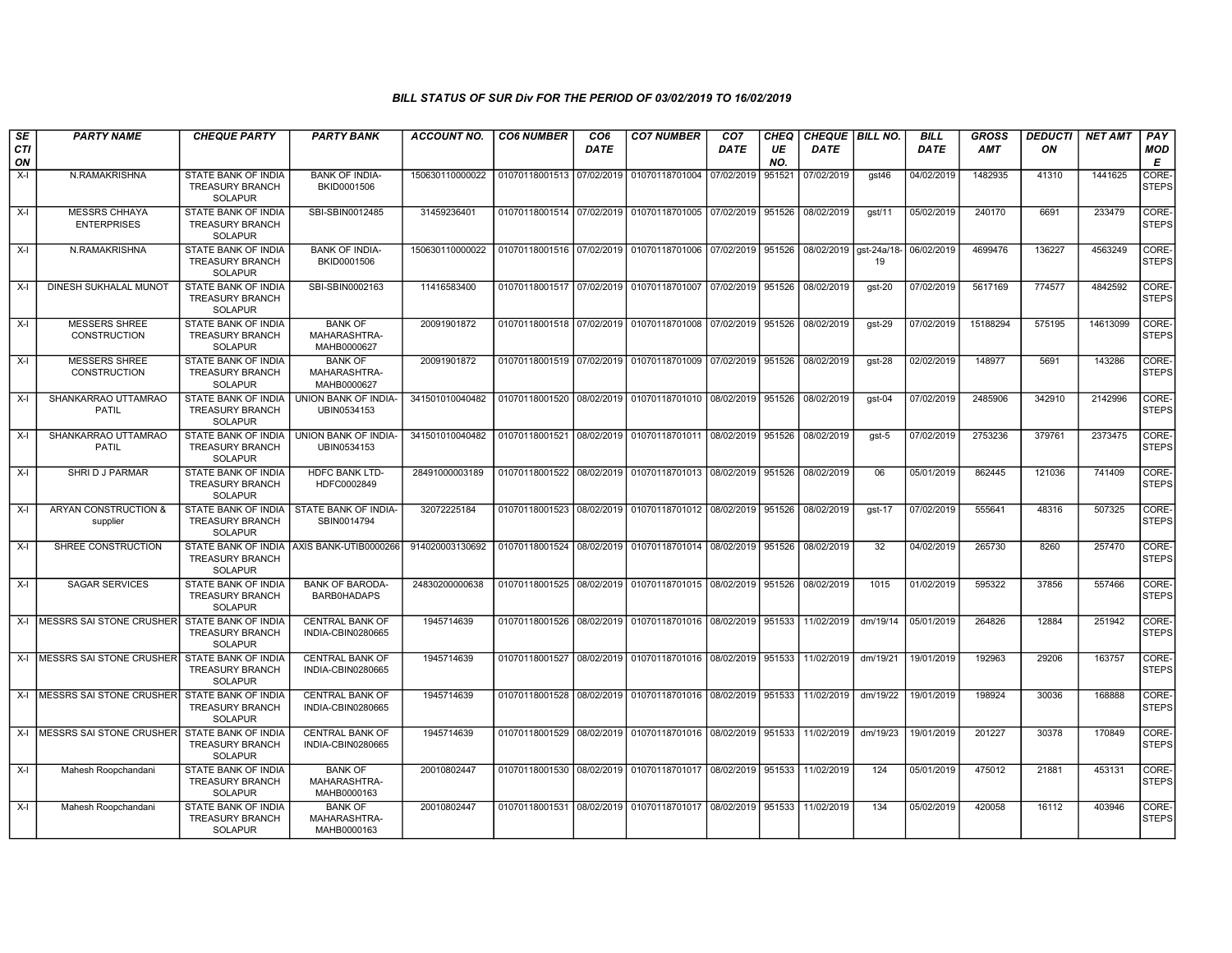| SE<br>CTI<br>ON | <b>PARTY NAME</b>                                | <b>CHEQUE PARTY</b>                                                    | <b>PARTY BANK</b>                             | <b>ACCOUNT NO.</b> | <b>CO6 NUMBER</b>         | CO <sub>6</sub><br><b>DATE</b> | <b>CO7 NUMBER</b>                                          | CO <sub>7</sub><br><b>DATE</b> | CHEQ<br>UE<br>NO. | CHEQUE   BILL NO.<br><b>DATE</b> |          | <b>BILL</b><br><b>DATE</b> | <b>GROSS</b><br><b>AMT</b> | <b>DEDUCTI</b><br>ON | <b>NET AMT</b> | PAY<br>MOD<br>Е       |
|-----------------|--------------------------------------------------|------------------------------------------------------------------------|-----------------------------------------------|--------------------|---------------------------|--------------------------------|------------------------------------------------------------|--------------------------------|-------------------|----------------------------------|----------|----------------------------|----------------------------|----------------------|----------------|-----------------------|
| $X-I$           | N.RAMAKRISHNA                                    | STATE BANK OF INDIA<br><b>TREASURY BRANCH</b><br><b>SOLAPUR</b>        | <b>BANK OF INDIA-</b><br>BKID0001506          | 150630110000022    | 01070118001513 07/02/2019 |                                | 01070118701004                                             | 07/02/2019                     | 951521            | 07/02/2019                       | gst46    | 04/02/2019                 | 1482935                    | 41310                | 1441625        | CORE-<br><b>STEPS</b> |
| $X-I$           | <b>MESSRS CHHAYA</b><br><b>ENTERPRISES</b>       | STATE BANK OF INDIA<br><b>TREASURY BRANCH</b><br><b>SOLAPUR</b>        | SBI-SBIN0012485                               | 31459236401        |                           |                                | 01070118001514 07/02/2019 01070118701005 07/02/2019        |                                | 951526            | 08/02/2019                       | qst/11   | 05/02/2019                 | 240170                     | 6691                 | 233479         | CORE-<br><b>STEPS</b> |
| X-I             | N.RAMAKRISHNA                                    | STATE BANK OF INDIA<br><b>TREASURY BRANCH</b><br><b>SOLAPUR</b>        | <b>BANK OF INDIA-</b><br>BKID0001506          | 150630110000022    |                           |                                | 01070118001516 07/02/2019 01070118701006 07/02/2019        |                                | 951526            | 08/02/2019 gst-24a/18            | 19       | 06/02/2019                 | 4699476                    | 136227               | 4563249        | CORE-<br><b>STEPS</b> |
| $X-I$           | DINESH SUKHALAL MUNOT                            | STATE BANK OF INDIA<br><b>TREASURY BRANCH</b><br><b>SOLAPUR</b>        | SBI-SBIN0002163                               | 11416583400        |                           |                                | 01070118001517 07/02/2019 01070118701007 07/02/2019        |                                | 951526            | 08/02/2019                       | $qst-20$ | 07/02/2019                 | 5617169                    | 774577               | 4842592        | CORE-<br><b>STEPS</b> |
| $X-I$           | <b>MESSERS SHREE</b><br><b>CONSTRUCTION</b>      | <b>STATE BANK OF INDIA</b><br><b>TREASURY BRANCH</b><br><b>SOLAPUR</b> | <b>BANK OF</b><br>MAHARASHTRA-<br>MAHB0000627 | 20091901872        |                           |                                | 01070118001518 07/02/2019 01070118701008 07/02/2019        |                                | 951526            | 08/02/2019                       | $gst-29$ | 07/02/2019                 | 15188294                   | 575195               | 14613099       | CORE-<br><b>STEPS</b> |
| X-I             | <b>MESSERS SHREE</b><br><b>CONSTRUCTION</b>      | STATE BANK OF INDIA<br><b>TREASURY BRANCH</b><br><b>SOLAPUR</b>        | <b>BANK OF</b><br>MAHARASHTRA-<br>MAHB0000627 | 20091901872        |                           |                                | 01070118001519 07/02/2019 01070118701009 07/02/2019        |                                | 951526            | 08/02/2019                       | gst-28   | 02/02/2019                 | 148977                     | 5691                 | 143286         | CORE-<br><b>STEPS</b> |
| $X-I$           | SHANKARRAO UTTAMRAO<br><b>PATIL</b>              | STATE BANK OF INDIA<br><b>TREASURY BRANCH</b><br><b>SOLAPUR</b>        | UNION BANK OF INDIA-<br>UBIN0534153           | 341501010040482    | 01070118001520 08/02/2019 |                                | 01070118701010 08/02/2019                                  |                                | 951526            | 08/02/2019                       | gst-04   | 07/02/2019                 | 2485906                    | 342910               | 2142996        | CORE-<br><b>STEPS</b> |
| $X-I$           | SHANKARRAO UTTAMRAO<br><b>PATIL</b>              | <b>STATE BANK OF INDIA</b><br>TREASURY BRANCH<br><b>SOLAPUR</b>        | <b>UNION BANK OF INDIA-</b><br>UBIN0534153    | 341501010040482    |                           |                                | 01070118001521 08/02/2019 01070118701011 08/02/2019 951526 |                                |                   | 08/02/2019                       | gst-5    | 07/02/2019                 | 2753236                    | 379761               | 2373475        | CORE-<br><b>STEPS</b> |
| X-I             | SHRI D J PARMAR                                  | STATE BANK OF INDIA<br><b>TREASURY BRANCH</b><br><b>SOLAPUR</b>        | HDFC BANK LTD-<br>HDFC0002849                 | 28491000003189     |                           |                                | 01070118001522 08/02/2019 01070118701013 08/02/2019        |                                | 951526            | 08/02/2019                       | 06       | 05/01/2019                 | 862445                     | 121036               | 741409         | CORE-<br><b>STEPS</b> |
| X-I             | ARYAN CONSTRUCTION &<br>supplier                 | STATE BANK OF INDIA<br><b>TREASURY BRANCH</b><br>SOLAPUR               | STATE BANK OF INDIA-<br>SBIN0014794           | 32072225184        |                           |                                | 01070118001523 08/02/2019 01070118701012 08/02/2019        |                                | 951526            | 08/02/2019                       | $qst-17$ | 07/02/2019                 | 555641                     | 48316                | 507325         | CORE-<br><b>STEPS</b> |
| X-I             | SHREE CONSTRUCTION                               | <b>TREASURY BRANCH</b><br>SOLAPUR                                      | STATE BANK OF INDIA AXIS BANK-UTIB0000266     | 914020003130692    |                           |                                | 01070118001524 08/02/2019 01070118701014 08/02/2019        |                                | 951526            | 08/02/2019                       | 32       | 04/02/2019                 | 265730                     | 8260                 | 257470         | CORE-<br><b>STEPS</b> |
| X-I             | <b>SAGAR SERVICES</b>                            | STATE BANK OF INDIA<br><b>TREASURY BRANCH</b><br><b>SOLAPUR</b>        | <b>BANK OF BARODA-</b><br>BARB0HADAPS         | 24830200000638     |                           |                                | 01070118001525 08/02/2019 01070118701015 08/02/2019        |                                | 951526            | 08/02/2019                       | 1015     | 01/02/2019                 | 595322                     | 37856                | 557466         | CORE-<br><b>STEPS</b> |
|                 | X-I IMESSRS SAI STONE CRUSHER                    | STATE BANK OF INDIA<br><b>TREASURY BRANCH</b><br><b>SOLAPUR</b>        | <b>CENTRAL BANK OF</b><br>INDIA-CBIN0280665   | 1945714639         |                           |                                | 01070118001526 08/02/2019 01070118701016 08/02/2019        |                                | 951533            | 11/02/2019                       | dm/19/14 | 05/01/2019                 | 264826                     | 12884                | 251942         | CORE-<br><b>STEPS</b> |
|                 | X-I   MESSRS SAI STONE CRUSHER                   | STATE BANK OF INDIA<br><b>TREASURY BRANCH</b><br><b>SOLAPUR</b>        | <b>CENTRAL BANK OF</b><br>INDIA-CBIN0280665   | 1945714639         |                           |                                | 01070118001527 08/02/2019 01070118701016 08/02/2019        |                                | 951533            | 11/02/2019                       | dm/19/21 | 19/01/2019                 | 192963                     | 29206                | 163757         | CORE-<br><b>STEPS</b> |
|                 | X-I MESSRS SAI STONE CRUSHER STATE BANK OF INDIA | <b>TREASURY BRANCH</b><br><b>SOLAPUR</b>                               | <b>CENTRAL BANK OF</b><br>INDIA-CBIN0280665   | 1945714639         |                           |                                | 01070118001528 08/02/2019 01070118701016 08/02/2019 951533 |                                |                   | 11/02/2019                       | dm/19/22 | 19/01/2019                 | 198924                     | 30036                | 168888         | CORE-<br><b>STEPS</b> |
|                 | X-I MESSRS SAI STONE CRUSHER                     | STATE BANK OF INDIA<br><b>TREASURY BRANCH</b><br>SOLAPUR               | CENTRAL BANK OF<br>INDIA-CBIN0280665          | 1945714639         |                           |                                | 01070118001529 08/02/2019 01070118701016 08/02/2019        |                                | 951533            | 11/02/2019                       | dm/19/23 | 19/01/2019                 | 201227                     | 30378                | 170849         | CORE-<br><b>STEPS</b> |
| X-I             | Mahesh Roopchandani                              | <b>STATE BANK OF INDIA</b><br><b>TREASURY BRANCH</b><br>SOLAPUR        | <b>BANK OF</b><br>MAHARASHTRA-<br>MAHB0000163 | 20010802447        |                           |                                | 01070118001530 08/02/2019 01070118701017 08/02/2019 951533 |                                |                   | 11/02/2019                       | 124      | 05/01/2019                 | 475012                     | 21881                | 453131         | CORE-<br><b>STEPS</b> |
| $X-I$           | Mahesh Roopchandani                              | STATE BANK OF INDIA<br>TREASURY BRANCH<br><b>SOLAPUR</b>               | <b>BANK OF</b><br>MAHARASHTRA-<br>MAHB0000163 | 20010802447        |                           |                                | 01070118001531 08/02/2019 01070118701017 08/02/2019 951533 |                                |                   | 11/02/2019                       | 134      | 05/02/2019                 | 420058                     | 16112                | 403946         | CORE-<br><b>STEPS</b> |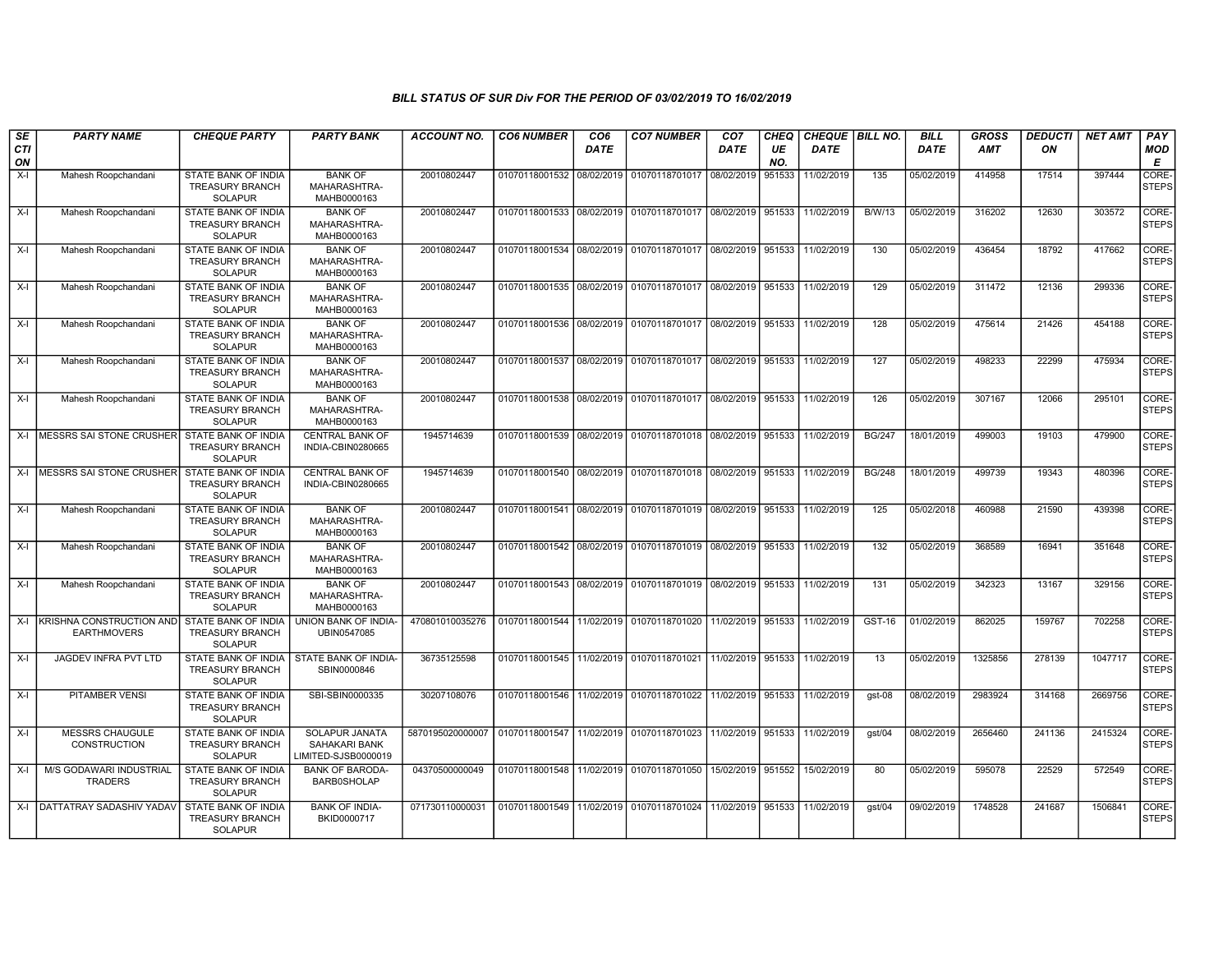| SE               | <b>PARTY NAME</b>                              | <b>CHEQUE PARTY</b>                                                    | <b>PARTY BANK</b>                                             | <b>ACCOUNT NO.</b> | <b>CO6 NUMBER</b>         | CO <sub>6</sub> | <b>CO7 NUMBER</b>                                                     | CO <sub>7</sub> | CHEQ      | <b>CHEQUE   BILL NO.</b> |               | <b>BILL</b> | <b>GROSS</b> | <i><b>DEDUCTI</b></i> | <b>NET AMT</b> | <b>PAY</b>                  |
|------------------|------------------------------------------------|------------------------------------------------------------------------|---------------------------------------------------------------|--------------------|---------------------------|-----------------|-----------------------------------------------------------------------|-----------------|-----------|--------------------------|---------------|-------------|--------------|-----------------------|----------------|-----------------------------|
| <b>CTI</b><br>ON |                                                |                                                                        |                                                               |                    |                           | <b>DATE</b>     |                                                                       | <b>DATE</b>     | UE<br>NO. | <b>DATE</b>              |               | <b>DATE</b> | AMT          | ON                    |                | MOD<br>Е                    |
| $X-I$            | Mahesh Roopchandani                            | <b>STATE BANK OF INDIA</b><br><b>TREASURY BRANCH</b><br><b>SOLAPUR</b> | <b>BANK OF</b><br>MAHARASHTRA-<br>MAHB0000163                 | 20010802447        | 01070118001532            | 08/02/2019      | 01070118701017                                                        | 08/02/2019      | 951533    | 11/02/2019               | 135           | 05/02/2019  | 414958       | 17514                 | 397444         | <b>CORE</b><br><b>STEPS</b> |
| $X-I$            | Mahesh Roopchandani                            | STATE BANK OF INDIA<br><b>TREASURY BRANCH</b><br><b>SOLAPUR</b>        | <b>BANK OF</b><br>MAHARASHTRA-<br>MAHB0000163                 | 20010802447        | 01070118001533            | 08/02/2019      | 01070118701017 08/02/2019                                             |                 | 951533    | 11/02/2019               | <b>B/W/13</b> | 05/02/2019  | 316202       | 12630                 | 303572         | <b>CORE</b><br><b>STEPS</b> |
| $X-I$            | Mahesh Roopchandani                            | STATE BANK OF INDIA<br><b>TREASURY BRANCH</b><br><b>SOLAPUR</b>        | <b>BANK OF</b><br>MAHARASHTRA-<br>MAHB0000163                 | 20010802447        | 01070118001534 08/02/2019 |                 | 01070118701017 08/02/2019 951533                                      |                 |           | 11/02/2019               | 130           | 05/02/2019  | 436454       | 18792                 | 417662         | CORE-<br><b>STEPS</b>       |
| $X-I$            | Mahesh Roopchandani                            | STATE BANK OF INDIA<br><b>TREASURY BRANCH</b><br><b>SOLAPUR</b>        | <b>BANK OF</b><br>MAHARASHTRA-<br>MAHB0000163                 | 20010802447        | 01070118001535            | 08/02/2019      | 01070118701017 08/02/2019 951533                                      |                 |           | 11/02/2019               | 129           | 05/02/2019  | 311472       | 12136                 | 299336         | CORE-<br>STEPS              |
| $X-I$            | Mahesh Roopchandani                            | <b>STATE BANK OF INDIA</b><br><b>TREASURY BRANCH</b><br><b>SOLAPUR</b> | <b>BANK OF</b><br>MAHARASHTRA-<br>MAHB0000163                 | 20010802447        | 01070118001536 08/02/2019 |                 | 01070118701017 08/02/2019 951533                                      |                 |           | 11/02/2019               | 128           | 05/02/2019  | 475614       | 21426                 | 454188         | CORE-<br>STEPS              |
| $X-I$            | Mahesh Roopchandani                            | STATE BANK OF INDIA<br><b>TREASURY BRANCH</b><br><b>SOLAPUR</b>        | <b>BANK OF</b><br>MAHARASHTRA-<br>MAHB0000163                 | 20010802447        | 01070118001537 08/02/2019 |                 | 01070118701017 08/02/2019 951533                                      |                 |           | 11/02/2019               | 127           | 05/02/2019  | 498233       | 22299                 | 475934         | CORE-<br><b>STEPS</b>       |
| $X-I$            | Mahesh Roopchandani                            | STATE BANK OF INDIA<br><b>TREASURY BRANCH</b><br><b>SOLAPUR</b>        | <b>BANK OF</b><br>MAHARASHTRA-<br>MAHB0000163                 | 20010802447        | 01070118001538            | 08/02/2019      | 01070118701017   08/02/2019   951533                                  |                 |           | 11/02/2019               | 126           | 05/02/2019  | 307167       | 12066                 | 295101         | CORE-<br><b>STEPS</b>       |
|                  | X-I MESSRS SAI STONE CRUSHER                   | STATE BANK OF INDIA<br><b>TREASURY BRANCH</b><br>SOLAPUR               | <b>CENTRAL BANK OF</b><br>INDIA-CBIN0280665                   | 1945714639         |                           |                 | 01070118001539 08/02/2019 01070118701018 08/02/2019 951533 11/02/2019 |                 |           |                          | <b>BG/247</b> | 18/01/2019  | 499003       | 19103                 | 479900         | CORE-<br><b>STEPS</b>       |
| $X-I$            | MESSRS SAI STONE CRUSHER                       | STATE BANK OF INDIA<br><b>TREASURY BRANCH</b><br><b>SOLAPUR</b>        | <b>CENTRAL BANK OF</b><br>INDIA-CBIN0280665                   | 1945714639         | 01070118001540            |                 | 08/02/2019 01070118701018 08/02/2019 951533                           |                 |           | 11/02/2019               | <b>BG/248</b> | 18/01/2019  | 499739       | 19343                 | 480396         | CORE-<br><b>STEPS</b>       |
| X-I              | Mahesh Roopchandani                            | STATE BANK OF INDIA<br><b>TREASURY BRANCH</b><br><b>SOLAPUR</b>        | <b>BANK OF</b><br>MAHARASHTRA-<br>MAHB0000163                 | 20010802447        | 01070118001541            | 08/02/2019      | 01070118701019 08/02/2019 951533                                      |                 |           | 11/02/2019               | 125           | 05/02/2018  | 460988       | 21590                 | 439398         | CORE-<br><b>STEPS</b>       |
| $X-I$            | Mahesh Roopchandani                            | STATE BANK OF INDIA<br><b>TREASURY BRANCH</b><br><b>SOLAPUR</b>        | <b>BANK OF</b><br>MAHARASHTRA-<br>MAHB0000163                 | 20010802447        |                           |                 | 01070118001542 08/02/2019 01070118701019 08/02/2019 951533            |                 |           | 11/02/2019               | 132           | 05/02/2019  | 368589       | 16941                 | 351648         | CORE-<br><b>STEPS</b>       |
| $X-I$            | Mahesh Roopchandani                            | <b>STATE BANK OF INDIA</b><br><b>TREASURY BRANCH</b><br><b>SOLAPUR</b> | <b>BANK OF</b><br>MAHARASHTRA-<br>MAHB0000163                 | 20010802447        | 01070118001543 08/02/2019 |                 | 01070118701019 08/02/2019 951533                                      |                 |           | 11/02/2019               | 131           | 05/02/2019  | 342323       | 13167                 | 329156         | CORE-<br><b>STEPS</b>       |
| $X-I$            | KRISHNA CONSTRUCTION AND<br><b>EARTHMOVERS</b> | STATE BANK OF INDIA<br><b>TREASURY BRANCH</b><br><b>SOLAPUR</b>        | UNION BANK OF INDIA-<br>UBIN0547085                           | 470801010035276    | 01070118001544 11/02/2019 |                 | 01070118701020 11/02/2019 951533                                      |                 |           | 11/02/2019               | <b>GST-16</b> | 01/02/2019  | 862025       | 159767                | 702258         | CORE-<br>STEPS              |
| $X-I$            | JAGDEV INFRA PVT LTD                           | <b>STATE BANK OF INDIA</b><br><b>TREASURY BRANCH</b><br><b>SOLAPUR</b> | STATE BANK OF INDIA-<br>SBIN0000846                           | 36735125598        |                           |                 | 01070118001545 11/02/2019 01070118701021 11/02/2019 951533 11/02/2019 |                 |           |                          | 13            | 05/02/2019  | 1325856      | 278139                | 1047717        | CORE-<br>STEPS              |
| $X-I$            | <b>PITAMBER VENSI</b>                          | <b>STATE BANK OF INDIA</b><br><b>TREASURY BRANCH</b><br>SOLAPUR        | SBI-SBIN0000335                                               | 30207108076        | 01070118001546 11/02/2019 |                 | 01070118701022 11/02/2019 951533                                      |                 |           | 11/02/2019               | $qst-08$      | 08/02/2019  | 2983924      | 314168                | 2669756        | CORE-<br><b>STEPS</b>       |
| $X-I$            | <b>MESSRS CHAUGULE</b><br><b>CONSTRUCTION</b>  | STATE BANK OF INDIA<br><b>TREASURY BRANCH</b><br><b>SOLAPUR</b>        | <b>SOLAPUR JANATA</b><br>SAHAKARI BANK<br>LIMITED-SJSB0000019 | 5870195020000007   | 01070118001547 11/02/2019 |                 | 01070118701023 11/02/2019 951533                                      |                 |           | 11/02/2019               | gst/04        | 08/02/2019  | 2656460      | 241136                | 2415324        | CORE-<br><b>STEPS</b>       |
| $X-I$            | M/S GODAWARI INDUSTRIAL<br><b>TRADERS</b>      | STATE BANK OF INDIA<br><b>TREASURY BRANCH</b><br><b>SOLAPUR</b>        | <b>BANK OF BARODA-</b><br><b>BARB0SHOLAP</b>                  | 04370500000049     | 01070118001548 11/02/2019 |                 | 01070118701050 15/02/2019 951552                                      |                 |           | 15/02/2019               | 80            | 05/02/2019  | 595078       | 22529                 | 572549         | CORE-<br><b>STEPS</b>       |
|                  | X-I DATTATRAY SADASHIV YADAV                   | <b>STATE BANK OF INDIA</b><br><b>TREASURY BRANCH</b><br><b>SOLAPUR</b> | <b>BANK OF INDIA-</b><br>BKID0000717                          | 071730110000031    | 01070118001549            | 11/02/2019      | 01070118701024 11/02/2019 951533 11/02/2019                           |                 |           |                          | gst/04        | 09/02/2019  | 1748528      | 241687                | 1506841        | CORE-<br><b>STEPS</b>       |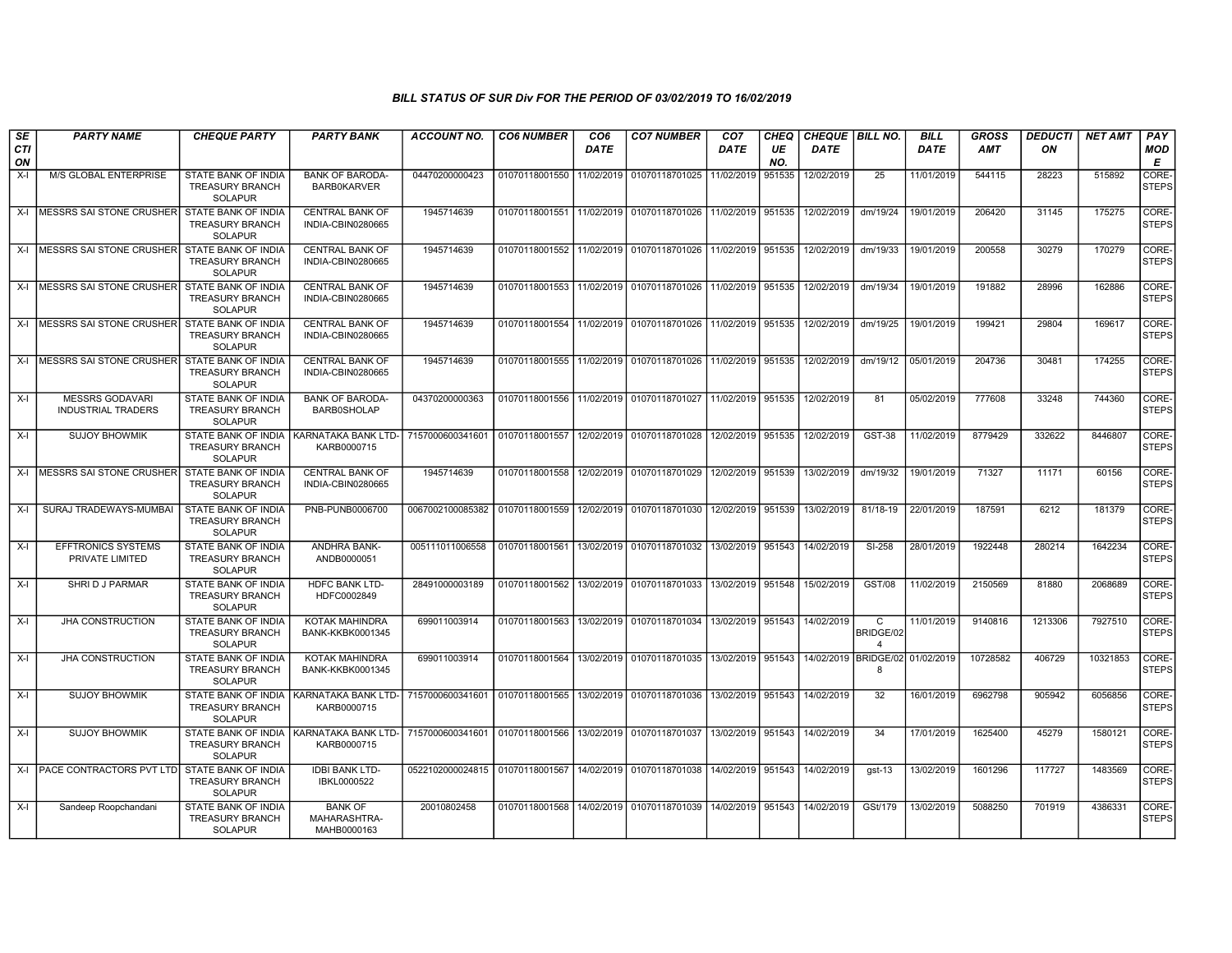| SE               | <b>PARTY NAME</b>                                    | <b>CHEQUE PARTY</b>                                                    | <b>PARTY BANK</b>                             | <b>ACCOUNT NO.</b>                                                          | <b>CO6 NUMBER</b> | CO <sub>6</sub> | <b>CO7 NUMBER</b>                                                     | CO <sub>7</sub>   | CHEQ      | CHEQUE   BILL NO.               |                     | <b>BILL</b> | <b>GROSS</b> | <b>DEDUCTI</b> | <b>NET AMT</b> | PAY                   |
|------------------|------------------------------------------------------|------------------------------------------------------------------------|-----------------------------------------------|-----------------------------------------------------------------------------|-------------------|-----------------|-----------------------------------------------------------------------|-------------------|-----------|---------------------------------|---------------------|-------------|--------------|----------------|----------------|-----------------------|
| <b>CTI</b><br>ON |                                                      |                                                                        |                                               |                                                                             |                   | <b>DATE</b>     |                                                                       | <b>DATE</b>       | UE<br>NO. | <b>DATE</b>                     |                     | <b>DATE</b> | <b>AMT</b>   | ON             |                | <b>MOD</b><br>E       |
| $X-I$            | M/S GLOBAL ENTERPRISE                                | STATE BANK OF INDIA<br><b>TREASURY BRANCH</b><br><b>SOLAPUR</b>        | <b>BANK OF BARODA-</b><br><b>BARBOKARVER</b>  | 04470200000423                                                              | 01070118001550    | 11/02/2019      | 01070118701025                                                        | 11/02/2019        | 951535    | 12/02/2019                      | 25                  | 11/01/2019  | 544115       | 28223          | 515892         | CORE-<br><b>STEPS</b> |
| X-I              | <b>IMESSRS SAI STONE CRUSHERI</b>                    | STATE BANK OF INDIA<br><b>TREASURY BRANCH</b><br><b>SOLAPUR</b>        | <b>CENTRAL BANK OF</b><br>INDIA-CBIN0280665   | 1945714639                                                                  | 01070118001551    |                 | 11/02/2019 01070118701026 11/02/2019 951535                           |                   |           | 12/02/2019                      | dm/19/24            | 19/01/2019  | 206420       | 31145          | 175275         | CORE-<br><b>STEPS</b> |
|                  | X-I MESSRS SAI STONE CRUSHER STATE BANK OF INDIA     | TREASURY BRANCH<br><b>SOLAPUR</b>                                      | <b>CENTRAL BANK OF</b><br>INDIA-CBIN0280665   | 1945714639                                                                  |                   |                 | 01070118001552 11/02/2019 01070118701026 11/02/2019 951535            |                   |           | 12/02/2019                      | dm/19/33            | 19/01/2019  | 200558       | 30279          | 170279         | CORE-<br><b>STEPS</b> |
|                  | X-I IMESSRS SAI STONE CRUSHER STATE BANK OF INDIA    | <b>TREASURY BRANCH</b><br><b>SOLAPUR</b>                               | <b>CENTRAL BANK OF</b><br>INDIA-CBIN0280665   | 1945714639                                                                  |                   |                 | 01070118001553 11/02/2019 01070118701026 11/02/2019 951535            |                   |           | 12/02/2019                      | dm/19/34            | 19/01/2019  | 191882       | 28996          | 162886         | CORE-<br><b>STEPS</b> |
| $X-I$            | <b>IMESSRS SAI STONE CRUSHER STATE BANK OF INDIA</b> | <b>TREASURY BRANCH</b><br><b>SOLAPUR</b>                               | <b>CENTRAL BANK OF</b><br>INDIA-CBIN0280665   | 1945714639                                                                  | 01070118001554    |                 | 11/02/2019 01070118701026 11/02/2019 951535                           |                   |           | 12/02/2019                      | dm/19/25            | 19/01/2019  | 199421       | 29804          | 169617         | CORE-<br><b>STEPS</b> |
|                  | X-I MESSRS SAI STONE CRUSHER                         | STATE BANK OF INDIA<br><b>TREASURY BRANCH</b><br><b>SOLAPUR</b>        | <b>CENTRAL BANK OF</b><br>INDIA-CBIN0280665   | 1945714639                                                                  | 01070118001555    | 11/02/2019      | 01070118701026 11/02/2019 951535                                      |                   |           | 12/02/2019                      | dm/19/12            | 05/01/2019  | 204736       | 30481          | 174255         | CORE-<br><b>STEPS</b> |
| $X-I$            | <b>MESSRS GODAVARI</b><br><b>INDUSTRIAL TRADERS</b>  | STATE BANK OF INDIA<br><b>TREASURY BRANCH</b><br><b>SOLAPUR</b>        | <b>BANK OF BARODA-</b><br><b>BARB0SHOLAP</b>  | 04370200000363                                                              | 01070118001556    |                 | 11/02/2019 01070118701027 11/02/2019 951535                           |                   |           | 12/02/2019                      | 81                  | 05/02/2019  | 777608       | 33248          | 744360         | CORE-<br><b>STEPS</b> |
| $X-I$            | <b>SUJOY BHOWMIK</b>                                 | STATE BANK OF INDIA<br><b>TREASURY BRANCH</b><br><b>SOLAPUR</b>        | KARNATAKA BANK LTD-<br>KARB0000715            | 7157000600341601 01070118001557                                             |                   |                 | 12/02/2019 01070118701028 12/02/2019 951535 12/02/2019                |                   |           |                                 | GST-38              | 11/02/2019  | 8779429      | 332622         | 8446807        | CORE-<br><b>STEPS</b> |
| $X-I$            | MESSRS SAI STONE CRUSHER                             | STATE BANK OF INDIA<br><b>TREASURY BRANCH</b><br><b>SOLAPUR</b>        | <b>CENTRAL BANK OF</b><br>INDIA-CBIN0280665   | 1945714639                                                                  | 01070118001558    | 12/02/2019      | 01070118701029 12/02/2019 951539                                      |                   |           | 13/02/2019                      | dm/19/32            | 19/01/2019  | 71327        | 11171          | 60156          | CORE-<br><b>STEPS</b> |
| $X-I$            | SURAJ TRADEWAYS-MUMBAI                               | STATE BANK OF INDIA<br><b>TREASURY BRANCH</b><br><b>SOLAPUR</b>        | PNB-PUNB0006700                               | 0067002100085382                                                            | 01070118001559    |                 | 12/02/2019   01070118701030   12/02/2019   951539                     |                   |           | 13/02/2019                      | 81/18-19            | 22/01/2019  | 187591       | 6212           | 181379         | CORE-<br><b>STEPS</b> |
| $X-I$            | <b>EFFTRONICS SYSTEMS</b><br>PRIVATE LIMITED         | STATE BANK OF INDIA<br><b>TREASURY BRANCH</b><br><b>SOLAPUR</b>        | ANDHRA BANK-<br>ANDB0000051                   | 005111011006558                                                             | 01070118001561    |                 | 13/02/2019   01070118701032   13/02/2019   951543                     |                   |           | 14/02/2019                      | $SI-258$            | 28/01/2019  | 1922448      | 280214         | 1642234        | CORE-<br><b>STEPS</b> |
| $X-I$            | SHRI D J PARMAR                                      | <b>STATE BANK OF INDIA</b><br><b>TREASURY BRANCH</b><br><b>SOLAPUR</b> | HDFC BANK LTD-<br>HDFC0002849                 | 28491000003189                                                              | 01070118001562    |                 | 13/02/2019 01070118701033                                             | 13/02/2019 951548 |           | 15/02/2019                      | <b>GST/08</b>       | 11/02/2019  | 2150569      | 81880          | 2068689        | CORE-<br><b>STEPS</b> |
| $X-I$            | <b>JHA CONSTRUCTION</b>                              | STATE BANK OF INDIA<br><b>TREASURY BRANCH</b><br><b>SOLAPUR</b>        | KOTAK MAHINDRA<br>BANK-KKBK0001345            | 699011003914                                                                | 01070118001563    |                 | 13/02/2019   01070118701034   13/02/2019   951543                     |                   |           | 14/02/2019                      | C<br>BRIDGE/02<br>4 | 11/01/2019  | 9140816      | 1213306        | 7927510        | CORE-<br><b>STEPS</b> |
| $X-I$            | <b>JHA CONSTRUCTION</b>                              | STATE BANK OF INDIA<br><b>TREASURY BRANCH</b><br><b>SOLAPUR</b>        | KOTAK MAHINDRA<br>BANK-KKBK0001345            | 699011003914                                                                | 01070118001564    |                 | 13/02/2019 01070118701035 13/02/2019 951543                           |                   |           | 14/02/2019 BRIDGE/02 01/02/2019 | 8                   |             | 10728582     | 406729         | 10321853       | CORE-<br><b>STEPS</b> |
| $X-I$            | <b>SUJOY BHOWMIK</b>                                 | STATE BANK OF INDIA<br>TREASURY BRANCH<br><b>SOLAPUR</b>               | KARNATAKA BANK LTD-<br>KARB0000715            | 7157000600341601 01070118001565 13/02/2019 01070118701036 13/02/2019 951543 |                   |                 |                                                                       |                   |           | 14/02/2019                      | $\overline{32}$     | 16/01/2019  | 6962798      | 905942         | 6056856        | CORE-<br><b>STEPS</b> |
| $X-I$            | <b>SUJOY BHOWMIK</b>                                 | STATE BANK OF INDIA<br><b>TREASURY BRANCH</b><br><b>SOLAPUR</b>        | KARNATAKA BANK LTD-<br>KARB0000715            | 7157000600341601 01070118001566 13/02/2019 01070118701037 13/02/2019 951543 |                   |                 |                                                                       |                   |           | 14/02/2019                      | 34                  | 17/01/2019  | 1625400      | 45279          | 1580121        | CORE-<br><b>STEPS</b> |
|                  | X-I PACE CONTRACTORS PVT LTD STATE BANK OF INDIA     | <b>TREASURY BRANCH</b><br><b>SOLAPUR</b>                               | <b>IDBI BANK LTD-</b><br>IBKL0000522          | 0522102000024815 01070118001567 14/02/2019 01070118701038 14/02/2019 951543 |                   |                 |                                                                       |                   |           | 14/02/2019                      | $gst-13$            | 13/02/2019  | 1601296      | 117727         | 1483569        | CORE-<br><b>STEPS</b> |
| $X-I$            | Sandeep Roopchandani                                 | <b>STATE BANK OF INDIA</b><br><b>TREASURY BRANCH</b><br><b>SOLAPUR</b> | <b>BANK OF</b><br>MAHARASHTRA-<br>MAHB0000163 | 20010802458                                                                 |                   |                 | 01070118001568 14/02/2019 01070118701039 14/02/2019 951543 14/02/2019 |                   |           |                                 | GSt/179             | 13/02/2019  | 5088250      | 701919         | 4386331        | CORE-<br><b>STEPS</b> |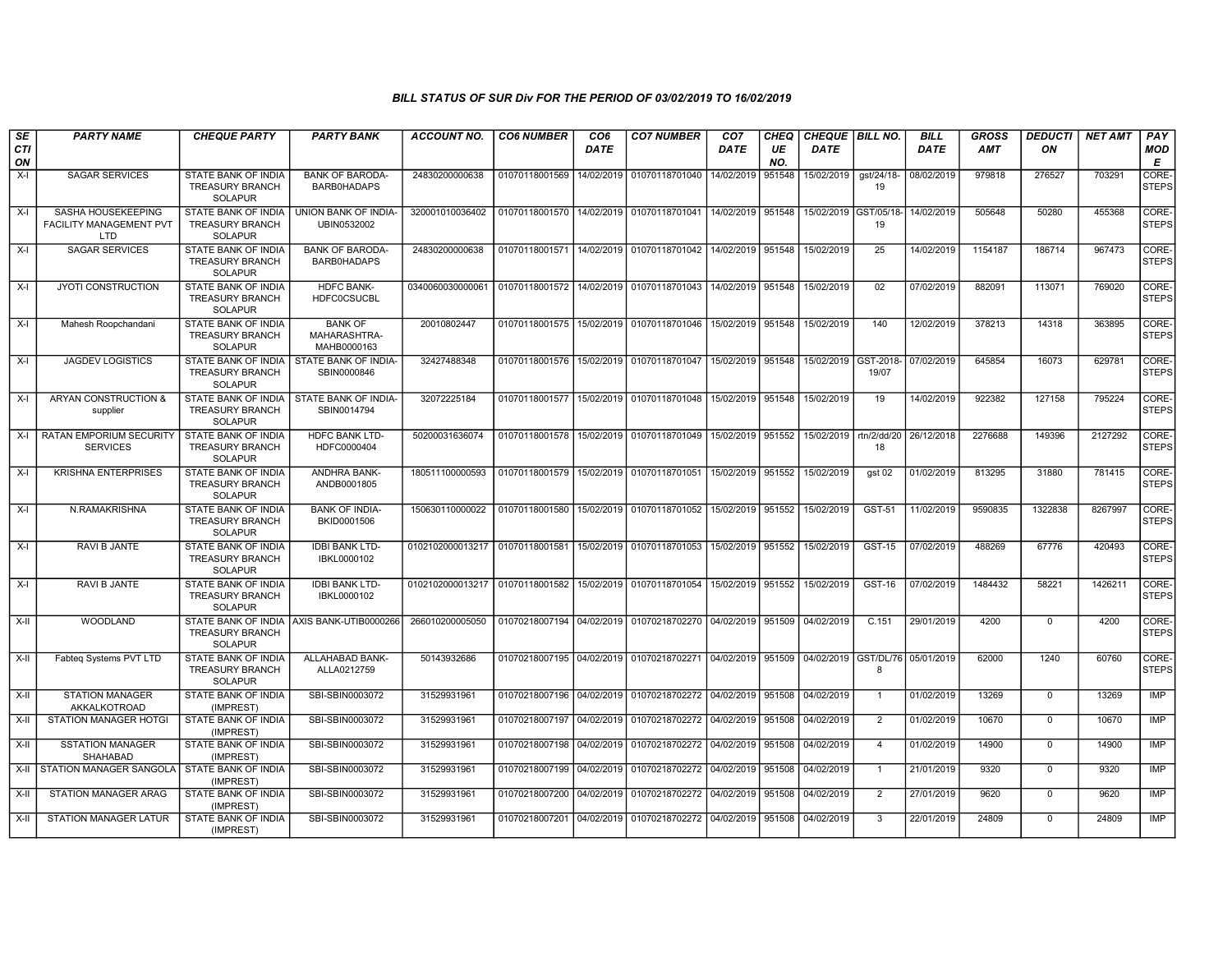| SE<br><b>CTI</b><br>ON | <b>PARTY NAME</b>                                                         | <b>CHEQUE PARTY</b>                                                    | <b>PARTY BANK</b>                             | ACCOUNT NO.                                                                            | <b>CO6 NUMBER</b>         | CO <sub>6</sub><br><b>DATE</b> | <b>CO7 NUMBER</b>                                                                          | CO <sub>7</sub><br><b>DATE</b> | CHEQ<br>UE<br>NO. | CHEQUE   BILL NO.<br><b>DATE</b> |                              | <b>BILL</b><br><b>DATE</b> | <b>GROSS</b><br><b>AMT</b> | <b>DEDUCTI</b><br>ON | <b>NET AMT</b> | PAY<br><b>MOD</b><br>E |
|------------------------|---------------------------------------------------------------------------|------------------------------------------------------------------------|-----------------------------------------------|----------------------------------------------------------------------------------------|---------------------------|--------------------------------|--------------------------------------------------------------------------------------------|--------------------------------|-------------------|----------------------------------|------------------------------|----------------------------|----------------------------|----------------------|----------------|------------------------|
| $X-I$                  | <b>SAGAR SERVICES</b>                                                     | STATE BANK OF INDIA<br><b>TREASURY BRANCH</b><br><b>SOLAPUR</b>        | <b>BANK OF BARODA-</b><br><b>BARB0HADAPS</b>  | 24830200000638                                                                         | 01070118001569            | 14/02/2019                     | 01070118701040                                                                             | 14/02/2019                     | 951548            | 15/02/2019                       | gst/24/18-<br>19             | 08/02/2019                 | 979818                     | 276527               | 703291         | CORE-<br><b>STEPS</b>  |
| $X-I$                  | <b>SASHA HOUSEKEEPING</b><br><b>FACILITY MANAGEMENT PVT</b><br><b>LTD</b> | STATE BANK OF INDIA<br><b>TREASURY BRANCH</b><br><b>SOLAPUR</b>        | UNION BANK OF INDIA-<br>UBIN0532002           | 320001010036402                                                                        | 01070118001570            |                                | 14/02/2019 01070118701041                                                                  | 14/02/2019 951548              |                   | 15/02/2019 GST/05/18-            | 19                           | 14/02/2019                 | 505648                     | 50280                | 455368         | CORE-<br><b>STEPS</b>  |
| $X-I$                  | <b>SAGAR SERVICES</b>                                                     | STATE BANK OF INDIA<br><b>TREASURY BRANCH</b><br><b>SOLAPUR</b>        | <b>BANK OF BARODA-</b><br><b>BARB0HADAPS</b>  | 24830200000638                                                                         | 01070118001571 14/02/2019 |                                | 01070118701042 14/02/2019 951548                                                           |                                |                   | 15/02/2019                       | 25                           | 14/02/2019                 | 1154187                    | 186714               | 967473         | CORE-<br><b>STEPS</b>  |
| $X-I$                  | <b>JYOTI CONSTRUCTION</b>                                                 | <b>STATE BANK OF INDIA</b><br><b>TREASURY BRANCH</b><br><b>SOLAPUR</b> | <b>HDFC BANK-</b><br><b>HDFC0CSUCBL</b>       | 0340060030000061                                                                       | 01070118001572            | 14/02/2019                     | 01070118701043   14/02/2019   951548                                                       |                                |                   | 15/02/2019                       | 02                           | 07/02/2019                 | 882091                     | 113071               | 769020         | CORE-<br><b>STEPS</b>  |
| X-I                    | Mahesh Roopchandani                                                       | STATE BANK OF INDIA<br><b>TREASURY BRANCH</b><br><b>SOLAPUR</b>        | <b>BANK OF</b><br>MAHARASHTRA-<br>MAHB0000163 | 20010802447                                                                            | 01070118001575 15/02/2019 |                                | 01070118701046 15/02/2019 951548                                                           |                                |                   | 15/02/2019                       | 140                          | 12/02/2019                 | 378213                     | 14318                | 363895         | CORE-<br><b>STEPS</b>  |
| $X-I$                  | <b>JAGDEV LOGISTICS</b>                                                   | STATE BANK OF INDIA<br><b>TREASURY BRANCH</b><br>SOLAPUR               | STATE BANK OF INDIA-<br>SBIN0000846           | 32427488348                                                                            | 01070118001576            | 15/02/2019                     | 01070118701047                                                                             | 15/02/2019 951548              |                   | 15/02/2019                       | GST-2018-<br>19/07           | 07/02/2019                 | 645854                     | 16073                | 629781         | CORE-<br><b>STEPS</b>  |
| $X-I$                  | ARYAN CONSTRUCTION &<br>supplier                                          | STATE BANK OF INDIA<br><b>TREASURY BRANCH</b><br><b>SOLAPUR</b>        | STATE BANK OF INDIA-<br>SBIN0014794           | 32072225184                                                                            | 01070118001577            | 15/02/2019                     | 01070118701048                                                                             | 15/02/2019   951548            |                   | 15/02/2019                       | 19                           | 14/02/2019                 | 922382                     | 127158               | 795224         | CORE-<br><b>STEPS</b>  |
| X-I                    | <b>RATAN EMPORIUM SECURITY</b><br><b>SERVICES</b>                         | STATE BANK OF INDIA<br><b>TREASURY BRANCH</b><br><b>SOLAPUR</b>        | HDFC BANK LTD-<br>HDFC0000404                 | 50200031636074                                                                         | 01070118001578            | 15/02/2019                     | 01070118701049   15/02/2019   951552                                                       |                                |                   | 15/02/2019                       | rtn/2/dd/20 26/12/2018<br>18 |                            | 2276688                    | 149396               | 2127292        | CORE-<br><b>STEPS</b>  |
| X-I                    | <b>KRISHNA ENTERPRISES</b>                                                | STATE BANK OF INDIA<br><b>TREASURY BRANCH</b><br><b>SOLAPUR</b>        | ANDHRA BANK-<br>ANDB0001805                   | 180511100000593                                                                        | 01070118001579            |                                | 15/02/2019   01070118701051   15/02/2019   951552                                          |                                |                   | 15/02/2019                       | gst 02                       | 01/02/2019                 | 813295                     | 31880                | 781415         | CORE-<br><b>STEPS</b>  |
| X-I                    | N.RAMAKRISHNA                                                             | <b>STATE BANK OF INDIA</b><br><b>TREASURY BRANCH</b><br><b>SOLAPUR</b> | <b>BANK OF INDIA-</b><br>BKID0001506          | 150630110000022                                                                        | 01070118001580            | 15/02/2019                     | 01070118701052                                                                             | 15/02/2019 951552              |                   | 15/02/2019                       | GST-51                       | 11/02/2019                 | 9590835                    | 1322838              | 8267997        | CORE-<br><b>STEPS</b>  |
| $X-I$                  | RAVI B JANTE                                                              | STATE BANK OF INDIA<br><b>TREASURY BRANCH</b><br><b>SOLAPUR</b>        | <b>IDBI BANK LTD-</b><br>IBKL0000102          | 0102102000013217 01070118001581                                                        |                           | 15/02/2019                     | 01070118701053                                                                             | 15/02/2019 951552              |                   | 15/02/2019                       | GST-15                       | 07/02/2019                 | 488269                     | 67776                | 420493         | CORE-<br><b>STEPS</b>  |
| $X-I$                  | RAVI B JANTE                                                              | STATE BANK OF INDIA<br><b>TREASURY BRANCH</b><br><b>SOLAPUR</b>        | <b>IDBI BANK LTD-</b><br>IBKL0000102          | 0102102000013217 01070118001582 15/02/2019 01070118701054 15/02/2019 951552 15/02/2019 |                           |                                |                                                                                            |                                |                   |                                  | GST-16                       | 07/02/2019                 | 1484432                    | 58221                | 1426211        | CORE-<br><b>STEPS</b>  |
| X-II                   | WOODLAND                                                                  | <b>TREASURY BRANCH</b><br><b>SOLAPUR</b>                               | STATE BANK OF INDIA AXIS BANK-UTIB0000266     | 266010200005050                                                                        |                           |                                | 01070218007194 04/02/2019 01070218702270 04/02/2019 951509                                 |                                |                   | 04/02/2019                       | C.151                        | 29/01/2019                 | 4200                       | 0                    | 4200           | CORE-<br><b>STEPS</b>  |
| X-II                   | Fabteq Systems PVT LTD                                                    | <b>STATE BANK OF INDIA</b><br><b>TREASURY BRANCH</b><br><b>SOLAPUR</b> | ALLAHABAD BANK-<br>ALLA0212759                | 50143932686                                                                            |                           |                                | 01070218007195 04/02/2019 01070218702271 04/02/2019 951509 04/02/2019 GST/DL/76 05/01/2019 |                                |                   |                                  | -8                           |                            | 62000                      | 1240                 | 60760          | CORE-<br><b>STEPS</b>  |
| X-II                   | <b>STATION MANAGER</b><br>AKKALKOTROAD                                    | STATE BANK OF INDIA<br>(IMPREST)                                       | SBI-SBIN0003072                               | 31529931961                                                                            | 01070218007196 04/02/2019 |                                | 01070218702272 04/02/2019 951508                                                           |                                |                   | 04/02/2019                       | $\overline{1}$               | 01/02/2019                 | 13269                      | $\mathbf 0$          | 13269          | IMP                    |
| $X-II$                 | <b>STATION MANAGER HOTGI</b>                                              | <b>STATE BANK OF INDIA</b><br>(IMPREST)                                | SBI-SBIN0003072                               | 31529931961                                                                            | 01070218007197            | 04/02/2019                     | 01070218702272 04/02/2019 951508                                                           |                                |                   | 04/02/2019                       | $\overline{2}$               | 01/02/2019                 | 10670                      | $\Omega$             | 10670          | <b>IMP</b>             |
| X-II                   | <b>SSTATION MANAGER</b><br>SHAHABAD                                       | STATE BANK OF INDIA<br>(IMPREST)                                       | SBI-SBIN0003072                               | 31529931961                                                                            | 01070218007198            | 04/02/2019                     | 01070218702272 04/02/2019                                                                  |                                | 951508            | 04/02/2019                       | $\overline{4}$               | 01/02/2019                 | 14900                      | $\mathbf 0$          | 14900          | IMP                    |
|                        | X-II STATION MANAGER SANGOLA                                              | STATE BANK OF INDIA<br>(IMPREST)                                       | SBI-SBIN0003072                               | 31529931961                                                                            | 01070218007199            | 04/02/2019                     | 01070218702272 04/02/2019                                                                  |                                | 951508            | 04/02/2019                       | $\overline{1}$               | 21/01/2019                 | 9320                       | $\mathbf 0$          | 9320           | <b>IMP</b>             |
| $X-II$                 | STATION MANAGER ARAG                                                      | STATE BANK OF INDIA<br>(IMPREST)                                       | SBI-SBIN0003072                               | 31529931961                                                                            | 01070218007200 04/02/2019 |                                | 01070218702272 04/02/2019 951508                                                           |                                |                   | 04/02/2019                       | $\overline{2}$               | 27/01/2019                 | 9620                       | $\mathbf 0$          | 9620           | <b>IMP</b>             |
| X-II                   | <b>STATION MANAGER LATUR</b>                                              | STATE BANK OF INDIA<br>(IMPREST)                                       | SBI-SBIN0003072                               | 31529931961                                                                            | 01070218007201 04/02/2019 |                                | 01070218702272 04/02/2019                                                                  |                                | 951508            | 04/02/2019                       | 3                            | 22/01/2019                 | 24809                      | $\mathbf 0$          | 24809          | IMP                    |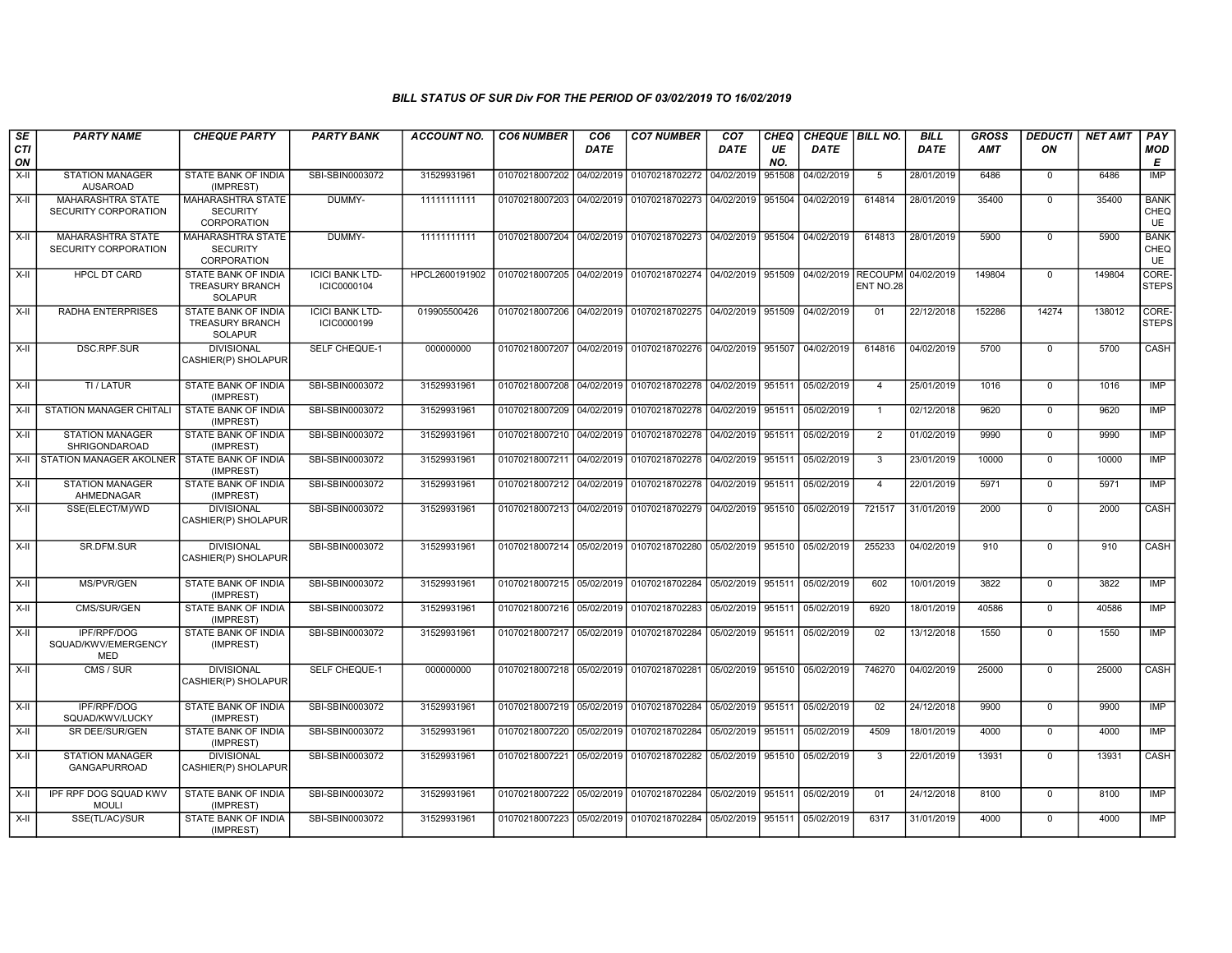| SE<br><b>CTI</b><br>ON | <b>PARTY NAME</b>                                | <b>CHEQUE PARTY</b>                                                    | <b>PARTY BANK</b>                     | ACCOUNT NO.    | <b>CO6 NUMBER</b>         | CO <sub>6</sub><br>DATE | <b>CO7 NUMBER</b>                                                             | CO <sub>7</sub><br>DATE | CHEQ<br>UE<br>NO. | CHEQUE   BILL NO.<br><b>DATE</b> |                | <b>BILL</b><br><b>DATE</b> | <b>GROSS</b><br><b>AMT</b> | <b>DEDUCTI</b><br>ON | <b>NET AMT</b> | <b>PAY</b><br><b>MOD</b><br>Е    |
|------------------------|--------------------------------------------------|------------------------------------------------------------------------|---------------------------------------|----------------|---------------------------|-------------------------|-------------------------------------------------------------------------------|-------------------------|-------------------|----------------------------------|----------------|----------------------------|----------------------------|----------------------|----------------|----------------------------------|
| $X-II$                 | <b>STATION MANAGER</b><br><b>AUSAROAD</b>        | STATE BANK OF INDIA<br>(IMPREST)                                       | SBI-SBIN0003072                       | 31529931961    | 01070218007202            | 04/02/2019              | 01070218702272                                                                | 04/02/2019              | 951508            | 04/02/2019                       | 5              | 28/01/2019                 | 6486                       | $\mathbf 0$          | 6486           | IMP                              |
| $X-H$                  | MAHARASHTRA STATE<br>SECURITY CORPORATION        | MAHARASHTRA STATE<br><b>SECURITY</b><br>CORPORATION                    | DUMMY-                                | 11111111111    | 01070218007203 04/02/2019 |                         | 01070218702273 04/02/2019 951504                                              |                         |                   | 04/02/2019                       | 614814         | 28/01/2019                 | 35400                      | $\Omega$             | 35400          | <b>BANK</b><br>CHEQ<br><b>UE</b> |
| $X-H$                  | <b>MAHARASHTRA STATE</b><br>SECURITY CORPORATION | <b>MAHARASHTRA STATE</b><br><b>SECURITY</b><br>CORPORATION             | DUMMY-                                | 11111111111    | 01070218007204 04/02/2019 |                         | 01070218702273 04/02/2019 951504 04/02/2019                                   |                         |                   |                                  | 614813         | 28/01/2019                 | 5900                       | $\overline{0}$       | 5900           | <b>BANK</b><br>CHEQ<br><b>UE</b> |
| $X-H$                  | <b>HPCL DT CARD</b>                              | STATE BANK OF INDIA<br><b>TREASURY BRANCH</b><br><b>SOLAPUR</b>        | <b>ICICI BANK LTD-</b><br>ICIC0000104 | HPCL2600191902 |                           |                         | 01070218007205 04/02/2019 01070218702274 04/02/2019 951509 04/02/2019 RECOUPM |                         |                   |                                  | ENT NO.28      | 04/02/2019                 | 149804                     | $\Omega$             | 149804         | CORE-<br><b>STEPS</b>            |
| $X-H$                  | <b>RADHA ENTERPRISES</b>                         | <b>STATE BANK OF INDIA</b><br><b>TREASURY BRANCH</b><br><b>SOLAPUR</b> | <b>ICICI BANK LTD-</b><br>ICIC0000199 | 019905500426   | 01070218007206            | 04/02/2019              | 01070218702275 04/02/2019                                                     |                         | 951509            | 04/02/2019                       | 01             | 22/12/2018                 | 152286                     | 14274                | 138012         | CORE-<br><b>STEPS</b>            |
| $X-II$                 | <b>DSC.RPF.SUR</b>                               | <b>DIVISIONAL</b><br>CASHIER(P) SHOLAPUR                               | <b>SELF CHEQUE-1</b>                  | 000000000      | 01070218007207            | 04/02/2019              | 01070218702276 04/02/2019 951507                                              |                         |                   | 04/02/2019                       | 614816         | 04/02/2019                 | 5700                       | $\Omega$             | 5700           | CASH                             |
| X-II                   | TI / LATUR                                       | STATE BANK OF INDIA<br>(IMPREST)                                       | SBI-SBIN0003072                       | 31529931961    | 01070218007208 04/02/2019 |                         | 01070218702278 04/02/2019 951511                                              |                         |                   | 05/02/2019                       | $\overline{4}$ | 25/01/2019                 | 1016                       | $\overline{0}$       | 1016           | IMP                              |
| X-II                   | <b>STATION MANAGER CHITALI</b>                   | <b>STATE BANK OF INDIA</b><br>(IMPREST)                                | SBI-SBIN0003072                       | 31529931961    | 01070218007209 04/02/2019 |                         | 01070218702278 04/02/2019 951511                                              |                         |                   | 05/02/2019                       | $\overline{1}$ | 02/12/2018                 | 9620                       | $\overline{0}$       | 9620           | IMP                              |
| X-II                   | <b>STATION MANAGER</b><br><b>SHRIGONDAROAD</b>   | STATE BANK OF INDIA<br>(IMPREST)                                       | SBI-SBIN0003072                       | 31529931961    | 01070218007210 04/02/2019 |                         | 01070218702278 04/02/2019 951511                                              |                         |                   | 05/02/2019                       | $\overline{2}$ | 01/02/2019                 | 9990                       | $\Omega$             | 9990           | IMP                              |
| $X-H$                  | STATION MANAGER AKOLNER                          | STATE BANK OF INDIA<br>(IMPREST)                                       | SBI-SBIN0003072                       | 31529931961    | 01070218007211 04/02/2019 |                         | 01070218702278 04/02/2019 951511                                              |                         |                   | 05/02/2019                       | $\overline{3}$ | 23/01/2019                 | 10000                      | $\overline{0}$       | 10000          | <b>IMP</b>                       |
| $X-H$                  | <b>STATION MANAGER</b><br>AHMEDNAGAR             | STATE BANK OF INDIA<br>(IMPREST)                                       | SBI-SBIN0003072                       | 31529931961    | 01070218007212 04/02/2019 |                         | 01070218702278 04/02/2019 951511                                              |                         |                   | 05/02/2019                       | $\overline{4}$ | 22/01/2019                 | 5971                       | $\overline{0}$       | 5971           | IMP                              |
| X-II                   | SSE(ELECT/M)/WD                                  | <b>DIVISIONAL</b><br>CASHIER(P) SHOLAPUR                               | SBI-SBIN0003072                       | 31529931961    |                           |                         | 01070218007213 04/02/2019 01070218702279 04/02/2019 951510 05/02/2019         |                         |                   |                                  | 721517         | 31/01/2019                 | 2000                       | $\Omega$             | 2000           | <b>CASH</b>                      |
| X-II                   | SR.DFM.SUR                                       | <b>DIVISIONAL</b><br>CASHIER(P) SHOLAPUR                               | SBI-SBIN0003072                       | 31529931961    |                           |                         | 01070218007214 05/02/2019 01070218702280 05/02/2019 951510 05/02/2019         |                         |                   |                                  | 255233         | 04/02/2019                 | 910                        | $\mathbf 0$          | 910            | CASH                             |
| X-II                   | MS/PVR/GEN                                       | STATE BANK OF INDIA<br>(IMPREST)                                       | SBI-SBIN0003072                       | 31529931961    | 01070218007215 05/02/2019 |                         | 01070218702284 05/02/2019 951511                                              |                         |                   | 05/02/2019                       | 602            | 10/01/2019                 | 3822                       | $\mathbf 0$          | 3822           | IMP                              |
| $X-H$                  | CMS/SUR/GEN                                      | STATE BANK OF INDIA<br>(IMPREST)                                       | SBI-SBIN0003072                       | 31529931961    | 01070218007216 05/02/2019 |                         | 01070218702283 05/02/2019 951511                                              |                         |                   | 05/02/2019                       | 6920           | 18/01/2019                 | 40586                      | $\mathbf 0$          | 40586          | IMP                              |
| X-II                   | <b>IPF/RPF/DOG</b><br>SQUAD/KWV/EMERGENCY<br>MED | STATE BANK OF INDIA<br>(IMPREST)                                       | SBI-SBIN0003072                       | 31529931961    | 01070218007217 05/02/2019 |                         | 01070218702284 05/02/2019 951511 05/02/2019                                   |                         |                   |                                  | 02             | 13/12/2018                 | 1550                       | $\Omega$             | 1550           | IMP                              |
| X-II                   | CMS / SUR                                        | <b>DIVISIONAL</b><br>CASHIER(P) SHOLAPUR                               | <b>SELF CHEQUE-1</b>                  | 000000000      | 01070218007218 05/02/2019 |                         | 01070218702281 05/02/2019 951510 05/02/2019                                   |                         |                   |                                  | 746270         | 04/02/2019                 | 25000                      | $\mathbf 0$          | 25000          | CASH                             |
| $X-H$                  | <b>IPF/RPF/DOG</b><br>SQUAD/KWV/LUCKY            | STATE BANK OF INDIA<br>(IMPREST)                                       | SBI-SBIN0003072                       | 31529931961    | 01070218007219 05/02/2019 |                         | 01070218702284                                                                | 05/02/2019 951511       |                   | 05/02/2019                       | 02             | 24/12/2018                 | 9900                       | $\mathbf 0$          | 9900           | IMP                              |
| X-II                   | SR DEE/SUR/GEN                                   | STATE BANK OF INDIA<br>(IMPREST)                                       | SBI-SBIN0003072                       | 31529931961    | 01070218007220 05/02/2019 |                         | 01070218702284 05/02/2019 951511                                              |                         |                   | 05/02/2019                       | 4509           | 18/01/2019                 | 4000                       | $\overline{0}$       | 4000           | IMP                              |
| X-II                   | <b>STATION MANAGER</b><br>GANGAPURROAD           | <b>DIVISIONAL</b><br>CASHIER(P) SHOLAPUR                               | SBI-SBIN0003072                       | 31529931961    | 01070218007221 05/02/2019 |                         | 01070218702282 05/02/2019 951510                                              |                         |                   | 05/02/2019                       | 3              | 22/01/2019                 | 13931                      | $\Omega$             | 13931          | CASH                             |
| $X-H$                  | IPF RPF DOG SQUAD KWV<br><b>MOULI</b>            | STATE BANK OF INDIA<br>(IMPREST)                                       | SBI-SBIN0003072                       | 31529931961    | 01070218007222 05/02/2019 |                         | 01070218702284 05/02/2019 951511                                              |                         |                   | 05/02/2019                       | 01             | 24/12/2018                 | 8100                       | $\Omega$             | 8100           | <b>IMP</b>                       |
| X-II                   | SSE(TL/AC)/SUR                                   | STATE BANK OF INDIA<br>(IMPREST)                                       | SBI-SBIN0003072                       | 31529931961    | 01070218007223 05/02/2019 |                         | 01070218702284 05/02/2019 951511                                              |                         |                   | 05/02/2019                       | 6317           | 31/01/2019                 | 4000                       | $\overline{0}$       | 4000           | <b>IMP</b>                       |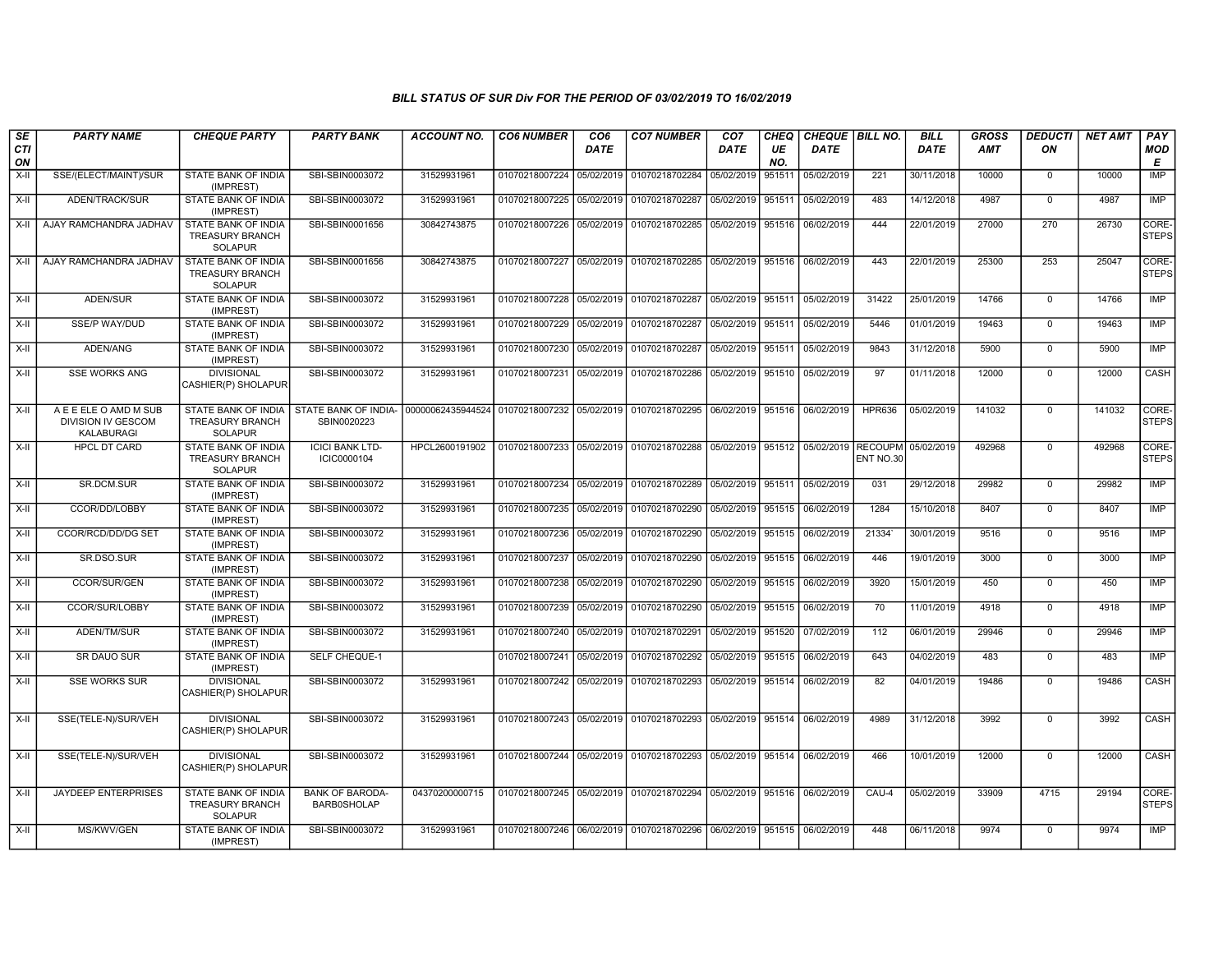| SE        | <b>PARTY NAME</b>                                         | <b>CHEQUE PARTY</b>                                             | <b>PARTY BANK</b>                            | <b>ACCOUNT NO.</b>               | <b>CO6 NUMBER</b>         | CO <sub>6</sub> | <b>CO7 NUMBER</b>                                                             | CO <sub>7</sub>   | CHEQ      | CHEQUE   BILL NO. |               | <b>BILL</b> | <b>GROSS</b> | <b>DEDUCTI</b> | <b>NET AMT</b> | <b>PAY</b>            |
|-----------|-----------------------------------------------------------|-----------------------------------------------------------------|----------------------------------------------|----------------------------------|---------------------------|-----------------|-------------------------------------------------------------------------------|-------------------|-----------|-------------------|---------------|-------------|--------------|----------------|----------------|-----------------------|
| CTI<br>ON |                                                           |                                                                 |                                              |                                  |                           | DATE            |                                                                               | <b>DATE</b>       | UE<br>NO. | <b>DATE</b>       |               | <b>DATE</b> | <b>AMT</b>   | ON             |                | <b>MOD</b><br>Е       |
| X-II      | SSE/(ELECT/MAINT)/SUR                                     | STATE BANK OF INDIA<br>(IMPREST)                                | SBI-SBIN0003072                              | 31529931961                      | 01070218007224            | 05/02/2019      | 01070218702284                                                                | 05/02/2019        | 951511    | 05/02/2019        | 221           | 30/11/2018  | 10000        | $\mathbf 0$    | 10000          | <b>IMP</b>            |
| $X-II$    | ADEN/TRACK/SUR                                            | STATE BANK OF INDIA<br>(IMPREST)                                | SBI-SBIN0003072                              | 31529931961                      | 01070218007225            | 05/02/2019      | 01070218702287                                                                | 05/02/2019        | 951511    | 05/02/2019        | 483           | 14/12/2018  | 4987         | $\overline{0}$ | 4987           | <b>IMP</b>            |
| X-II      | AJAY RAMCHANDRA JADHAV                                    | STATE BANK OF INDIA<br><b>TREASURY BRANCH</b><br><b>SOLAPUR</b> | SBI-SBIN0001656                              | 30842743875                      | 01070218007226 05/02/2019 |                 | 01070218702285 05/02/2019 951516                                              |                   |           | 06/02/2019        | 444           | 22/01/2019  | 27000        | 270            | 26730          | CORE-<br><b>STEPS</b> |
| X-II      | AJAY RAMCHANDRA JADHAV                                    | STATE BANK OF INDIA<br><b>TREASURY BRANCH</b><br><b>SOLAPUR</b> | SBI-SBIN0001656                              | 30842743875                      | 01070218007227 05/02/2019 |                 | 01070218702285 05/02/2019 951516                                              |                   |           | 06/02/2019        | 443           | 22/01/2019  | 25300        | 253            | 25047          | CORE-<br><b>STEPS</b> |
| X-II      | ADEN/SUR                                                  | STATE BANK OF INDIA<br>(IMPREST)                                | SBI-SBIN0003072                              | 31529931961                      | 01070218007228            | 05/02/2019      | 01070218702287 05/02/2019 951511                                              |                   |           | 05/02/2019        | 31422         | 25/01/2019  | 14766        | $\mathbf 0$    | 14766          | IMP                   |
| X-II      | SSE/P WAY/DUD                                             | STATE BANK OF INDIA<br>(IMPREST)                                | SBI-SBIN0003072                              | 31529931961                      | 01070218007229            | 05/02/2019      | 01070218702287                                                                | 05/02/2019 951511 |           | 05/02/2019        | 5446          | 01/01/2019  | 19463        | $\Omega$       | 19463          | IMP                   |
| $X-H$     | ADEN/ANG                                                  | STATE BANK OF INDIA<br>(IMPREST)                                | SBI-SBIN0003072                              | 31529931961                      | 01070218007230            | 05/02/2019      | 01070218702287                                                                | 05/02/2019        | 951511    | 05/02/2019        | 9843          | 31/12/2018  | 5900         | $\mathbf 0$    | 5900           | <b>IMP</b>            |
| X-II      | <b>SSE WORKS ANG</b>                                      | <b>DIVISIONAL</b><br>CASHIER(P) SHOLAPUR                        | SBI-SBIN0003072                              | 31529931961                      | 01070218007231 05/02/2019 |                 | 01070218702286 05/02/2019 951510 05/02/2019                                   |                   |           |                   | 97            | 01/11/2018  | 12000        | $\mathbf 0$    | 12000          | CASH                  |
| $X-H$     | A E E ELE O AMD M SUB<br>DIVISION IV GESCOM<br>KALABURAGI | STATE BANK OF INDIA<br><b>TREASURY BRANCH</b><br><b>SOLAPUR</b> | STATE BANK OF INDIA-<br>SBIN0020223          | 00000062435944524 01070218007232 |                           | 05/02/2019      | 01070218702295 06/02/2019 951516 06/02/2019                                   |                   |           |                   | <b>HPR636</b> | 05/02/2019  | 141032       | $\mathbf 0$    | 141032         | CORE-<br><b>STEPS</b> |
| X-II      | <b>HPCL DT CARD</b>                                       | STATE BANK OF INDIA<br><b>TREASURY BRANCH</b><br><b>SOLAPUR</b> | <b>ICICI BANK LTD-</b><br>ICIC0000104        | HPCL2600191902                   |                           |                 | 01070218007233 05/02/2019 01070218702288 05/02/2019 951512 05/02/2019 RECOUPM |                   |           |                   | ENT NO.30     | 05/02/2019  | 492968       | $\Omega$       | 492968         | CORE-<br><b>STEPS</b> |
| X-II      | SR.DCM.SUR                                                | STATE BANK OF INDIA<br>(IMPREST)                                | SBI-SBIN0003072                              | 31529931961                      | 01070218007234 05/02/2019 |                 | 01070218702289 05/02/2019 951511                                              |                   |           | 05/02/2019        | 031           | 29/12/2018  | 29982        | $\mathbf 0$    | 29982          | <b>IMP</b>            |
| X-II      | CCOR/DD/LOBBY                                             | STATE BANK OF INDIA<br>(IMPREST)                                | SBI-SBIN0003072                              | 31529931961                      | 01070218007235 05/02/2019 |                 | 01070218702290 05/02/2019                                                     |                   | 951515    | 06/02/2019        | 1284          | 15/10/2018  | 8407         | $\mathbf 0$    | 8407           | IMP                   |
| X-II      | CCOR/RCD/DD/DG SET                                        | STATE BANK OF INDIA<br>(IMPREST)                                | SBI-SBIN0003072                              | 31529931961                      | 01070218007236            | 05/02/2019      | 01070218702290 05/02/2019 951515                                              |                   |           | 06/02/2019        | 21334         | 30/01/2019  | 9516         | $\Omega$       | 9516           | <b>IMP</b>            |
| X-II      | SR.DSO.SUR                                                | STATE BANK OF INDIA<br>(IMPREST)                                | SBI-SBIN0003072                              | 31529931961                      | 01070218007237            | 05/02/2019      | 01070218702290                                                                | 05/02/2019        | 951515    | 06/02/2019        | 446           | 19/01/2019  | 3000         | $\overline{0}$ | 3000           | IMP                   |
| X-II      | <b>CCOR/SUR/GEN</b>                                       | STATE BANK OF INDIA<br>(IMPREST)                                | SBI-SBIN0003072                              | 31529931961                      | 01070218007238            | 05/02/2019      | 01070218702290                                                                | 05/02/2019        | 951515    | 06/02/2019        | 3920          | 15/01/2019  | 450          | $\mathbf 0$    | 450            | IMP                   |
| X-II      | CCOR/SUR/LOBBY                                            | STATE BANK OF INDIA<br>(IMPREST)                                | SBI-SBIN0003072                              | 31529931961                      | 01070218007239            | 05/02/2019      | 01070218702290 05/02/2019 951515                                              |                   |           | 06/02/2019        | 70            | 11/01/2019  | 4918         | $\mathbf 0$    | 4918           | <b>IMP</b>            |
| X-II      | ADEN/TM/SUR                                               | STATE BANK OF INDIA<br>(IMPREST)                                | SBI-SBIN0003072                              | 31529931961                      | 01070218007240            | 05/02/2019      | 01070218702291                                                                | 05/02/2019 951520 |           | 07/02/2019        | 112           | 06/01/2019  | 29946        | $\mathbf 0$    | 29946          | IMP                   |
| $X-II$    | SR DAUO SUR                                               | STATE BANK OF INDIA<br>(IMPREST)                                | SELF CHEQUE-1                                |                                  | 01070218007241            | 05/02/2019      | 01070218702292                                                                | 05/02/2019 951515 |           | 06/02/2019        | 643           | 04/02/2019  | 483          | $\mathbf 0$    | 483            | IMP                   |
| X-II      | <b>SSE WORKS SUR</b>                                      | <b>DIVISIONAL</b><br>CASHIER(P) SHOLAPUR                        | SBI-SBIN0003072                              | 31529931961                      | 01070218007242 05/02/2019 |                 | 01070218702293 05/02/2019 951514                                              |                   |           | 06/02/2019        | 82            | 04/01/2019  | 19486        | $\mathbf 0$    | 19486          | CASH                  |
| X-II      | SSE(TELE-N)/SUR/VEH                                       | <b>DIVISIONAL</b><br>CASHIER(P) SHOLAPUR                        | SBI-SBIN0003072                              | 31529931961                      | 01070218007243            | 05/02/2019      | 01070218702293                                                                | 05/02/2019 951514 |           | 06/02/2019        | 4989          | 31/12/2018  | 3992         | $\Omega$       | 3992           | CASH                  |
| X-II      | SSE(TELE-N)/SUR/VEH                                       | <b>DIVISIONAL</b><br>CASHIER(P) SHOLAPUR                        | SBI-SBIN0003072                              | 31529931961                      | 01070218007244            | 05/02/2019      | 01070218702293 05/02/2019 951514                                              |                   |           | 06/02/2019        | 466           | 10/01/2019  | 12000        | $\Omega$       | 12000          | <b>CASH</b>           |
| $X-H$     | <b>JAYDEEP ENTERPRISES</b>                                | STATE BANK OF INDIA<br><b>TREASURY BRANCH</b><br><b>SOLAPUR</b> | <b>BANK OF BARODA-</b><br><b>BARB0SHOLAP</b> | 04370200000715                   |                           |                 | 01070218007245 05/02/2019 01070218702294 05/02/2019 951516                    |                   |           | 06/02/2019        | CAU-4         | 05/02/2019  | 33909        | 4715           | 29194          | CORE-<br><b>STEPS</b> |
| X-II      | MS/KWV/GEN                                                | STATE BANK OF INDIA<br>(IMPREST)                                | SBI-SBIN0003072                              | 31529931961                      |                           |                 | 01070218007246 06/02/2019 01070218702296 06/02/2019 951515                    |                   |           | 06/02/2019        | 448           | 06/11/2018  | 9974         | $\mathbf 0$    | 9974           | IMP                   |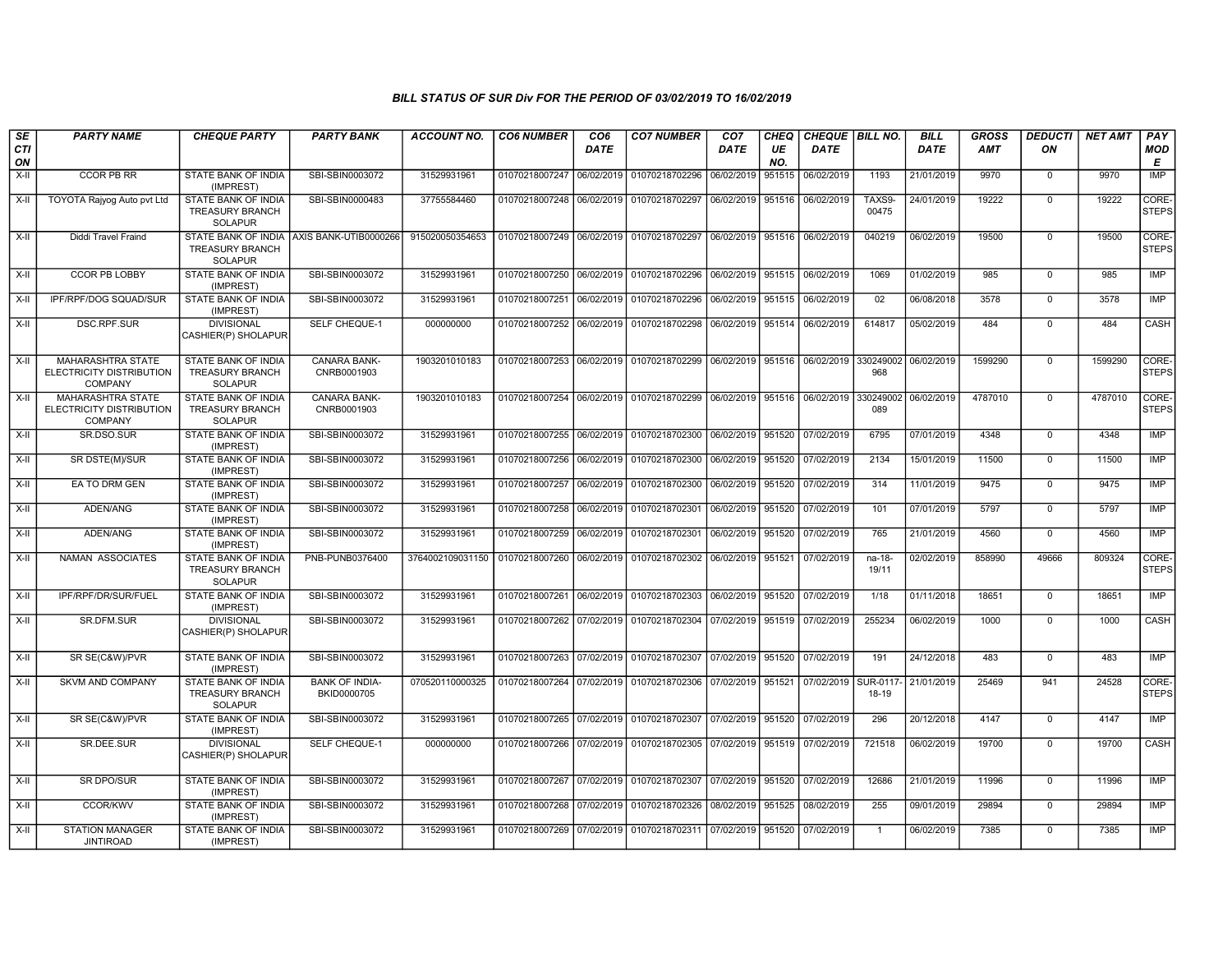| SE        | <b>PARTY NAME</b>                                                      | <b>CHEQUE PARTY</b>                                                    | <b>PARTY BANK</b>                         | ACCOUNT NO.      | <b>CO6 NUMBER</b>         | CO <sub>6</sub> | <b>CO7 NUMBER</b>                                                     | CO <sub>7</sub>   | CHEQ      | CHEQUE BILL NO. |                             | <b>BILL</b> | <b>GROSS</b> | <b>DEDUCTI</b> | <b>NET AMT</b> | PAY                   |
|-----------|------------------------------------------------------------------------|------------------------------------------------------------------------|-------------------------------------------|------------------|---------------------------|-----------------|-----------------------------------------------------------------------|-------------------|-----------|-----------------|-----------------------------|-------------|--------------|----------------|----------------|-----------------------|
| CTI<br>ON |                                                                        |                                                                        |                                           |                  |                           | <b>DATE</b>     |                                                                       | <b>DATE</b>       | UE<br>NO. | <b>DATE</b>     |                             | <b>DATE</b> | AMT          | ON             |                | <b>MOD</b><br>Е       |
| X-II      | CCOR PB RR                                                             | STATE BANK OF INDIA<br>(IMPREST)                                       | SBI-SBIN0003072                           | 31529931961      | 01070218007247            | 06/02/2019      | 01070218702296                                                        | 06/02/2019        | 951515    | 06/02/2019      | 1193                        | 21/01/2019  | 9970         | $\mathbf 0$    | 9970           | <b>IMP</b>            |
| X-II      | TOYOTA Rajyog Auto pvt Ltd                                             | STATE BANK OF INDIA<br><b>TREASURY BRANCH</b><br><b>SOLAPUR</b>        | SBI-SBIN0000483                           | 37755584460      | 01070218007248 06/02/2019 |                 | 01070218702297 06/02/2019 951516                                      |                   |           | 06/02/2019      | TAXS9-<br>00475             | 24/01/2019  | 19222        | $\overline{0}$ | 19222          | CORE-<br><b>STEPS</b> |
| X-II      | Diddi Travel Fraind                                                    | <b>TREASURY BRANCH</b><br><b>SOLAPUR</b>                               | STATE BANK OF INDIA AXIS BANK-UTIB0000266 | 915020050354653  |                           |                 | 01070218007249 06/02/2019 01070218702297 06/02/2019 951516 06/02/2019 |                   |           |                 | 040219                      | 06/02/2019  | 19500        | $\mathbf 0$    | 19500          | CORE-<br><b>STEPS</b> |
| X-II      | <b>CCOR PB LOBBY</b>                                                   | STATE BANK OF INDIA<br>(IMPREST)                                       | SBI-SBIN0003072                           | 31529931961      |                           |                 | 01070218007250 06/02/2019 01070218702296                              | 06/02/2019        | 951515    | 06/02/2019      | 1069                        | 01/02/2019  | 985          | $\mathbf 0$    | 985            | IMP                   |
| X-II      | IPF/RPF/DOG SQUAD/SUR                                                  | STATE BANK OF INDIA<br>(IMPREST)                                       | SBI-SBIN0003072                           | 31529931961      | 01070218007251            | 06/02/2019      | 01070218702296                                                        | 06/02/2019 951515 |           | 06/02/2019      | 02                          | 06/08/2018  | 3578         | $\mathbf 0$    | 3578           | IMP                   |
| X-II      | DSC.RPF.SUR                                                            | <b>DIVISIONAL</b><br>CASHIER(P) SHOLAPUR                               | SELF CHEQUE-1                             | 000000000        | 01070218007252            | 06/02/2019      | 01070218702298                                                        | 06/02/2019 951514 |           | 06/02/2019      | 614817                      | 05/02/2019  | 484          | $\Omega$       | 484            | CASH                  |
| X-II      | <b>MAHARASHTRA STATE</b><br>ELECTRICITY DISTRIBUTION<br>COMPANY        | <b>STATE BANK OF INDIA</b><br><b>TREASURY BRANCH</b><br><b>SOLAPUR</b> | <b>CANARA BANK-</b><br>CNRB0001903        | 1903201010183    |                           |                 | 01070218007253 06/02/2019 01070218702299 06/02/2019 951516            |                   |           | 06/02/2019      | 330249002<br>968            | 06/02/2019  | 1599290      | $\Omega$       | 1599290        | CORE-<br><b>STEPS</b> |
| X-II      | <b>MAHARASHTRA STATE</b><br>ELECTRICITY DISTRIBUTION<br><b>COMPANY</b> | STATE BANK OF INDIA<br><b>TREASURY BRANCH</b><br><b>SOLAPUR</b>        | <b>CANARA BANK-</b><br>CNRB0001903        | 1903201010183    |                           |                 | 01070218007254 06/02/2019 01070218702299 06/02/2019 951516 06/02/2019 |                   |           |                 | 330249002 06/02/2019<br>089 |             | 4787010      | $\mathbf 0$    | 4787010        | CORE-<br><b>STEPS</b> |
| $X-II$    | SR.DSO.SUR                                                             | STATE BANK OF INDIA<br>(IMPREST)                                       | SBI-SBIN0003072                           | 31529931961      |                           |                 | 01070218007255 06/02/2019 01070218702300 06/02/2019                   |                   | 951520    | 07/02/2019      | 6795                        | 07/01/2019  | 4348         | $\mathbf 0$    | 4348           | IMP                   |
| X-II      | SR DSTE(M)/SUR                                                         | STATE BANK OF INDIA<br>(IMPREST)                                       | SBI-SBIN0003072                           | 31529931961      | 01070218007256 06/02/2019 |                 | 01070218702300                                                        | 06/02/2019        | 951520    | 07/02/2019      | 2134                        | 15/01/2019  | 11500        | $\mathbf 0$    | 11500          | IMP                   |
| $X-H$     | EA TO DRM GEN                                                          | STATE BANK OF INDIA<br>(IMPREST)                                       | SBI-SBIN0003072                           | 31529931961      | 01070218007257 06/02/2019 |                 | 01070218702300                                                        | 06/02/2019        | 951520    | 07/02/2019      | 314                         | 11/01/2019  | 9475         | $\mathbf 0$    | 9475           | <b>IMP</b>            |
| X-II      | ADEN/ANG                                                               | STATE BANK OF INDIA<br>(IMPREST)                                       | SBI-SBIN0003072                           | 31529931961      | 01070218007258 06/02/2019 |                 | 01070218702301 06/02/2019                                             |                   | 951520    | 07/02/2019      | 101                         | 07/01/2019  | 5797         | $\mathbf 0$    | 5797           | IMP                   |
| X-II      | ADEN/ANG                                                               | STATE BANK OF INDIA<br>(IMPREST)                                       | SBI-SBIN0003072                           | 31529931961      | 01070218007259 06/02/2019 |                 | 01070218702301 06/02/2019 951520                                      |                   |           | 07/02/2019      | 765                         | 21/01/2019  | 4560         | $\Omega$       | 4560           | <b>IMP</b>            |
| X-II      | NAMAN ASSOCIATES                                                       | STATE BANK OF INDIA<br><b>TREASURY BRANCH</b><br><b>SOLAPUR</b>        | PNB-PUNB0376400                           | 3764002109031150 | 01070218007260            | 06/02/2019      | 01070218702302                                                        | 06/02/2019        | 951521    | 07/02/2019      | $na-18-$<br>19/11           | 02/02/2019  | 858990       | 49666          | 809324         | CORE-<br><b>STEPS</b> |
| $X-II$    | IPF/RPF/DR/SUR/FUEL                                                    | <b>STATE BANK OF INDIA</b><br>(IMPREST)                                | SBI-SBIN0003072                           | 31529931961      | 01070218007261            | 06/02/2019      | 01070218702303 06/02/2019                                             |                   | 951520    | 07/02/2019      | 1/18                        | 01/11/2018  | 18651        | $\mathbf 0$    | 18651          | IMP                   |
| X-II      | SR.DFM.SUR                                                             | <b>DIVISIONAL</b><br>CASHIER(P) SHOLAPUR                               | SBI-SBIN0003072                           | 31529931961      | 01070218007262 07/02/2019 |                 | 01070218702304 07/02/2019 951519                                      |                   |           | 07/02/2019      | 255234                      | 06/02/2019  | 1000         | $\mathbf 0$    | 1000           | CASH                  |
| X-II      | SR SE(C&W)/PVR                                                         | STATE BANK OF INDIA<br>(IMPREST)                                       | SBI-SBIN0003072                           | 31529931961      | 01070218007263 07/02/2019 |                 | 01070218702307 07/02/2019                                             |                   | 951520    | 07/02/2019      | 191                         | 24/12/2018  | 483          | $\Omega$       | 483            | <b>IMP</b>            |
| X-II      | SKVM AND COMPANY                                                       | STATE BANK OF INDIA<br><b>TREASURY BRANCH</b><br><b>SOLAPUR</b>        | <b>BANK OF INDIA-</b><br>BKID0000705      | 070520110000325  | 01070218007264            | 07/02/2019      | 01070218702306                                                        | 07/02/2019        | 951521    | 07/02/2019      | SUR-0117<br>18-19           | 21/01/2019  | 25469        | 941            | 24528          | CORE-<br><b>STEPS</b> |
| X-II      | SR SE(C&W)/PVR                                                         | <b>STATE BANK OF INDIA</b><br>(IMPREST)                                | SBI-SBIN0003072                           | 31529931961      |                           |                 | 01070218007265 07/02/2019 01070218702307 07/02/2019 951520            |                   |           | 07/02/2019      | 296                         | 20/12/2018  | 4147         | $\mathbf 0$    | 4147           | IMP                   |
| X-II      | SR.DEE.SUR                                                             | <b>DIVISIONAL</b><br>CASHIER(P) SHOLAPUR                               | SELF CHEQUE-1                             | 000000000        |                           |                 | 01070218007266 07/02/2019 01070218702305 07/02/2019 951519            |                   |           | 07/02/2019      | 721518                      | 06/02/2019  | 19700        | $\mathbf 0$    | 19700          | CASH                  |
| X-II      | <b>SR DPO/SUR</b>                                                      | <b>STATE BANK OF INDIA</b><br>(IMPREST)                                | SBI-SBIN0003072                           | 31529931961      |                           |                 | 01070218007267 07/02/2019 01070218702307 07/02/2019 951520            |                   |           | 07/02/2019      | 12686                       | 21/01/2019  | 11996        | $\overline{0}$ | 11996          | IMP                   |
| X-II      | <b>CCOR/KWV</b>                                                        | STATE BANK OF INDIA<br>(IMPREST)                                       | SBI-SBIN0003072                           | 31529931961      | 01070218007268 07/02/2019 |                 | 01070218702326                                                        | 08/02/2019        | 951525    | 08/02/2019      | 255                         | 09/01/2019  | 29894        | $\Omega$       | 29894          | <b>IMP</b>            |
| X-II      | <b>STATION MANAGER</b><br><b>JINTIROAD</b>                             | STATE BANK OF INDIA<br>(IMPREST)                                       | SBI-SBIN0003072                           | 31529931961      |                           |                 | 01070218007269 07/02/2019 01070218702311 07/02/2019 951520            |                   |           | 07/02/2019      | $\overline{1}$              | 06/02/2019  | 7385         | $\Omega$       | 7385           | IMP                   |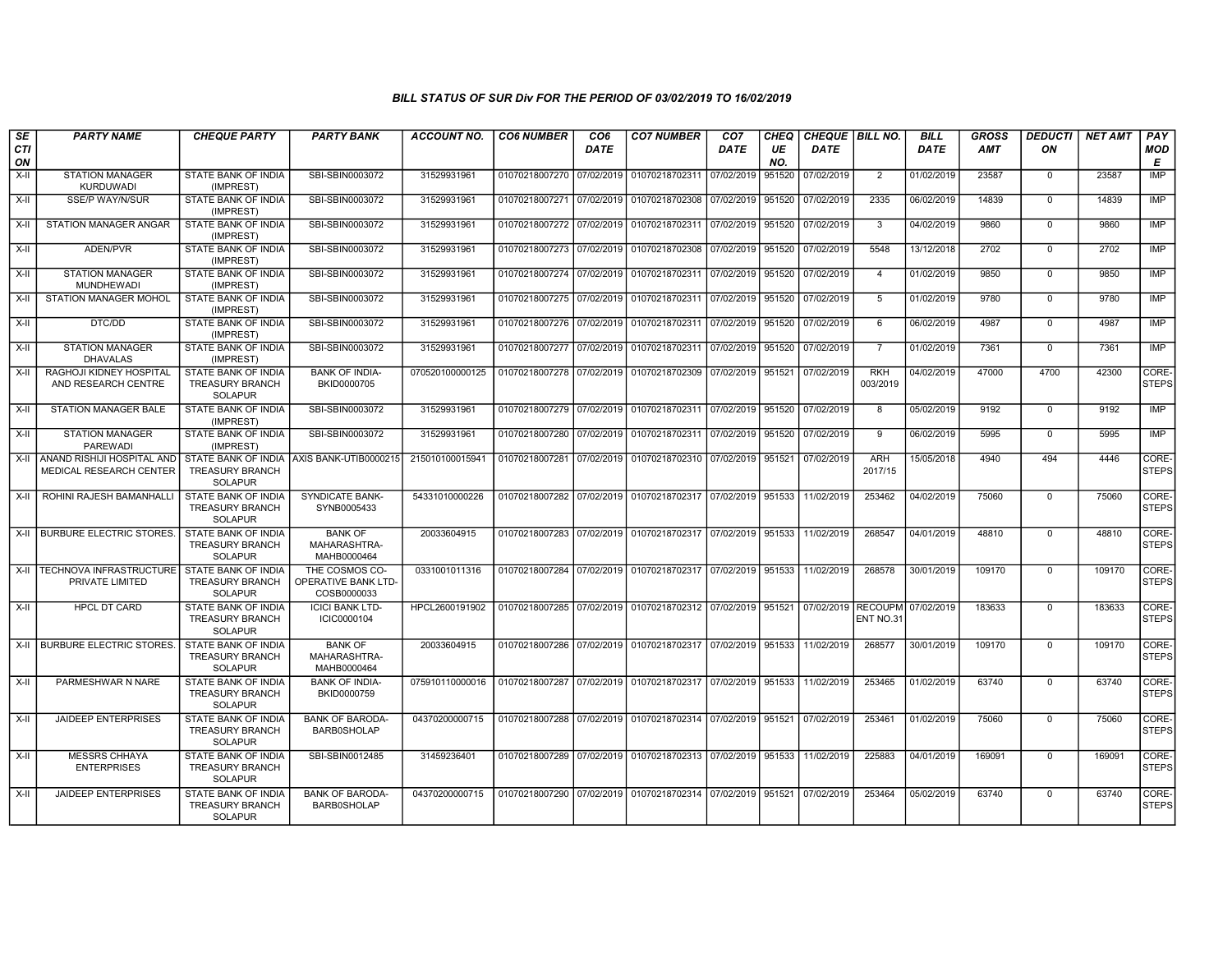| <b>SE</b><br>CTI | <b>PARTY NAME</b>                                          | <b>CHEQUE PARTY</b>                                                    | <b>PARTY BANK</b>                                           | <b>ACCOUNT NO.</b> | <b>CO6 NUMBER</b>         | CO <sub>6</sub><br><b>DATE</b> | <b>CO7 NUMBER</b>                                                     | CO <sub>7</sub><br>DATE | <b>CHEQ</b><br>UE | CHEQUE BILL NO.<br><b>DATE</b> |                        | <b>BILL</b><br><b>DATE</b> | <b>GROSS</b><br><b>AMT</b> | <b>DEDUCTI</b><br>ON | <b>NET AMT</b> | PAY<br><b>MOD</b>     |
|------------------|------------------------------------------------------------|------------------------------------------------------------------------|-------------------------------------------------------------|--------------------|---------------------------|--------------------------------|-----------------------------------------------------------------------|-------------------------|-------------------|--------------------------------|------------------------|----------------------------|----------------------------|----------------------|----------------|-----------------------|
| ON<br>$X-II$     | <b>STATION MANAGER</b>                                     | STATE BANK OF INDIA                                                    | SBI-SBIN0003072                                             | 31529931961        | 01070218007270 07/02/2019 |                                | 01070218702311 07/02/2019                                             |                         | NO.<br>951520     | 07/02/2019                     | $\overline{2}$         | 01/02/2019                 | 23587                      | $\mathbf 0$          | 23587          | E<br><b>IMP</b>       |
| X-II             | <b>KURDUWADI</b><br><b>SSE/P WAY/N/SUR</b>                 | (IMPREST)<br>STATE BANK OF INDIA<br>(IMPREST)                          | SBI-SBIN0003072                                             | 31529931961        | 01070218007271 07/02/2019 |                                | 01070218702308 07/02/2019 951520                                      |                         |                   | 07/02/2019                     | 2335                   | 06/02/2019                 | 14839                      | $\overline{0}$       | 14839          | <b>IMP</b>            |
| $X-I$            | STATION MANAGER ANGAR                                      | STATE BANK OF INDIA<br>(IMPREST)                                       | SBI-SBIN0003072                                             | 31529931961        | 01070218007272 07/02/2019 |                                | 01070218702311 07/02/2019 951520                                      |                         |                   | 07/02/2019                     | 3                      | 04/02/2019                 | 9860                       | $\Omega$             | 9860           | <b>IMP</b>            |
| X-II             | ADEN/PVR                                                   | <b>STATE BANK OF INDIA</b><br>(IMPREST)                                | SBI-SBIN0003072                                             | 31529931961        | 01070218007273 07/02/2019 |                                | 01070218702308 07/02/2019 951520                                      |                         |                   | 07/02/2019                     | 5548                   | 13/12/2018                 | 2702                       | $\mathbf 0$          | 2702           | IMP                   |
| X-II             | <b>STATION MANAGER</b><br><b>MUNDHEWADI</b>                | STATE BANK OF INDIA<br>(IMPREST)                                       | SBI-SBIN0003072                                             | 31529931961        | 01070218007274 07/02/2019 |                                | 01070218702311 07/02/2019                                             |                         | 951520            | 07/02/2019                     | $\overline{4}$         | 01/02/2019                 | 9850                       | $\Omega$             | 9850           | <b>IMP</b>            |
| $X-H$            | STATION MANAGER MOHOL                                      | STATE BANK OF INDIA<br>(IMPREST)                                       | SBI-SBIN0003072                                             | 31529931961        | 01070218007275 07/02/2019 |                                | 01070218702311 07/02/2019 951520                                      |                         |                   | 07/02/2019                     | -5                     | 01/02/2019                 | 9780                       | $\Omega$             | 9780           | IMP                   |
| X-II             | DTC/DD                                                     | STATE BANK OF INDIA<br>(IMPREST)                                       | SBI-SBIN0003072                                             | 31529931961        | 01070218007276 07/02/2019 |                                | 01070218702311 07/02/2019   951520                                    |                         |                   | 07/02/2019                     | 6                      | 06/02/2019                 | 4987                       | 0                    | 4987           | IMP                   |
| X-II             | <b>STATION MANAGER</b><br><b>DHAVALAS</b>                  | STATE BANK OF INDIA<br>(IMPREST)                                       | SBI-SBIN0003072                                             | 31529931961        | 01070218007277 07/02/2019 |                                | 01070218702311 07/02/2019 951520                                      |                         |                   | 07/02/2019                     | $\overline{7}$         | 01/02/2019                 | 7361                       | $\mathbf 0$          | 7361           | IMP                   |
| $X-H$            | RAGHOJI KIDNEY HOSPITAL<br>AND RESEARCH CENTRE             | STATE BANK OF INDIA<br><b>TREASURY BRANCH</b><br><b>SOLAPUR</b>        | <b>BANK OF INDIA-</b><br>BKID0000705                        | 070520100000125    | 01070218007278 07/02/2019 |                                | 01070218702309 07/02/2019 951521                                      |                         |                   | 07/02/2019                     | <b>RKH</b><br>003/2019 | 04/02/2019                 | 47000                      | 4700                 | 42300          | CORE-<br><b>STEPS</b> |
| $X-II$           | <b>STATION MANAGER BALE</b>                                | STATE BANK OF INDIA<br>(IMPREST)                                       | SBI-SBIN0003072                                             | 31529931961        |                           |                                | 01070218007279 07/02/2019 01070218702311 07/02/2019 951520            |                         |                   | 07/02/2019                     | 8                      | 05/02/2019                 | 9192                       | $\Omega$             | 9192           | IMP                   |
| $X-H$            | <b>STATION MANAGER</b><br><b>PAREWADI</b>                  | STATE BANK OF INDIA<br>(IMPREST)                                       | SBI-SBIN0003072                                             | 31529931961        | 01070218007280            | 07/02/2019                     | 01070218702311 07/02/2019 951520                                      |                         |                   | 07/02/2019                     | 9                      | 06/02/2019                 | 5995                       | $\mathbf 0$          | 5995           | IMP                   |
|                  | X-II ANAND RISHIJI HOSPITAL AND<br>MEDICAL RESEARCH CENTER | <b>TREASURY BRANCH</b><br><b>SOLAPUR</b>                               | STATE BANK OF INDIA AXIS BANK-UTIB0000215                   | 215010100015941    | 01070218007281 07/02/2019 |                                | 01070218702310 07/02/2019 951521                                      |                         |                   | 07/02/2019                     | ARH<br>2017/15         | 15/05/2018                 | 4940                       | 494                  | 4446           | CORE-<br><b>STEPS</b> |
|                  | X-II ROHINI RAJESH BAMANHALLI                              | STATE BANK OF INDIA<br><b>TREASURY BRANCH</b><br><b>SOLAPUR</b>        | <b>SYNDICATE BANK-</b><br>SYNB0005433                       | 54331010000226     | 01070218007282 07/02/2019 |                                | 01070218702317 07/02/2019 951533 11/02/2019                           |                         |                   |                                | 253462                 | 04/02/2019                 | 75060                      | $\mathbf 0$          | 75060          | CORE-<br><b>STEPS</b> |
|                  | X-II BURBURE ELECTRIC STORES.                              | STATE BANK OF INDIA<br><b>TREASURY BRANCH</b><br><b>SOLAPUR</b>        | <b>BANK OF</b><br>MAHARASHTRA-<br>MAHB0000464               | 20033604915        | 01070218007283 07/02/2019 |                                | 01070218702317 07/02/2019 951533 11/02/2019                           |                         |                   |                                | 268547                 | 04/01/2019                 | 48810                      | $\mathbf 0$          | 48810          | CORE-<br><b>STEPS</b> |
|                  | X-II   TECHNOVA INFRASTRUCTURE<br>PRIVATE LIMITED          | STATE BANK OF INDIA<br><b>TREASURY BRANCH</b><br><b>SOLAPUR</b>        | THE COSMOS CO-<br><b>OPERATIVE BANK LTD-</b><br>COSB0000033 | 0331001011316      | 01070218007284            | 07/02/2019                     | 01070218702317 07/02/2019 951533 11/02/2019                           |                         |                   |                                | 268578                 | 30/01/2019                 | 109170                     | $\mathbf 0$          | 109170         | CORE-<br><b>STEPS</b> |
| $X-H$            | <b>HPCL DT CARD</b>                                        | STATE BANK OF INDIA<br><b>TREASURY BRANCH</b><br><b>SOLAPUR</b>        | <b>ICICI BANK LTD-</b><br>ICIC0000104                       | HPCL2600191902     | 01070218007285 07/02/2019 |                                | 01070218702312 07/02/2019 951521 07/02/2019 RECOUPM                   |                         |                   |                                | ENT NO.31              | 07/02/2019                 | 183633                     | $\overline{0}$       | 183633         | CORE-<br><b>STEPS</b> |
|                  | X-II BURBURE ELECTRIC STORES.                              | <b>STATE BANK OF INDIA</b><br><b>TREASURY BRANCH</b><br><b>SOLAPUR</b> | <b>BANK OF</b><br>MAHARASHTRA-<br>MAHB0000464               | 20033604915        | 01070218007286 07/02/2019 |                                | 01070218702317 07/02/2019 951533 11/02/2019                           |                         |                   |                                | 268577                 | 30/01/2019                 | 109170                     | $\overline{0}$       | 109170         | CORE-<br><b>STEPS</b> |
| $X-H$            | PARMESHWAR N NARE                                          | STATE BANK OF INDIA<br><b>TREASURY BRANCH</b><br><b>SOLAPUR</b>        | <b>BANK OF INDIA-</b><br>BKID0000759                        | 075910110000016    | 01070218007287 07/02/2019 |                                | 01070218702317 07/02/2019 951533                                      |                         |                   | 11/02/2019                     | 253465                 | 01/02/2019                 | 63740                      | $\mathbf 0$          | 63740          | CORE-<br><b>STEPS</b> |
| X-II             | <b>JAIDEEP ENTERPRISES</b>                                 | STATE BANK OF INDIA<br><b>TREASURY BRANCH</b><br><b>SOLAPUR</b>        | <b>BANK OF BARODA-</b><br><b>BARB0SHOLAP</b>                | 04370200000715     | 01070218007288 07/02/2019 |                                | 01070218702314 07/02/2019 951521 07/02/2019                           |                         |                   |                                | 253461                 | 01/02/2019                 | 75060                      | $\mathbf 0$          | 75060          | CORE-<br><b>STEPS</b> |
| X-II             | <b>MESSRS CHHAYA</b><br><b>ENTERPRISES</b>                 | STATE BANK OF INDIA<br><b>TREASURY BRANCH</b><br><b>SOLAPUR</b>        | SBI-SBIN0012485                                             | 31459236401        |                           |                                | 01070218007289 07/02/2019 01070218702313 07/02/2019 951533 11/02/2019 |                         |                   |                                | 225883                 | 04/01/2019                 | 169091                     | $\mathbf 0$          | 169091         | CORE-<br><b>STEPS</b> |
| X-II             | <b>JAIDEEP ENTERPRISES</b>                                 | STATE BANK OF INDIA<br><b>TREASURY BRANCH</b><br><b>SOLAPUR</b>        | <b>BANK OF BARODA-</b><br><b>BARB0SHOLAP</b>                | 04370200000715     | 01070218007290            | 07/02/2019                     | 01070218702314 07/02/2019 951521 07/02/2019                           |                         |                   |                                | 253464                 | 05/02/2019                 | 63740                      | $\mathbf 0$          | 63740          | CORE-<br><b>STEPS</b> |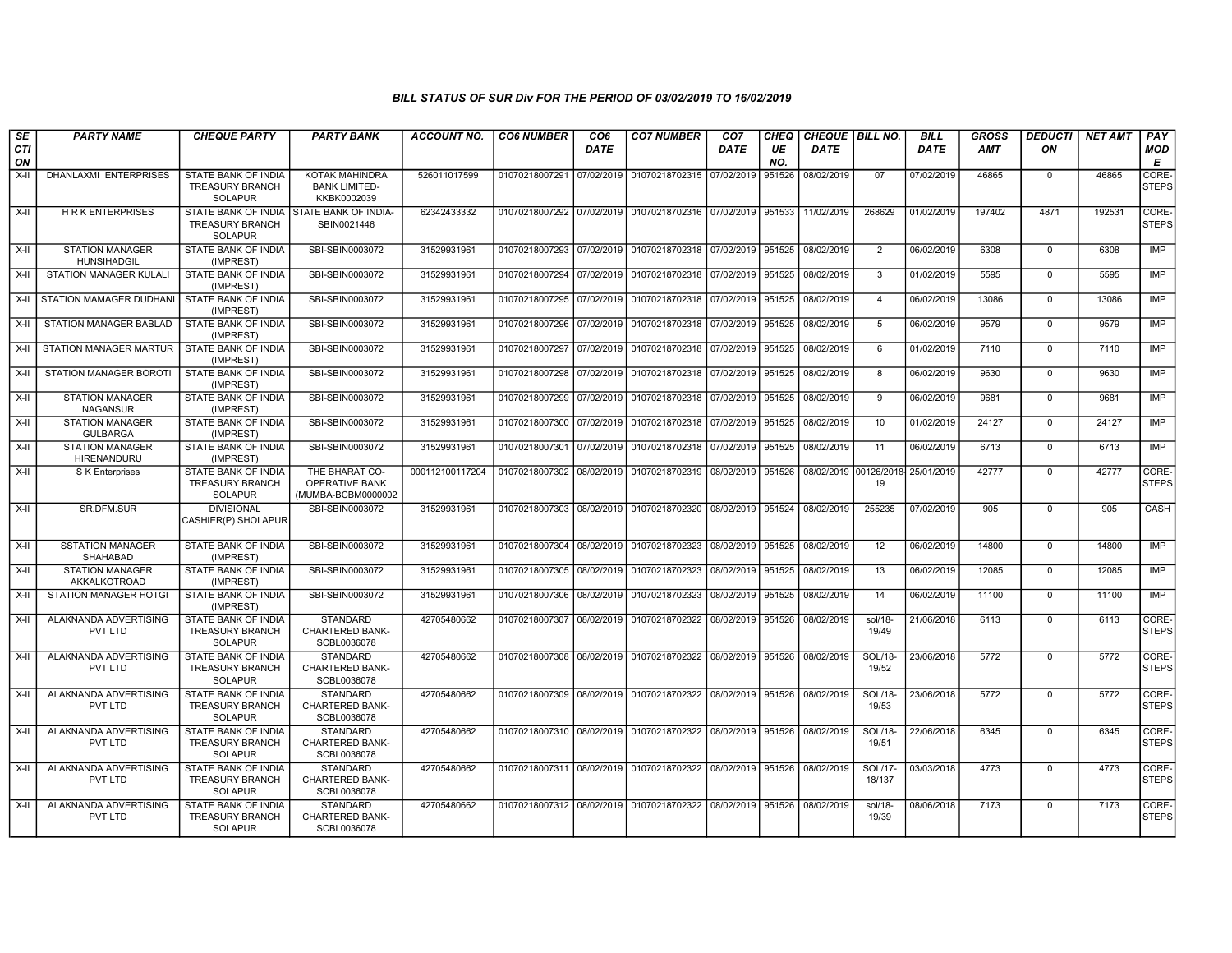| SE               | <b>PARTY NAME</b>                            | <b>CHEQUE PARTY</b>                                             | <b>PARTY BANK</b>                                        | <b>ACCOUNT NO.</b> | <b>CO6 NUMBER</b>         | CO <sub>6</sub> | <b>CO7 NUMBER</b>                                          | CO <sub>7</sub>   | <b>CHEQ</b> | CHEQUE   BILL NO.                |                         | <b>BILL</b> | <b>GROSS</b> | <b>DEDUCTI</b> | <b>NET AMT</b> | <b>PAY</b>            |
|------------------|----------------------------------------------|-----------------------------------------------------------------|----------------------------------------------------------|--------------------|---------------------------|-----------------|------------------------------------------------------------|-------------------|-------------|----------------------------------|-------------------------|-------------|--------------|----------------|----------------|-----------------------|
| <b>CTI</b><br>ON |                                              |                                                                 |                                                          |                    |                           | <b>DATE</b>     |                                                            | <b>DATE</b>       | UE<br>NO.   | <b>DATE</b>                      |                         | <b>DATE</b> | AMT          | ON             |                | <b>MOD</b><br>E       |
| $X-I$            | <b>DHANLAXMI ENTERPRISES</b>                 | <b>STATE BANK OF INDIA</b><br>TREASURY BRANCH<br><b>SOLAPUR</b> | KOTAK MAHINDRA<br><b>BANK LIMITED-</b><br>KKBK0002039    | 526011017599       | 01070218007291 07/02/2019 |                 | 01070218702315                                             | 07/02/2019        | 951526      | 08/02/2019                       | 07                      | 07/02/2019  | 46865        | $\mathbf 0$    | 46865          | CORE-<br><b>STEPS</b> |
| $X-H$            | <b>HRK ENTERPRISES</b>                       | STATE BANK OF INDIA<br>TREASURY BRANCH<br><b>SOLAPUR</b>        | <b>STATE BANK OF INDIA-</b><br>SBIN0021446               | 62342433332        |                           |                 | 01070218007292 07/02/2019 01070218702316 07/02/2019 951533 |                   |             | 11/02/2019                       | 268629                  | 01/02/2019  | 197402       | 4871           | 192531         | CORE-<br><b>STEPS</b> |
| $X-H$            | <b>STATION MANAGER</b><br><b>HUNSIHADGIL</b> | STATE BANK OF INDIA<br>(IMPREST)                                | SBI-SBIN0003072                                          | 31529931961        |                           |                 | 01070218007293 07/02/2019 01070218702318 07/02/2019 951525 |                   |             | 08/02/2019                       | $\overline{2}$          | 06/02/2019  | 6308         | $\overline{0}$ | 6308           | <b>IMP</b>            |
| X-II             | <b>STATION MANAGER KULALI</b>                | <b>STATE BANK OF INDIA</b><br>(IMPREST)                         | SBI-SBIN0003072                                          | 31529931961        | 01070218007294 07/02/2019 |                 | 01070218702318 07/02/2019 951525                           |                   |             | 08/02/2019                       | 3                       | 01/02/2019  | 5595         | $\overline{0}$ | 5595           | <b>IMP</b>            |
| X-II             | STATION MAMAGER DUDHANI STATE BANK OF INDIA  | (IMPREST)                                                       | SBI-SBIN0003072                                          | 31529931961        |                           |                 | 01070218007295 07/02/2019 01070218702318 07/02/2019 951525 |                   |             | 08/02/2019                       | $\overline{4}$          | 06/02/2019  | 13086        | $\Omega$       | 13086          | IMP                   |
| X-II             | STATION MANAGER BABLAD                       | STATE BANK OF INDIA<br>(IMPREST)                                | SBI-SBIN0003072                                          | 31529931961        | 01070218007296 07/02/2019 |                 | 01070218702318 07/02/2019                                  |                   | 951525      | 08/02/2019                       | 5                       | 06/02/2019  | 9579         | $\mathbf 0$    | 9579           | <b>IMP</b>            |
| X-II             | STATION MANAGER MARTUR                       | STATE BANK OF INDIA<br>(IMPREST)                                | SBI-SBIN0003072                                          | 31529931961        |                           |                 | 01070218007297 07/02/2019 01070218702318 07/02/2019        |                   | 951525      | 08/02/2019                       | 6                       | 01/02/2019  | 7110         | $\mathbf 0$    | 7110           | IMP                   |
| X-II             | <b>STATION MANAGER BOROTI</b>                | STATE BANK OF INDIA<br>(IMPREST)                                | SBI-SBIN0003072                                          | 31529931961        |                           |                 | 01070218007298 07/02/2019 01070218702318 07/02/2019 951525 |                   |             | 08/02/2019                       | 8                       | 06/02/2019  | 9630         | $\mathbf 0$    | 9630           | <b>IMP</b>            |
| $X-H$            | <b>STATION MANAGER</b><br><b>NAGANSUR</b>    | <b>STATE BANK OF INDIA</b><br>(IMPREST)                         | SBI-SBIN0003072                                          | 31529931961        |                           |                 | 01070218007299 07/02/2019 01070218702318 07/02/2019 951525 |                   |             | 08/02/2019                       | $\overline{9}$          | 06/02/2019  | 9681         | $\overline{0}$ | 9681           | IMP                   |
| X-II             | <b>STATION MANAGER</b><br><b>GULBARGA</b>    | STATE BANK OF INDIA<br>(IMPREST)                                | SBI-SBIN0003072                                          | 31529931961        |                           |                 | 01070218007300 07/02/2019 01070218702318 07/02/2019 951525 |                   |             | 08/02/2019                       | 10                      | 01/02/2019  | 24127        | $\mathbf 0$    | 24127          | <b>IMP</b>            |
| X-II             | <b>STATION MANAGER</b><br>HIRENANDURU        | STATE BANK OF INDIA<br>(IMPREST)                                | SBI-SBIN0003072                                          | 31529931961        | 01070218007301 07/02/2019 |                 | 01070218702318 07/02/2019 951525                           |                   |             | 08/02/2019                       | 11                      | 06/02/2019  | 6713         | $\overline{0}$ | 6713           | IMP                   |
| X-II             | S K Enterprises                              | <b>STATE BANK OF INDIA</b><br>TREASURY BRANCH<br><b>SOLAPUR</b> | THE BHARAT CO-<br>OPERATIVE BANK<br>(MUMBA-BCBM0000002   | 000112100117204    |                           |                 | 01070218007302 08/02/2019 01070218702319 08/02/2019 951526 |                   |             | 08/02/2019 00126/2018 25/01/2019 | 19                      |             | 42777        | $\Omega$       | 42777          | CORE-<br><b>STEPS</b> |
| $X-H$            | SR.DFM.SUR                                   | <b>DIVISIONAL</b><br>CASHIER(P) SHOLAPUR                        | SBI-SBIN0003072                                          | 31529931961        |                           |                 | 01070218007303 08/02/2019 01070218702320 08/02/2019 951524 |                   |             | 08/02/2019                       | 255235                  | 07/02/2019  | 905          | $\mathbf 0$    | 905            | CASH                  |
| X-II             | <b>SSTATION MANAGER</b><br><b>SHAHABAD</b>   | STATE BANK OF INDIA<br>(IMPREST)                                | SBI-SBIN0003072                                          | 31529931961        |                           |                 | 01070218007304 08/02/2019 01070218702323                   | 08/02/2019 951525 |             | 08/02/2019                       | 12                      | 06/02/2019  | 14800        | $\mathbf 0$    | 14800          | IMP                   |
| X-II             | <b>STATION MANAGER</b><br>AKKALKOTROAD       | STATE BANK OF INDIA<br>(IMPREST)                                | SBI-SBIN0003072                                          | 31529931961        | 01070218007305 08/02/2019 |                 | 01070218702323                                             | 08/02/2019        | 951525      | 08/02/2019                       | 13                      | 06/02/2019  | 12085        | $\mathbf 0$    | 12085          | IMP                   |
| X-II             | <b>STATION MANAGER HOTGI</b>                 | STATE BANK OF INDIA<br>(IMPREST)                                | SBI-SBIN0003072                                          | 31529931961        | 01070218007306 08/02/2019 |                 | 01070218702323                                             | 08/02/2019 951525 |             | 08/02/2019                       | 14                      | 06/02/2019  | 11100        | $\overline{0}$ | 11100          | <b>IMP</b>            |
| $X-H$            | ALAKNANDA ADVERTISING<br>PVT LTD             | <b>STATE BANK OF INDIA</b><br>TREASURY BRANCH<br><b>SOLAPUR</b> | <b>STANDARD</b><br><b>CHARTERED BANK-</b><br>SCBL0036078 | 42705480662        |                           |                 | 01070218007307 08/02/2019 01070218702322 08/02/2019 951526 |                   |             | 08/02/2019                       | $sol/18-$<br>19/49      | 21/06/2018  | 6113         | $\overline{0}$ | 6113           | CORE-<br><b>STEPS</b> |
| X-II             | ALAKNANDA ADVERTISING<br>PVT LTD             | STATE BANK OF INDIA<br>TREASURY BRANCH<br><b>SOLAPUR</b>        | <b>STANDARD</b><br><b>CHARTERED BANK-</b><br>SCBL0036078 | 42705480662        |                           |                 | 01070218007308 08/02/2019 01070218702322                   | 08/02/2019 951526 |             | 08/02/2019                       | SOL/18-<br>19/52        | 23/06/2018  | 5772         | $\mathsf 0$    | 5772           | CORE-<br><b>STEPS</b> |
| X-II             | ALAKNANDA ADVERTISING<br>PVT LTD             | STATE BANK OF INDIA<br>TREASURY BRANCH<br><b>SOLAPUR</b>        | <b>STANDARD</b><br>CHARTERED BANK-<br>SCBL0036078        | 42705480662        |                           |                 | 01070218007309 08/02/2019 01070218702322 08/02/2019 951526 |                   |             | 08/02/2019                       | SOL/18-<br>19/53        | 23/06/2018  | 5772         | $\mathbf 0$    | 5772           | CORE-<br><b>STEPS</b> |
| X-II             | ALAKNANDA ADVERTISING<br>PVT LTD             | STATE BANK OF INDIA<br><b>TREASURY BRANCH</b><br>SOLAPUR        | <b>STANDARD</b><br><b>CHARTERED BANK-</b><br>SCBL0036078 | 42705480662        |                           |                 | 01070218007310 08/02/2019 01070218702322 08/02/2019 951526 |                   |             | 08/02/2019                       | <b>SOL/18-</b><br>19/51 | 22/06/2018  | 6345         | $\mathbf 0$    | 6345           | CORE-<br><b>STEPS</b> |
| X-II             | ALAKNANDA ADVERTISING<br>PVT LTD             | STATE BANK OF INDIA<br>TREASURY BRANCH<br><b>SOLAPUR</b>        | <b>STANDARD</b><br><b>CHARTERED BANK-</b><br>SCBL0036078 | 42705480662        |                           |                 | 01070218007311 08/02/2019 01070218702322                   | 08/02/2019 951526 |             | 08/02/2019                       | SOL/17-<br>18/137       | 03/03/2018  | 4773         | $\mathbf 0$    | 4773           | CORE-<br><b>STEPS</b> |
| X-II             | ALAKNANDA ADVERTISING<br>PVT LTD             | STATE BANK OF INDIA<br><b>TREASURY BRANCH</b><br><b>SOLAPUR</b> | <b>STANDARD</b><br><b>CHARTERED BANK-</b><br>SCBL0036078 | 42705480662        |                           |                 | 01070218007312 08/02/2019 01070218702322 08/02/2019 951526 |                   |             | 08/02/2019                       | sol/18-<br>19/39        | 08/06/2018  | 7173         | $\Omega$       | 7173           | CORE-<br><b>STEPS</b> |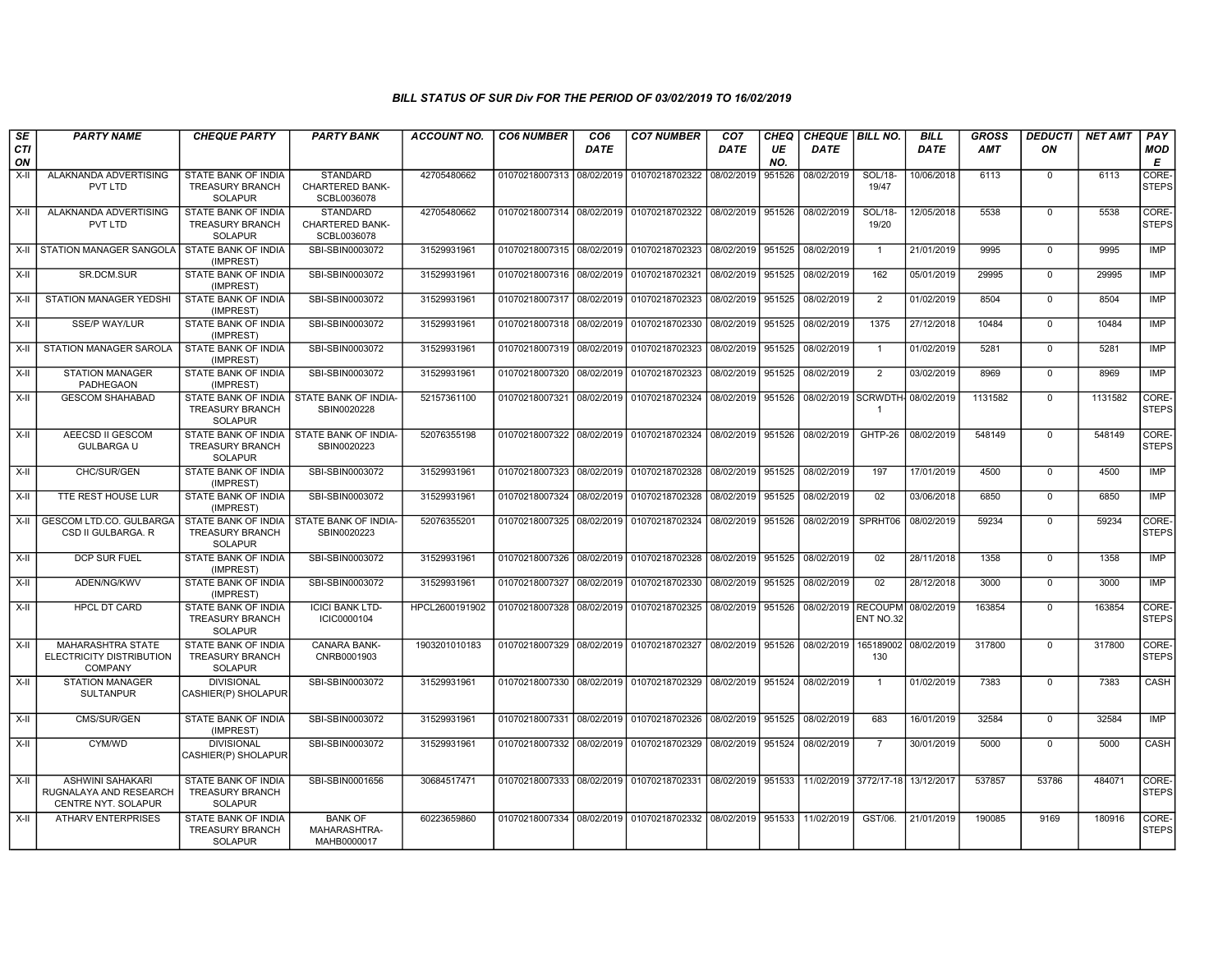| SE<br><b>CTI</b> | <b>PARTY NAME</b>                                                        | <b>CHEQUE PARTY</b>                                                                   | <b>PARTY BANK</b>                                         | <b>ACCOUNT NO.</b> | <b>CO6 NUMBER</b>                        | CO <sub>6</sub><br>DATE | <b>CO7 NUMBER</b>                                                                           | CO <sub>7</sub><br><b>DATE</b> | <b>CHEQ</b><br>UE | CHEQUE   BILL NO.<br><b>DATE</b> |                         | <b>BILL</b><br><b>DATE</b> | GROSS<br><b>AMT</b> | <b>DEDUCTI</b><br>ON | <b>NET AMT</b> | PAY<br><b>MOD</b>     |
|------------------|--------------------------------------------------------------------------|---------------------------------------------------------------------------------------|-----------------------------------------------------------|--------------------|------------------------------------------|-------------------------|---------------------------------------------------------------------------------------------|--------------------------------|-------------------|----------------------------------|-------------------------|----------------------------|---------------------|----------------------|----------------|-----------------------|
| ON               |                                                                          |                                                                                       |                                                           |                    |                                          |                         |                                                                                             |                                | NO.               |                                  |                         |                            |                     |                      |                | Е                     |
| $X-I$            | ALAKNANDA ADVERTISING<br>PVT LTD                                         | STATE BANK OF INDIA<br>TREASURY BRANCH<br><b>SOLAPUR</b>                              | <b>STANDARD</b><br><b>CHARTERED BANK-</b><br>SCBL0036078  | 42705480662        |                                          |                         | 01070218007313 08/02/2019 01070218702322 08/02/2019                                         |                                | 951526            | 08/02/2019                       | SOL/18-<br>19/47        | 10/06/2018                 | 6113                | $\mathbf 0$          | 6113           | CORE-<br><b>STEPS</b> |
| X-II             | ALAKNANDA ADVERTISING<br>PVT LTD                                         | STATE BANK OF INDIA<br><b>TREASURY BRANCH</b><br><b>SOLAPUR</b>                       | <b>STANDARD</b><br><b>CHARTERED BANK-</b><br>SCBL0036078  | 42705480662        |                                          |                         | 01070218007314 08/02/2019 01070218702322 08/02/2019 951526 08/02/2019                       |                                |                   |                                  | <b>SOL/18-</b><br>19/20 | 12/05/2018                 | 5538                | $\mathbf 0$          | 5538           | CORE-<br><b>STEPS</b> |
|                  | X-II STATION MANAGER SANGOLA                                             | STATE BANK OF INDIA<br>(IMPREST)                                                      | SBI-SBIN0003072                                           | 31529931961        | 01070218007315 08/02/2019                |                         | 01070218702323                                                                              | 08/02/2019 951525              |                   | 08/02/2019                       | $\overline{1}$          | 21/01/2019                 | 9995                | $\overline{0}$       | 9995           | <b>IMP</b>            |
| $X-H$            | SR.DCM.SUR                                                               | STATE BANK OF INDIA<br>(IMPREST)                                                      | SBI-SBIN0003072                                           | 31529931961        |                                          |                         | 01070218007316 08/02/2019 01070218702321                                                    | 08/02/2019                     | 951525            | 08/02/2019                       | 162                     | 05/01/2019                 | 29995               | $\Omega$             | 29995          | IMP                   |
| X-II             | <b>STATION MANAGER YEDSHI</b>                                            | STATE BANK OF INDIA<br>(IMPREST)                                                      | SBI-SBIN0003072                                           | 31529931961        | 01070218007317 08/02/2019 01070218702323 |                         |                                                                                             | 08/02/2019 951525              |                   | 08/02/2019                       | $\overline{2}$          | 01/02/2019                 | 8504                | $\mathbf 0$          | 8504           | IMP                   |
| X-II             | SSE/P WAY/LUR                                                            | STATE BANK OF INDIA<br>(IMPREST)                                                      | SBI-SBIN0003072                                           | 31529931961        | 01070218007318 08/02/2019                |                         | 01070218702330                                                                              | 08/02/2019 951525              |                   | 08/02/2019                       | 1375                    | 27/12/2018                 | 10484               | $\Omega$             | 10484          | IMP                   |
| X-II             | STATION MANAGER SAROLA                                                   | STATE BANK OF INDIA<br>(IMPREST)                                                      | SBI-SBIN0003072                                           | 31529931961        | 01070218007319 08/02/2019 01070218702323 |                         |                                                                                             | 08/02/2019 951525              |                   | 08/02/2019                       | $\overline{1}$          | 01/02/2019                 | 5281                | $\mathbf 0$          | 5281           | <b>IMP</b>            |
| $X-H$            | <b>STATION MANAGER</b><br>PADHEGAON                                      | STATE BANK OF INDIA<br>(IMPREST)                                                      | SBI-SBIN0003072                                           | 31529931961        | 01070218007320 08/02/2019                |                         | 01070218702323 08/02/2019 951525                                                            |                                |                   | 08/02/2019                       | $\overline{2}$          | 03/02/2019                 | 8969                | $\overline{0}$       | 8969           | IMP                   |
| $X-H$            | <b>GESCOM SHAHABAD</b>                                                   | TREASURY BRANCH<br><b>SOLAPUR</b>                                                     | STATE BANK OF INDIA   STATE BANK OF INDIA-<br>SBIN0020228 | 52157361100        |                                          |                         | 01070218007321 08/02/2019 01070218702324 08/02/2019 951526                                  |                                |                   | 08/02/2019 SCRWDTH 08/02/2019    | $\overline{1}$          |                            | 1131582             | $\mathbf 0$          | 1131582        | CORE-<br><b>STEPS</b> |
| $X-II$           | <b>AEECSD II GESCOM</b><br><b>GULBARGA U</b>                             | STATE BANK OF INDIA   STATE BANK OF INDIA<br><b>TREASURY BRANCH</b><br><b>SOLAPUR</b> | SBIN0020223                                               | 52076355198        |                                          |                         | 01070218007322 08/02/2019 01070218702324 08/02/2019 951526                                  |                                |                   | 08/02/2019                       | GHTP-26                 | 08/02/2019                 | 548149              | $\overline{0}$       | 548149         | CORE-<br><b>STEPS</b> |
| X-II             | CHC/SUR/GEN                                                              | STATE BANK OF INDIA<br>(IMPREST)                                                      | SBI-SBIN0003072                                           | 31529931961        |                                          |                         | 01070218007323 08/02/2019 01070218702328                                                    | 08/02/2019 951525              |                   | 08/02/2019                       | 197                     | 17/01/2019                 | 4500                | $\mathbf 0$          | 4500           | IMP                   |
| X-II             | TTE REST HOUSE LUR                                                       | <b>STATE BANK OF INDIA</b><br>(IMPREST)                                               | SBI-SBIN0003072                                           | 31529931961        |                                          |                         | 01070218007324 08/02/2019 01070218702328                                                    | 08/02/2019 951525              |                   | 08/02/2019                       | 02                      | 03/06/2018                 | 6850                | $\mathbf 0$          | 6850           | <b>IMP</b>            |
| X-II             | <b>GESCOM LTD.CO. GULBARGA</b><br>CSD II GULBARGA, R                     | STATE BANK OF INDIA<br><b>TREASURY BRANCH</b><br><b>SOLAPUR</b>                       | STATE BANK OF INDIA-<br>SBIN0020223                       | 52076355201        | 01070218007325 08/02/2019 01070218702324 |                         |                                                                                             | 08/02/2019 951526              |                   | 08/02/2019                       | SPRHT06                 | 08/02/2019                 | 59234               | $\mathbf 0$          | 59234          | CORE-<br><b>STEPS</b> |
| $X-H$            | <b>DCP SUR FUEL</b>                                                      | <b>STATE BANK OF INDIA</b><br>(IMPREST)                                               | SBI-SBIN0003072                                           | 31529931961        |                                          |                         | 01070218007326 08/02/2019 01070218702328 08/02/2019 951525                                  |                                |                   | 08/02/2019                       | 02                      | 28/11/2018                 | 1358                | $\overline{0}$       | 1358           | IMP                   |
| X-II             | ADEN/NG/KWV                                                              | STATE BANK OF INDIA<br>(IMPREST)                                                      | SBI-SBIN0003072                                           | 31529931961        |                                          |                         | 01070218007327 08/02/2019 01070218702330                                                    | 08/02/2019                     | 951525            | 08/02/2019                       | 02                      | 28/12/2018                 | 3000                | $\mathbf 0$          | 3000           | <b>IMP</b>            |
| X-II             | <b>HPCL DT CARD</b>                                                      | STATE BANK OF INDIA<br>TREASURY BRANCH<br><b>SOLAPUR</b>                              | <b>ICICI BANK LTD-</b><br>ICIC0000104                     | HPCL2600191902     |                                          |                         | 01070218007328 08/02/2019 01070218702325 08/02/2019 951526                                  |                                |                   | 08/02/2019 RECOUPM 08/02/2019    | ENT NO.32               |                            | 163854              | $\mathbf 0$          | 163854         | CORE-<br><b>STEPS</b> |
| $X-H$            | <b>MAHARASHTRA STATE</b><br>ELECTRICITY DISTRIBUTION<br><b>COMPANY</b>   | <b>STATE BANK OF INDIA</b><br><b>TREASURY BRANCH</b><br><b>SOLAPUR</b>                | CANARA BANK-<br>CNRB0001903                               | 1903201010183      |                                          |                         | 01070218007329 08/02/2019 01070218702327 08/02/2019 951526                                  |                                |                   | 08/02/2019                       | 130                     | 165189002 08/02/2019       | 317800              | $\overline{0}$       | 317800         | CORE-<br><b>STEPS</b> |
| $X-I$            | <b>STATION MANAGER</b><br><b>SULTANPUR</b>                               | <b>DIVISIONAL</b><br>CASHIER(P) SHOLAPUR                                              | SBI-SBIN0003072                                           | 31529931961        |                                          |                         | 01070218007330 08/02/2019 01070218702329 08/02/2019 951524                                  |                                |                   | 08/02/2019                       | $\overline{1}$          | 01/02/2019                 | 7383                | $\mathbf 0$          | 7383           | CASH                  |
| $X-H$            | CMS/SUR/GEN                                                              | <b>STATE BANK OF INDIA</b><br>(IMPREST)                                               | SBI-SBIN0003072                                           | 31529931961        |                                          |                         | 01070218007331 08/02/2019 01070218702326 08/02/2019 951525                                  |                                |                   | 08/02/2019                       | 683                     | 16/01/2019                 | 32584               | $\overline{0}$       | 32584          | IMP                   |
| X-II             | CYM/WD                                                                   | <b>DIVISIONAL</b><br>CASHIER(P) SHOLAPUR                                              | SBI-SBIN0003072                                           | 31529931961        |                                          |                         | 01070218007332 08/02/2019 01070218702329 08/02/2019 951524                                  |                                |                   | 08/02/2019                       | $\overline{7}$          | 30/01/2019                 | 5000                | $\mathbf 0$          | 5000           | CASH                  |
| X-II             | <b>ASHWINI SAHAKARI</b><br>RUGNALAYA AND RESEARCH<br>CENTRE NYT. SOLAPUR | STATE BANK OF INDIA<br><b>TREASURY BRANCH</b><br><b>SOLAPUR</b>                       | SBI-SBIN0001656                                           | 30684517471        |                                          |                         | 01070218007333 08/02/2019 01070218702331 08/02/2019 951533 11/02/2019 3772/17-18 13/12/2017 |                                |                   |                                  |                         |                            | 537857              | 53786                | 484071         | CORE-<br><b>STEPS</b> |
| $X-H$            | <b>ATHARV ENTERPRISES</b>                                                | STATE BANK OF INDIA<br>TREASURY BRANCH<br><b>SOLAPUR</b>                              | <b>BANK OF</b><br>MAHARASHTRA-<br>MAHB0000017             | 60223659860        |                                          |                         | 01070218007334 08/02/2019 01070218702332 08/02/2019 951533                                  |                                |                   | 11/02/2019                       | GST/06.                 | 21/01/2019                 | 190085              | 9169                 | 180916         | CORE-<br><b>STEPS</b> |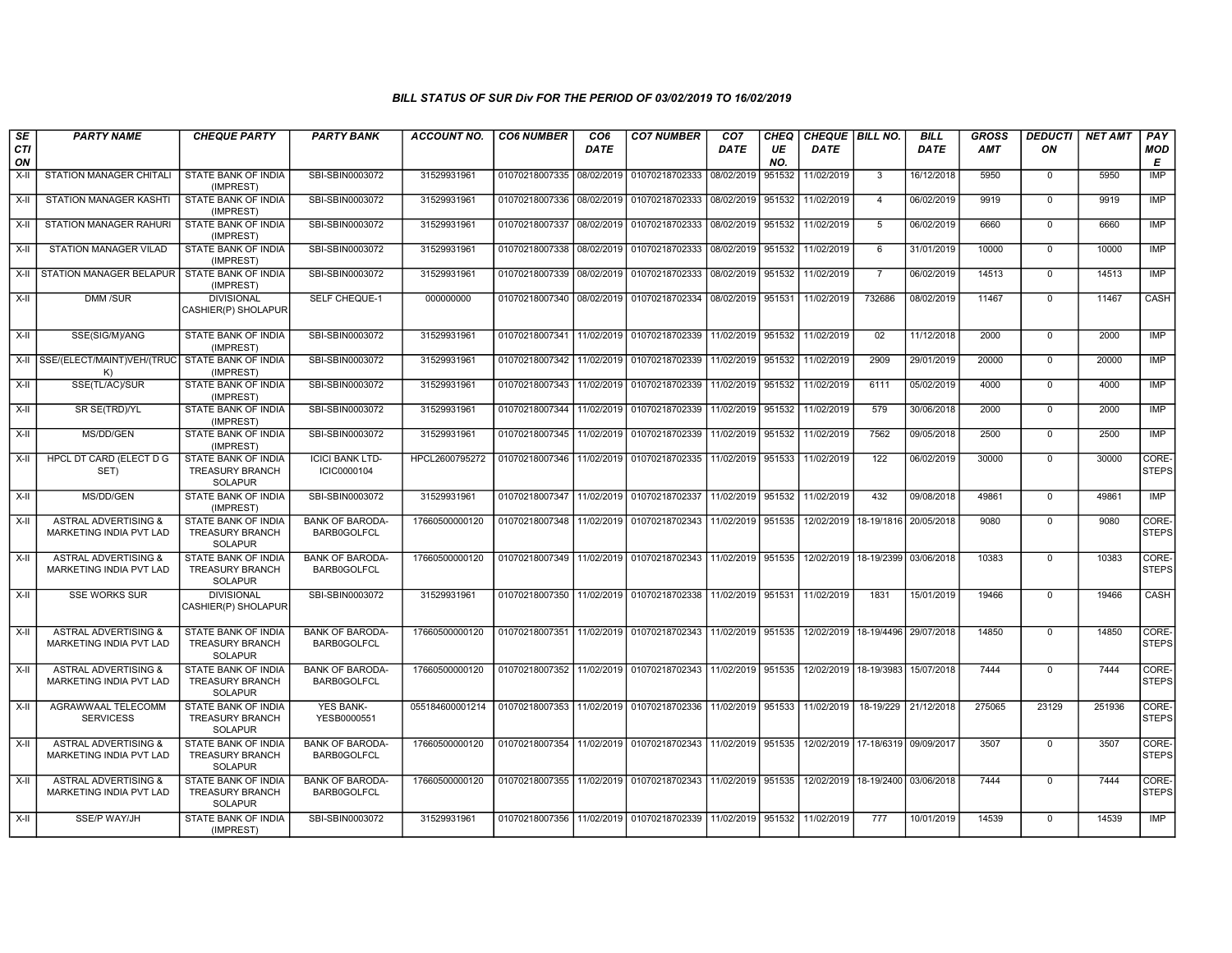| SE<br><b>CTI</b><br>ON | <b>PARTY NAME</b>                                                 | <b>CHEQUE PARTY</b>                                                    | <b>PARTY BANK</b>                            | <b>ACCOUNT NO.</b> | <b>CO6 NUMBER</b>                            | CO <sub>6</sub><br><b>DATE</b> | <b>CO7 NUMBER</b>                                                  | CO <sub>7</sub><br><b>DATE</b> | <b>CHEQ</b><br>UE<br>NO. | CHEQUE   BILL NO.<br><b>DATE</b> |                       | <b>BILL</b><br><b>DATE</b> | <b>GROSS</b><br><b>AMT</b> | <b>DEDUCTI</b><br>ON | <b>NET AMT</b> | PAY<br>MOD<br>Е       |
|------------------------|-------------------------------------------------------------------|------------------------------------------------------------------------|----------------------------------------------|--------------------|----------------------------------------------|--------------------------------|--------------------------------------------------------------------|--------------------------------|--------------------------|----------------------------------|-----------------------|----------------------------|----------------------------|----------------------|----------------|-----------------------|
| X-II                   | STATION MANAGER CHITALI                                           | STATE BANK OF INDIA<br>(IMPREST)                                       | SBI-SBIN0003072                              | 31529931961        | 01070218007335 08/02/2019                    |                                | 01070218702333                                                     | 08/02/2019                     | 951532                   | 11/02/2019                       | $\mathbf{3}$          | 16/12/2018                 | 5950                       | $\mathbf 0$          | 5950           | <b>IMP</b>            |
| X-II                   | STATION MANAGER KASHTI                                            | STATE BANK OF INDIA<br>(IMPREST)                                       | SBI-SBIN0003072                              | 31529931961        | 01070218007336 08/02/2019                    |                                | 01070218702333                                                     | 08/02/2019                     | 951532                   | 11/02/2019                       | $\overline{4}$        | 06/02/2019                 | 9919                       | $\overline{0}$       | 9919           | <b>IMP</b>            |
| $X-II$                 | <b>STATION MANAGER RAHURI</b>                                     | <b>STATE BANK OF INDIA</b><br>(IMPREST)                                | SBI-SBIN0003072                              | 31529931961        | 01070218007337 08/02/2019 01070218702333     |                                |                                                                    | 08/02/2019                     | 951532                   | 11/02/2019                       | -5                    | 06/02/2019                 | 6660                       | $\Omega$             | 6660           | <b>IMP</b>            |
| X-II                   | <b>STATION MANAGER VILAD</b>                                      | <b>STATE BANK OF INDIA</b><br>(IMPREST)                                | SBI-SBIN0003072                              | 31529931961        | 01070218007338 08/02/2019 01070218702333     |                                |                                                                    | 08/02/2019                     | 951532                   | 11/02/2019                       | 6                     | 31/01/2019                 | 10000                      | $\Omega$             | 10000          | IMP                   |
| $X-II$                 | STATION MANAGER BELAPUR                                           | STATE BANK OF INDIA<br>(IMPREST)                                       | SBI-SBIN0003072                              | 31529931961        | 01070218007339 08/02/2019                    |                                | 01070218702333                                                     | 08/02/2019                     | 951532                   | 11/02/2019                       | $\overline{7}$        | 06/02/2019                 | 14513                      | $\mathbf 0$          | 14513          | IMP                   |
| X-II                   | DMM /SUR                                                          | <b>DIVISIONAL</b><br>CASHIER(P) SHOLAPUR                               | SELF CHEQUE-1                                | 000000000          | 01070218007340 08/02/2019 01070218702334     |                                |                                                                    | 08/02/2019 951531              |                          | 11/02/2019                       | 732686                | 08/02/2019                 | 11467                      | $\Omega$             | 11467          | CASH                  |
| $X-H$                  | SSE(SIG/M)/ANG                                                    | <b>STATE BANK OF INDIA</b><br>(IMPREST)                                | SBI-SBIN0003072                              | 31529931961        | 01070218007341 11/02/2019 01070218702339     |                                |                                                                    | 11/02/2019                     | 951532                   | 11/02/2019                       | $\overline{02}$       | 11/12/2018                 | 2000                       | $\mathbf 0$          | 2000           | <b>IMP</b>            |
|                        | X-II SSE/(ELECT/MAINT)VEH/(TRUC STATE BANK OF INDIA<br>K          | (IMPREST)                                                              | SBI-SBIN0003072                              | 31529931961        | 01070218007342 11/02/2019 01070218702339     |                                |                                                                    | 11/02/2019                     | 951532                   | 11/02/2019                       | 2909                  | 29/01/2019                 | 20000                      | $\mathbf 0$          | 20000          | IMP                   |
| X-II                   | SSE(TL/AC)/SUR                                                    | STATE BANK OF INDIA<br>(IMPREST)                                       | SBI-SBIN0003072                              | 31529931961        | 01070218007343 11/02/2019 01070218702339     |                                |                                                                    | 11/02/2019                     | 951532                   | 11/02/2019                       | 6111                  | 05/02/2019                 | 4000                       | $\mathbf 0$          | 4000           | <b>IMP</b>            |
| $X-H$                  | SR SE(TRD)/YL                                                     | <b>STATE BANK OF INDIA</b><br>(IMPREST)                                | SBI-SBIN0003072                              | 31529931961        | 01070218007344 11/02/2019 01070218702339     |                                |                                                                    | 11/02/2019                     | 951532                   | 11/02/2019                       | 579                   | 30/06/2018                 | 2000                       | $\mathbf 0$          | 2000           | <b>IMP</b>            |
| X-II                   | MS/DD/GEN                                                         | <b>STATE BANK OF INDIA</b><br>(IMPREST)                                | SBI-SBIN0003072                              | 31529931961        | 01070218007345 11/02/2019 01070218702339     |                                |                                                                    | 11/02/2019                     | 951532                   | 11/02/2019                       | 7562                  | 09/05/2018                 | 2500                       | $\Omega$             | 2500           | IMP                   |
| X-II                   | HPCL DT CARD (ELECT D G<br>SET)                                   | STATE BANK OF INDIA<br><b>TREASURY BRANCH</b><br><b>SOLAPUR</b>        | <b>ICICI BANK LTD-</b><br>ICIC0000104        | HPCL2600795272     | 01070218007346 11/02/2019 01070218702335     |                                |                                                                    | 11/02/2019                     | 951533                   | 11/02/2019                       | 122                   | 06/02/2019                 | 30000                      | $\mathbf 0$          | 30000          | CORE-<br><b>STEPS</b> |
| X-II                   | MS/DD/GEN                                                         | STATE BANK OF INDIA<br>(IMPREST)                                       | SBI-SBIN0003072                              | 31529931961        | 01070218007347 11/02/2019 01070218702337     |                                |                                                                    | 11/02/2019                     | 951532                   | 11/02/2019                       | 432                   | 09/08/2018                 | 49861                      | $\Omega$             | 49861          | <b>IMP</b>            |
| $X-II$                 | <b>ASTRAL ADVERTISING &amp;</b><br>MARKETING INDIA PVT LAD        | STATE BANK OF INDIA<br><b>TREASURY BRANCH</b><br><b>SOLAPUR</b>        | <b>BANK OF BARODA-</b><br><b>BARB0GOLFCL</b> | 17660500000120     | 01070218007348 11/02/2019 01070218702343     |                                |                                                                    | 11/02/2019                     | 951535                   | 12/02/2019                       | 18-19/1816            | 20/05/2018                 | 9080                       | $\mathbf 0$          | 9080           | CORE-<br><b>STEPS</b> |
| $X-H$                  | <b>ASTRAL ADVERTISING &amp;</b><br><b>MARKETING INDIA PVT LAD</b> | <b>STATE BANK OF INDIA</b><br><b>TREASURY BRANCH</b><br><b>SOLAPUR</b> | <b>BANK OF BARODA-</b><br><b>BARB0GOLFCL</b> | 17660500000120     |                                              |                                | 01070218007349 11/02/2019 01070218702343 11/02/2019 951535         |                                |                          | 12/02/2019                       | 18-19/2399            | 03/06/2018                 | 10383                      | $\Omega$             | 10383          | CORE-<br><b>STEPS</b> |
| X-II                   | <b>SSE WORKS SUR</b>                                              | <b>DIVISIONAL</b><br>CASHIER(P) SHOLAPUR                               | SBI-SBIN0003072                              | 31529931961        |                                              |                                | 01070218007350 11/02/2019 01070218702338                           | 11/02/2019                     | 951531                   | 11/02/2019                       | 1831                  | 15/01/2019                 | 19466                      | $\mathbf 0$          | 19466          | <b>CASH</b>           |
| X-II                   | <b>ASTRAL ADVERTISING &amp;</b><br>MARKETING INDIA PVT LAD        | STATE BANK OF INDIA<br><b>TREASURY BRANCH</b><br><b>SOLAPUR</b>        | <b>BANK OF BARODA-</b><br><b>BARB0GOLFCL</b> | 17660500000120     | 01070218007351                               |                                | 11/02/2019 01070218702343                                          | 11/02/2019 951535              |                          | 12/02/2019                       | 18-19/4496            | 29/07/2018                 | 14850                      | $\mathbf 0$          | 14850          | CORE-<br><b>STEPS</b> |
| $X-H$                  | <b>ASTRAL ADVERTISING &amp;</b><br><b>MARKETING INDIA PVT LAD</b> | <b>STATE BANK OF INDIA</b><br><b>TREASURY BRANCH</b><br><b>SOLAPUR</b> | <b>BANK OF BARODA-</b><br><b>BARB0GOLFCL</b> | 17660500000120     | 01070218007352 11/02/2019 01070218702343     |                                |                                                                    | 11/02/2019 951535              |                          | 12/02/2019 18-19/3983            |                       | 15/07/2018                 | 7444                       | $\Omega$             | 7444           | CORE-<br><b>STEPS</b> |
| $X-II$                 | AGRAWWAAL TELECOMM<br><b>SERVICESS</b>                            | <b>STATE BANK OF INDIA</b><br><b>TREASURY BRANCH</b><br><b>SOLAPUR</b> | <b>YES BANK-</b><br>YESB0000551              | 055184600001214    | 01070218007353 11/02/2019 01070218702336     |                                |                                                                    | 11/02/2019 951533              |                          | 11/02/2019                       | 18-19/229             | 21/12/2018                 | 275065                     | 23129                | 251936         | CORE-<br><b>STEPS</b> |
| X-II                   | <b>ASTRAL ADVERTISING &amp;</b><br><b>MARKETING INDIA PVT LAD</b> | STATE BANK OF INDIA<br><b>TREASURY BRANCH</b><br><b>SOLAPUR</b>        | <b>BANK OF BARODA-</b><br><b>BARB0GOLFCL</b> | 17660500000120     | 01070218007354   11/02/2019   01070218702343 |                                |                                                                    | 11/02/2019                     | 951535                   |                                  | 12/02/2019 17-18/6319 | 09/09/2017                 | 3507                       | $^{\circ}$           | 3507           | CORE-<br><b>STEPS</b> |
| X-II                   | <b>ASTRAL ADVERTISING &amp;</b><br><b>MARKETING INDIA PVT LAD</b> | <b>STATE BANK OF INDIA</b><br><b>TREASURY BRANCH</b><br><b>SOLAPUR</b> | <b>BANK OF BARODA-</b><br><b>BARB0GOLFCL</b> | 17660500000120     |                                              |                                | 01070218007355   11/02/2019   01070218702343   11/02/2019   951535 |                                |                          | 12/02/2019 18-19/2400            |                       | 03/06/2018                 | 7444                       | $\Omega$             | 7444           | CORE-<br><b>STEPS</b> |
| X-II                   | SSE/P WAY/JH                                                      | STATE BANK OF INDIA<br>(IMPREST)                                       | SBI-SBIN0003072                              | 31529931961        | 01070218007356 11/02/2019 01070218702339     |                                |                                                                    | 11/02/2019                     | 951532                   | 11/02/2019                       | 777                   | 10/01/2019                 | 14539                      | $\mathbf 0$          | 14539          | <b>IMP</b>            |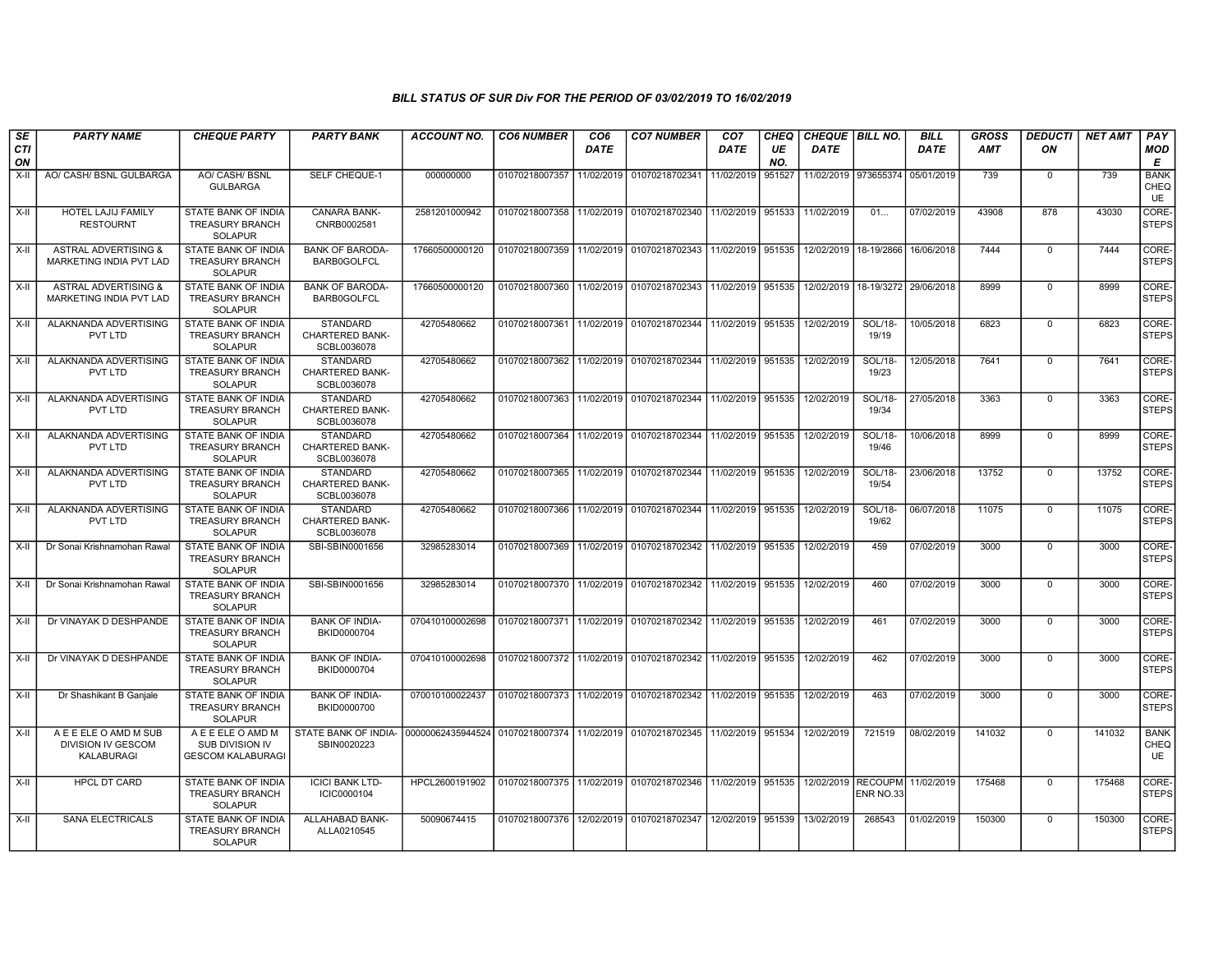| <b>SE</b><br>CTI | <b>PARTY NAME</b>                                                | <b>CHEQUE PARTY</b>                                                    | <b>PARTY BANK</b>                                        | <b>ACCOUNT NO.</b>                                                                     | <b>CO6 NUMBER</b>         | CO <sub>6</sub><br><b>DATE</b> | <b>CO7 NUMBER</b>                                                  | CO <sub>7</sub><br><b>DATE</b> | CHEQ<br>UE | <b>CHEQUE   BILL NO.</b><br><b>DATE</b> |                  | <b>BILL</b><br><b>DATE</b> | <b>GROSS</b><br>AMT | <b>DEDUCTI</b><br>ON | <b>NET AMT</b> | PAY<br><b>MOD</b>                |
|------------------|------------------------------------------------------------------|------------------------------------------------------------------------|----------------------------------------------------------|----------------------------------------------------------------------------------------|---------------------------|--------------------------------|--------------------------------------------------------------------|--------------------------------|------------|-----------------------------------------|------------------|----------------------------|---------------------|----------------------|----------------|----------------------------------|
| ON               |                                                                  |                                                                        |                                                          |                                                                                        |                           |                                |                                                                    |                                | NO.        |                                         |                  |                            |                     |                      |                | E                                |
| $X-H$            | AO/ CASH/ BSNL GULBARGA                                          | AO/ CASH/ BSNL<br><b>GULBARGA</b>                                      | <b>SELF CHEQUE-1</b>                                     | 000000000                                                                              | 01070218007357            | 11/02/2019                     | 01070218702341                                                     | 11/02/2019                     | 951527     | 11/02/2019                              | 973655374        | 05/01/2019                 | 739                 | $\mathbf 0$          | 739            | <b>BANK</b><br>CHEQ<br>UE        |
| X-II             | <b>HOTEL LAJIJ FAMILY</b><br><b>RESTOURNT</b>                    | <b>STATE BANK OF INDIA</b><br><b>TREASURY BRANCH</b><br><b>SOLAPUR</b> | <b>CANARA BANK-</b><br>CNRB0002581                       | 2581201000942                                                                          | 01070218007358            |                                | 11/02/2019 01070218702340 11/02/2019 951533                        |                                |            | 11/02/2019                              | 01               | 07/02/2019                 | 43908               | 878                  | 43030          | CORE-<br><b>STEPS</b>            |
| $X-II$           | <b>ASTRAL ADVERTISING &amp;</b><br>MARKETING INDIA PVT LAD       | STATE BANK OF INDIA<br><b>TREASURY BRANCH</b><br>SOLAPUR               | <b>BANK OF BARODA-</b><br>BARB0GOLFCL                    | 17660500000120                                                                         | 01070218007359            |                                | 11/02/2019 01070218702343 11/02/2019 951535                        |                                |            | 12/02/2019 18-19/2866                   |                  | 16/06/2018                 | 7444                | $\mathbf 0$          | 7444           | CORE-<br><b>STEPS</b>            |
| X-II             | <b>ASTRAL ADVERTISING &amp;</b><br>MARKETING INDIA PVT LAD       | STATE BANK OF INDIA<br><b>TREASURY BRANCH</b><br><b>SOLAPUR</b>        | <b>BANK OF BARODA-</b><br>BARB0GOLFCL                    | 17660500000120                                                                         | 01070218007360            |                                | 11/02/2019 01070218702343                                          | 11/02/2019 951535              |            | 12/02/2019 18-19/3272                   |                  | 29/06/2018                 | 8999                | $\mathbf 0$          | 8999           | CORE-<br><b>STEPS</b>            |
| X-II             | ALAKNANDA ADVERTISING<br>PVT LTD                                 | <b>STATE BANK OF INDIA</b><br><b>TREASURY BRANCH</b><br><b>SOLAPUR</b> | STANDARD<br>CHARTERED BANK-<br>SCBL0036078               | 42705480662                                                                            | 01070218007361            |                                | 11/02/2019 01070218702344 11/02/2019 951535                        |                                |            | 12/02/2019                              | SOL/18-<br>19/19 | 10/05/2018                 | 6823                | $\mathbf 0$          | 6823           | CORE-<br><b>STEPS</b>            |
| X-II             | ALAKNANDA ADVERTISING<br>PVT LTD                                 | STATE BANK OF INDIA<br><b>TREASURY BRANCH</b><br><b>SOLAPUR</b>        | <b>STANDARD</b><br><b>CHARTERED BANK-</b><br>SCBL0036078 | 42705480662                                                                            | 01070218007362            |                                | 11/02/2019 01070218702344 11/02/2019 951535                        |                                |            | 12/02/2019                              | SOL/18-<br>19/23 | 12/05/2018                 | 7641                | $\Omega$             | 7641           | CORE-<br><b>STEPS</b>            |
| $X-II$           | ALAKNANDA ADVERTISING<br>PVT LTD                                 | STATE BANK OF INDIA<br><b>TREASURY BRANCH</b><br><b>SOLAPUR</b>        | <b>STANDARD</b><br><b>CHARTERED BANK-</b><br>SCBL0036078 | 42705480662                                                                            | 01070218007363            |                                | 11/02/2019 01070218702344                                          | 11/02/2019 951535              |            | 12/02/2019                              | SOL/18-<br>19/34 | 27/05/2018                 | 3363                | $\mathbf 0$          | 3363           | CORE-<br><b>STEPS</b>            |
| X-II             | ALAKNANDA ADVERTISING<br>PVT LTD                                 | <b>STATE BANK OF INDIA</b><br><b>TREASURY BRANCH</b><br><b>SOLAPUR</b> | <b>STANDARD</b><br><b>CHARTERED BANK-</b><br>SCBL0036078 | 42705480662                                                                            |                           |                                | 01070218007364 11/02/2019 01070218702344 11/02/2019 951535         |                                |            | 12/02/2019                              | SOL/18-<br>19/46 | 10/06/2018                 | 8999                | $\mathbf 0$          | 8999           | CORE-<br><b>STEPS</b>            |
| X-II             | ALAKNANDA ADVERTISING<br>PVT LTD                                 | STATE BANK OF INDIA<br><b>TREASURY BRANCH</b><br><b>SOLAPUR</b>        | <b>STANDARD</b><br><b>CHARTERED BANK-</b><br>SCBL0036078 | 42705480662                                                                            |                           |                                | 01070218007365 11/02/2019 01070218702344 11/02/2019 951535         |                                |            | 12/02/2019                              | SOL/18-<br>19/54 | 23/06/2018                 | 13752               | $\mathbf 0$          | 13752          | CORE-<br><b>STEPS</b>            |
| X-II             | ALAKNANDA ADVERTISING<br>PVT LTD                                 | STATE BANK OF INDIA<br><b>TREASURY BRANCH</b><br><b>SOLAPUR</b>        | <b>STANDARD</b><br>CHARTERED BANK-<br>SCBL0036078        | 42705480662                                                                            | 01070218007366            |                                | 11/02/2019 01070218702344 11/02/2019 951535                        |                                |            | 12/02/2019                              | SOL/18-<br>19/62 | 06/07/2018                 | 11075               | $\mathbf 0$          | 11075          | CORE-<br><b>STEPS</b>            |
| X-II             | Dr Sonai Krishnamohan Rawal                                      | <b>STATE BANK OF INDIA</b><br><b>TREASURY BRANCH</b><br><b>SOLAPUR</b> | SBI-SBIN0001656                                          | 32985283014                                                                            | 01070218007369 11/02/2019 |                                | 01070218702342 11/02/2019 951535                                   |                                |            | 12/02/2019                              | 459              | 07/02/2019                 | 3000                | $\mathbf 0$          | 3000           | CORE-<br><b>STEPS</b>            |
| X-II             | Dr Sonai Krishnamohan Rawal                                      | STATE BANK OF INDIA<br><b>TREASURY BRANCH</b><br><b>SOLAPUR</b>        | SBI-SBIN0001656                                          | 32985283014                                                                            |                           |                                | 01070218007370   11/02/2019   01070218702342   11/02/2019   951535 |                                |            | 12/02/2019                              | 460              | 07/02/2019                 | 3000                | $\Omega$             | 3000           | CORE-<br><b>STEPS</b>            |
| X-II             | Dr VINAYAK D DESHPANDE                                           | STATE BANK OF INDIA<br><b>TREASURY BRANCH</b><br><b>SOLAPUR</b>        | <b>BANK OF INDIA-</b><br>BKID0000704                     | 070410100002698                                                                        | 01070218007371            |                                | 11/02/2019 01070218702342                                          | 11/02/2019 951535              |            | 12/02/2019                              | 461              | 07/02/2019                 | 3000                | $\Omega$             | 3000           | CORE-<br><b>STEPS</b>            |
| X-II             | Dr VINAYAK D DESHPANDE                                           | STATE BANK OF INDIA<br><b>TREASURY BRANCH</b><br><b>SOLAPUR</b>        | <b>BANK OF INDIA-</b><br>BKID0000704                     | 070410100002698                                                                        |                           |                                | 01070218007372 11/02/2019 01070218702342 11/02/2019 351535         |                                |            | 12/02/2019                              | 462              | 07/02/2019                 | 3000                | $\Omega$             | 3000           | CORE-<br><b>STEPS</b>            |
| X-II             | Dr Shashikant B Ganjale                                          | STATE BANK OF INDIA<br><b>TREASURY BRANCH</b><br><b>SOLAPUR</b>        | <b>BANK OF INDIA-</b><br>BKID0000700                     | 070010100022437                                                                        |                           |                                | 01070218007373   11/02/2019   01070218702342   11/02/2019   951535 |                                |            | 12/02/2019                              | 463              | 07/02/2019                 | 3000                | $\mathbf 0$          | 3000           | CORE-<br><b>STEPS</b>            |
| X-II             | A E E ELE O AMD M SUB<br><b>DIVISION IV GESCOM</b><br>KALABURAGI | A E E ELE O AMD M<br>SUB DIVISION IV<br><b>GESCOM KALABURAGI</b>       | STATE BANK OF INDIA-<br>SBIN0020223                      | 00000062435944524   01070218007374   11/02/2019   01070218702345   11/02/2019   951534 |                           |                                |                                                                    |                                |            | 12/02/2019                              | 721519           | 08/02/2019                 | 141032              | $\mathbf 0$          | 141032         | <b>BANK</b><br>CHEQ<br><b>UE</b> |
| X-II             | <b>HPCL DT CARD</b>                                              | STATE BANK OF INDIA<br><b>TREASURY BRANCH</b><br><b>SOLAPUR</b>        | <b>ICICI BANK LTD-</b><br>ICIC0000104                    | HPCL2600191902                                                                         |                           |                                | 01070218007375   11/02/2019   01070218702346   11/02/2019   951535 |                                |            | 12/02/2019 RECOUPM                      | ENR NO.33        | 11/02/2019                 | 175468              | $\mathbf 0$          | 175468         | CORE-<br><b>STEPS</b>            |
| X-II             | <b>SANA ELECTRICALS</b>                                          | STATE BANK OF INDIA<br><b>TREASURY BRANCH</b><br><b>SOLAPUR</b>        | ALLAHABAD BANK-<br>ALLA0210545                           | 50090674415                                                                            |                           |                                | 01070218007376   12/02/2019   01070218702347   12/02/2019   951539 |                                |            | 13/02/2019                              | 268543           | 01/02/2019                 | 150300              | $\Omega$             | 150300         | CORE-<br><b>STEPS</b>            |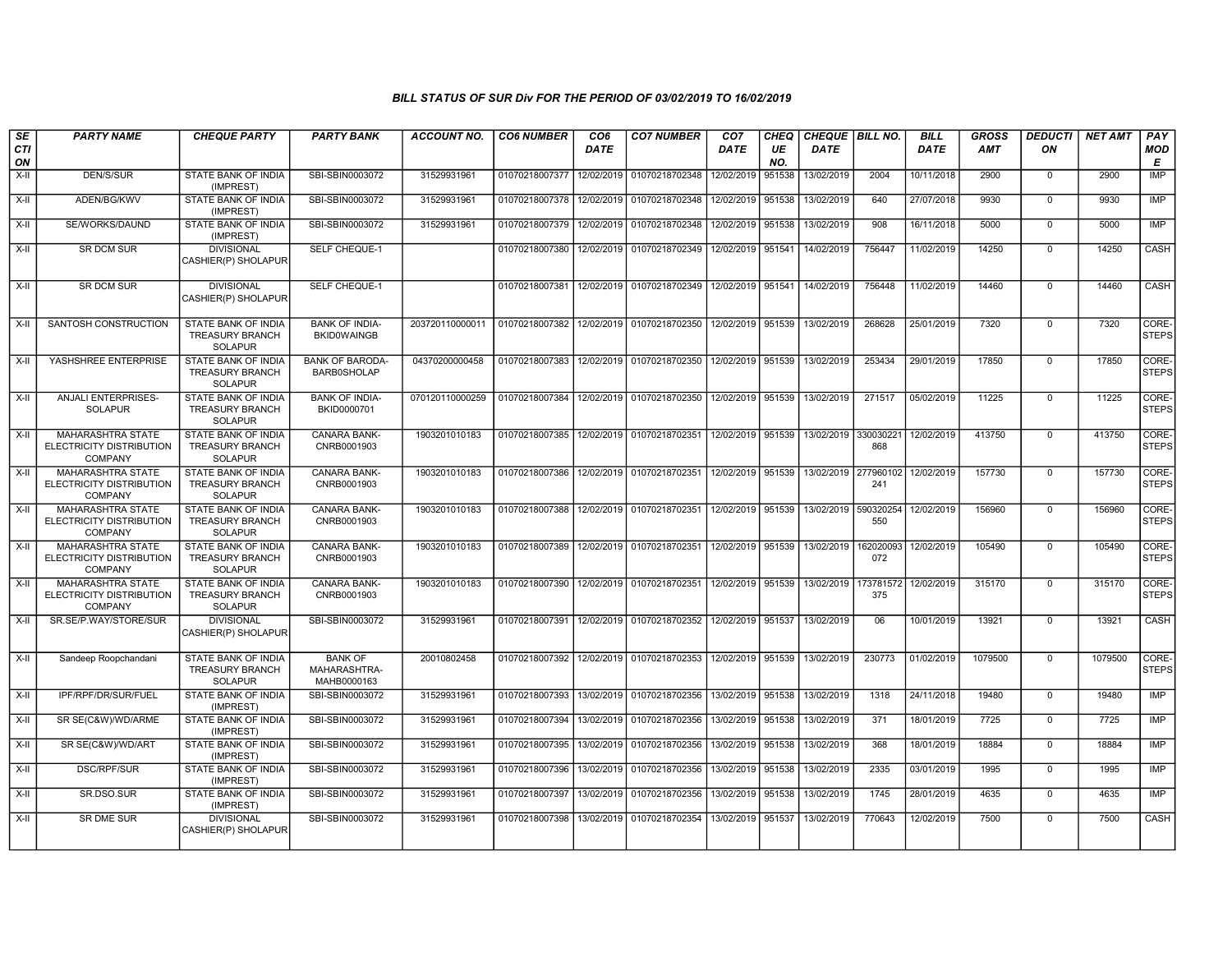| <b>SE</b><br>CTI<br>ON | <b>PARTY NAME</b>                                                      | <b>CHEQUE PARTY</b>                                                    | <b>PARTY BANK</b>                             | <b>ACCOUNT NO.</b> | <b>CO6 NUMBER</b>         | CO <sub>6</sub><br>DATE | <b>CO7 NUMBER</b>                           | CO <sub>7</sub><br>DATE | CHEQ<br>UE<br>NO. | CHEQUE   BILL NO.<br><b>DATE</b> |                  | <b>BILL</b><br><b>DATE</b> | <b>GROSS</b><br><b>AMT</b> | <b>DEDUCTI</b><br>ON | <b>NET AMT</b> | PAY<br><b>MOD</b><br>Е |
|------------------------|------------------------------------------------------------------------|------------------------------------------------------------------------|-----------------------------------------------|--------------------|---------------------------|-------------------------|---------------------------------------------|-------------------------|-------------------|----------------------------------|------------------|----------------------------|----------------------------|----------------------|----------------|------------------------|
| X-II                   | DEN/S/SUR                                                              | STATE BANK OF INDIA<br>(IMPREST)                                       | SBI-SBIN0003072                               | 31529931961        | 01070218007377            | 12/02/2019              | 01070218702348                              | 12/02/2019              | 951538            | 13/02/2019                       | 2004             | 10/11/2018                 | 2900                       | $\mathbf 0$          | 2900           | <b>IMP</b>             |
| X-II                   | ADEN/BG/KWV                                                            | STATE BANK OF INDIA<br>(IMPREST)                                       | SBI-SBIN0003072                               | 31529931961        | 01070218007378 12/02/2019 |                         | 01070218702348                              | 12/02/2019              | 951538            | 13/02/2019                       | 640              | 27/07/2018                 | 9930                       | $\Omega$             | 9930           | IMP                    |
| X-II                   | SE/WORKS/DAUND                                                         | STATE BANK OF INDIA<br>(IMPREST)                                       | SBI-SBIN0003072                               | 31529931961        | 01070218007379            | 12/02/2019              | 01070218702348                              | 12/02/2019              | 951538            | 13/02/2019                       | 908              | 16/11/2018                 | 5000                       | $\overline{0}$       | 5000           | <b>IMP</b>             |
| X-II                   | <b>SR DCM SUR</b>                                                      | <b>DIVISIONAL</b><br>CASHIER(P) SHOLAPUR                               | SELF CHEQUE-1                                 |                    | 01070218007380            | 12/02/2019              | 01070218702349                              | 12/02/2019              | 951541            | 14/02/2019                       | 756447           | 11/02/2019                 | 14250                      | $\Omega$             | 14250          | <b>CASH</b>            |
| $X-II$                 | <b>SR DCM SUR</b>                                                      | <b>DIVISIONAL</b><br>CASHIER(P) SHOLAPUR                               | SELF CHEQUE-1                                 |                    | 01070218007381            | 12/02/2019              | 01070218702349                              | 12/02/2019 951541       |                   | 14/02/2019                       | 756448           | 11/02/2019                 | 14460                      | $\mathbf 0$          | 14460          | CASH                   |
| X-II                   | SANTOSH CONSTRUCTION                                                   | STATE BANK OF INDIA<br><b>TREASURY BRANCH</b><br><b>SOLAPUR</b>        | <b>BANK OF INDIA-</b><br><b>BKID0WAINGB</b>   | 203720110000011    | 01070218007382            | 12/02/2019              | 01070218702350                              | 12/02/2019 951539       |                   | 13/02/2019                       | 268628           | 25/01/2019                 | 7320                       | $\mathbf 0$          | 7320           | CORE-<br><b>STEPS</b>  |
| X-II                   | YASHSHREE ENTERPRISE                                                   | STATE BANK OF INDIA<br><b>TREASURY BRANCH</b><br><b>SOLAPUR</b>        | <b>BANK OF BARODA-</b><br><b>BARB0SHOLAP</b>  | 04370200000458     | 01070218007383            |                         | 12/02/2019 01070218702350                   | 12/02/2019 951539       |                   | 13/02/2019                       | 253434           | 29/01/2019                 | 17850                      | $\Omega$             | 17850          | CORE-<br><b>STEPS</b>  |
| X-II                   | <b>ANJALI ENTERPRISES-</b><br><b>SOLAPUR</b>                           | STATE BANK OF INDIA<br><b>TREASURY BRANCH</b><br><b>SOLAPUR</b>        | <b>BANK OF INDIA-</b><br>BKID0000701          | 070120110000259    | 01070218007384            |                         | 12/02/2019 01070218702350                   | 12/02/2019 951539       |                   | 13/02/2019                       | 271517           | 05/02/2019                 | 11225                      | $\Omega$             | 11225          | CORE-<br><b>STEPS</b>  |
| X-II                   | MAHARASHTRA STATE<br>ELECTRICITY DISTRIBUTION<br><b>COMPANY</b>        | STATE BANK OF INDIA<br><b>TREASURY BRANCH</b><br><b>SOLAPUR</b>        | CANARA BANK-<br>CNRB0001903                   | 1903201010183      | 01070218007385            | 12/02/2019              | 01070218702351                              | 12/02/2019              | 951539            | 13/02/2019                       | 330030221<br>868 | 12/02/2019                 | 413750                     | $\mathbf 0$          | 413750         | CORE-<br><b>STEPS</b>  |
| X-II                   | <b>MAHARASHTRA STATE</b><br>ELECTRICITY DISTRIBUTION<br><b>COMPANY</b> | <b>STATE BANK OF INDIA</b><br><b>TREASURY BRANCH</b><br><b>SOLAPUR</b> | <b>CANARA BANK-</b><br>CNRB0001903            | 1903201010183      | 01070218007386            |                         | 12/02/2019 01070218702351 12/02/2019 951539 |                         |                   | 13/02/2019 277960102             | 241              | 12/02/2019                 | 157730                     | $\mathbf 0$          | 157730         | CORE-<br><b>STEPS</b>  |
| $X-H$                  | <b>MAHARASHTRA STATE</b><br>ELECTRICITY DISTRIBUTION<br><b>COMPANY</b> | STATE BANK OF INDIA<br><b>TREASURY BRANCH</b><br><b>SOLAPUR</b>        | <b>CANARA BANK-</b><br>CNRB0001903            | 1903201010183      | 01070218007388            |                         | 12/02/2019 01070218702351                   | 12/02/2019 951539       |                   | 13/02/2019                       | 590320254<br>550 | 12/02/2019                 | 156960                     | $\overline{0}$       | 156960         | CORE-<br><b>STEPS</b>  |
| $X-H$                  | <b>MAHARASHTRA STATE</b><br>ELECTRICITY DISTRIBUTION<br><b>COMPANY</b> | STATE BANK OF INDIA<br><b>TREASURY BRANCH</b><br><b>SOLAPUR</b>        | CANARA BANK-<br>CNRB0001903                   | 1903201010183      | 01070218007389            |                         | 12/02/2019 01070218702351                   | 12/02/2019 951539       |                   | 13/02/2019                       | 162020093<br>072 | 12/02/2019                 | 105490                     | $\mathbf 0$          | 105490         | CORE-<br><b>STEPS</b>  |
| $X-H$                  | <b>MAHARASHTRA STATE</b><br>ELECTRICITY DISTRIBUTION<br><b>COMPANY</b> | <b>STATE BANK OF INDIA</b><br><b>TREASURY BRANCH</b><br><b>SOLAPUR</b> | <b>CANARA BANK-</b><br>CNRB0001903            | 1903201010183      | 01070218007390            |                         | 12/02/2019 01070218702351                   | 12/02/2019 951539       |                   | 13/02/2019                       | 173781572<br>375 | 12/02/2019                 | 315170                     | $\Omega$             | 315170         | CORE-<br><b>STEPS</b>  |
| $X-H$                  | SR.SE/P.WAY/STORE/SUR                                                  | <b>DIVISIONAL</b><br>CASHIER(P) SHOLAPUR                               | SBI-SBIN0003072                               | 31529931961        | 01070218007391            |                         | 12/02/2019 01070218702352                   | 12/02/2019 951537       |                   | 13/02/2019                       | 06               | 10/01/2019                 | 13921                      | $\Omega$             | 13921          | CASH                   |
| X-II                   | Sandeep Roopchandani                                                   | STATE BANK OF INDIA<br><b>TREASURY BRANCH</b><br><b>SOLAPUR</b>        | <b>BANK OF</b><br>MAHARASHTRA-<br>MAHB0000163 | 20010802458        | 01070218007392            |                         | 12/02/2019 01070218702353                   | 12/02/2019 951539       |                   | 13/02/2019                       | 230773           | 01/02/2019                 | 1079500                    | $\mathbf 0$          | 1079500        | CORE-<br><b>STEPS</b>  |
| $X-H$                  | IPF/RPF/DR/SUR/FUEL                                                    | <b>STATE BANK OF INDIA</b><br>(IMPREST)                                | SBI-SBIN0003072                               | 31529931961        | 01070218007393            |                         | 13/02/2019 01070218702356                   | 13/02/2019              | 951538            | 13/02/2019                       | 1318             | 24/11/2018                 | 19480                      | $\overline{0}$       | 19480          | <b>IMP</b>             |
| $X-H$                  | SR SE(C&W)/WD/ARME                                                     | STATE BANK OF INDIA<br>(IMPREST)                                       | SBI-SBIN0003072                               | 31529931961        | 01070218007394            | 13/02/2019              | 01070218702356                              | 13/02/2019              | 951538            | 13/02/2019                       | 371              | 18/01/2019                 | 7725                       | $\mathbf 0$          | 7725           | IMP                    |
| X-II                   | SR SE(C&W)/WD/ART                                                      | STATE BANK OF INDIA<br>(IMPREST)                                       | SBI-SBIN0003072                               | 31529931961        | 01070218007395            | 13/02/2019              | 01070218702356                              | 13/02/2019              | 951538            | 13/02/2019                       | 368              | 18/01/2019                 | 18884                      | $\mathbf 0$          | 18884          | <b>IMP</b>             |
| X-II                   | <b>DSC/RPF/SUR</b>                                                     | STATE BANK OF INDIA<br>(IMPREST)                                       | SBI-SBIN0003072                               | 31529931961        | 01070218007396            | 13/02/2019              | 01070218702356                              | 13/02/2019              | 951538            | 13/02/2019                       | 2335             | 03/01/2019                 | 1995                       | $\mathbf 0$          | 1995           | <b>IMP</b>             |
| X-II                   | SR.DSO.SUR                                                             | STATE BANK OF INDIA<br>(IMPREST)                                       | SBI-SBIN0003072                               | 31529931961        | 01070218007397            |                         | 13/02/2019 01070218702356                   | 13/02/2019              | 951538            | 13/02/2019                       | 1745             | 28/01/2019                 | 4635                       | $\overline{0}$       | 4635           | IMP                    |
| X-II                   | SR DME SUR                                                             | <b>DIVISIONAL</b><br>CASHIER(P) SHOLAPUR                               | SBI-SBIN0003072                               | 31529931961        | 01070218007398            | 13/02/2019              | 01070218702354                              | 13/02/2019              | 951537            | 13/02/2019                       | 770643           | 12/02/2019                 | 7500                       | $\Omega$             | 7500           | CASH                   |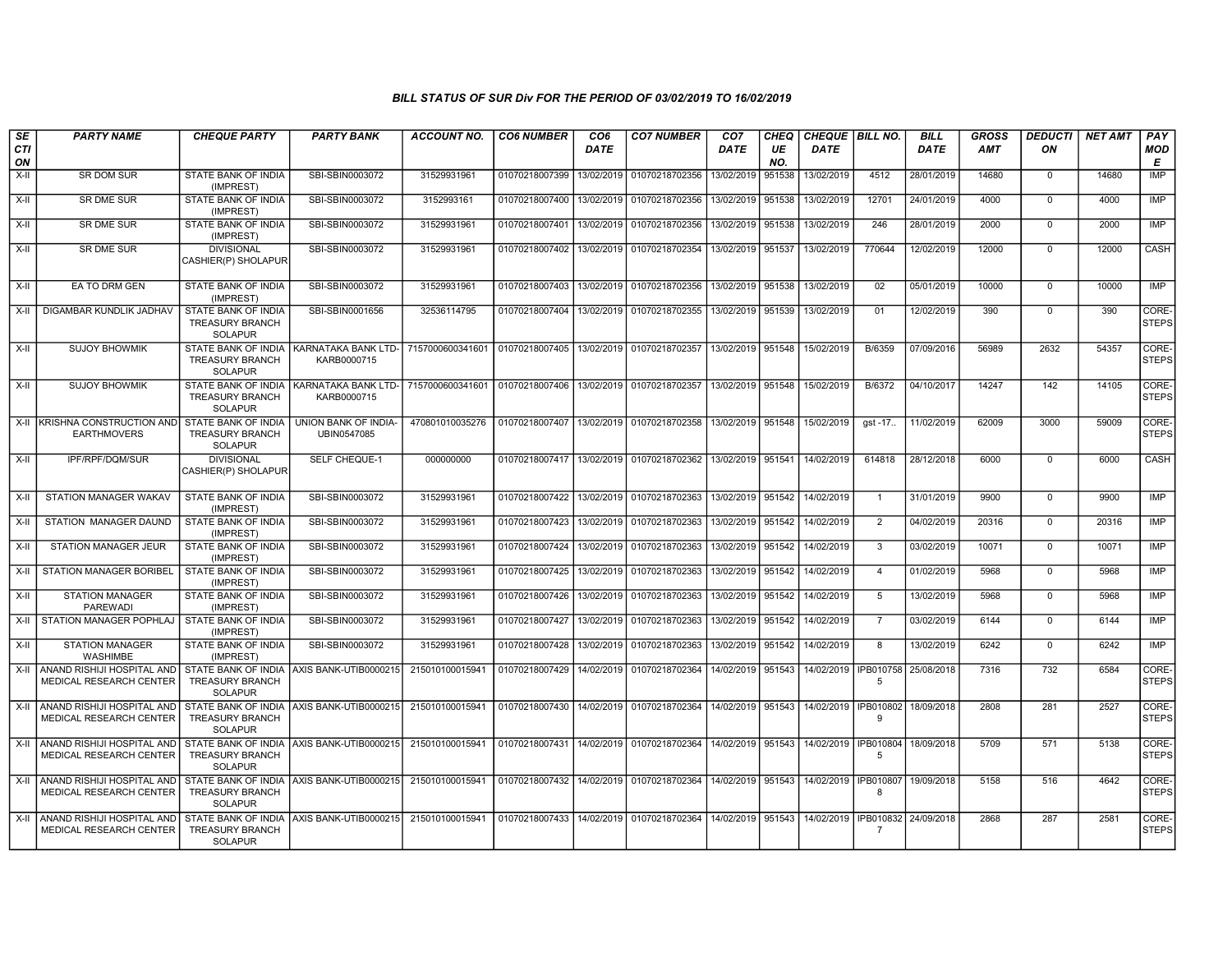| SE               | <b>PARTY NAME</b>                                                                               | <b>CHEQUE PARTY</b>                                                    | <b>PARTY BANK</b>                         | <b>ACCOUNT NO.</b>                                              | <b>CO6 NUMBER</b>                        | CO <sub>6</sub> | <b>CO7 NUMBER</b>                        | CO <sub>7</sub>   | <b>CHEQ</b> | CHEQUE   BILL NO.                                 |                              | <b>BILL</b> | <b>GROSS</b> | <b>DEDUCTI</b> | <b>NET AMT</b> | <b>PAY</b>            |
|------------------|-------------------------------------------------------------------------------------------------|------------------------------------------------------------------------|-------------------------------------------|-----------------------------------------------------------------|------------------------------------------|-----------------|------------------------------------------|-------------------|-------------|---------------------------------------------------|------------------------------|-------------|--------------|----------------|----------------|-----------------------|
| <b>CTI</b><br>ON |                                                                                                 |                                                                        |                                           |                                                                 |                                          | DATE            |                                          | DATE              | UE<br>NO.   | <b>DATE</b>                                       |                              | <b>DATE</b> | <b>AMT</b>   | ΟN             |                | <b>MOD</b><br>E       |
| X-II             | SR DOM SUR                                                                                      | STATE BANK OF INDIA<br>(IMPREST)                                       | SBI-SBIN0003072                           | 31529931961                                                     | 01070218007399                           | 13/02/2019      | 01070218702356                           | 13/02/2019        | 951538      | 13/02/2019                                        | 4512                         | 28/01/2019  | 14680        | $\mathbf 0$    | 14680          | <b>IMP</b>            |
| $X-II$           | SR DME SUR                                                                                      | STATE BANK OF INDIA<br>(IMPREST)                                       | SBI-SBIN0003072                           | 3152993161                                                      | 01070218007400                           | 13/02/2019      | 01070218702356                           | 13/02/2019        | 951538      | 13/02/2019                                        | 12701                        | 24/01/2019  | 4000         | $\overline{0}$ | 4000           | IMP                   |
| X-II             | <b>SR DME SUR</b>                                                                               | STATE BANK OF INDIA<br>(IMPREST)                                       | SBI-SBIN0003072                           | 31529931961                                                     | 01070218007401                           |                 | 13/02/2019 01070218702356                | 13/02/2019 951538 |             | 13/02/2019                                        | 246                          | 28/01/2019  | 2000         | $\Omega$       | 2000           | <b>IMP</b>            |
| $X-H$            | <b>SR DME SUR</b>                                                                               | <b>DIVISIONAL</b><br>CASHIER(P) SHOLAPUR                               | SBI-SBIN0003072                           | 31529931961                                                     |                                          |                 | 01070218007402 13/02/2019 01070218702354 | 13/02/2019 951537 |             | 13/02/2019                                        | 770644                       | 12/02/2019  | 12000        | $\overline{0}$ | 12000          | CASH                  |
| $X-H$            | EA TO DRM GEN                                                                                   | STATE BANK OF INDIA<br>(IMPREST)                                       | SBI-SBIN0003072                           | 31529931961                                                     | 01070218007403                           |                 | 13/02/2019 01070218702356                | 13/02/2019 951538 |             | 13/02/2019                                        | 02                           | 05/01/2019  | 10000        | $\overline{0}$ | 10000          | <b>IMP</b>            |
| X-II             | DIGAMBAR KUNDLIK JADHAV                                                                         | <b>STATE BANK OF INDIA</b><br><b>TREASURY BRANCH</b><br><b>SOLAPUR</b> | SBI-SBIN0001656                           | 32536114795                                                     |                                          |                 | 01070218007404 13/02/2019 01070218702355 | 13/02/2019 951539 |             | 13/02/2019                                        | 01                           | 12/02/2019  | 390          | $\mathbf 0$    | 390            | CORE-<br><b>STEPS</b> |
| $X-II$           | <b>SUJOY BHOWMIK</b>                                                                            | STATE BANK OF INDIA<br><b>TREASURY BRANCH</b><br><b>SOLAPUR</b>        | KARNATAKA BANK LTD-<br>KARB0000715        | 7157000600341601   01070218007405   13/02/2019   01070218702357 |                                          |                 |                                          | 13/02/2019 951548 |             | 15/02/2019                                        | B/6359                       | 07/09/2016  | 56989        | 2632           | 54357          | CORE-<br><b>STEPS</b> |
| X-II             | <b>SUJOY BHOWMIK</b>                                                                            | STATE BANK OF INDIA<br>TREASURY BRANCH<br><b>SOLAPUR</b>               | I KARNATAKA BANK LTD-<br>KARB0000715      | 7157000600341601 01070218007406 13/02/2019 01070218702357       |                                          |                 |                                          | 13/02/2019 951548 |             | 15/02/2019                                        | B/6372                       | 04/10/2017  | 14247        | 142            | 14105          | CORE-<br><b>STEPS</b> |
| X-II             | KRISHNA CONSTRUCTION AND<br><b>EARTHMOVERS</b>                                                  | <b>STATE BANK OF INDIA</b><br>TREASURY BRANCH<br><b>SOLAPUR</b>        | UNION BANK OF INDIA-<br>UBIN0547085       | 470801010035276                                                 |                                          |                 | 01070218007407 13/02/2019 01070218702358 | 13/02/2019 951548 |             | 15/02/2019                                        | gst -17                      | 11/02/2019  | 62009        | 3000           | 59009          | CORE-<br><b>STEPS</b> |
| $X-I$            | <b>IPF/RPF/DQM/SUR</b>                                                                          | <b>DIVISIONAL</b><br>CASHIER(P) SHOLAPUR                               | SELF CHEQUE-1                             | 000000000                                                       |                                          |                 | 01070218007417 13/02/2019 01070218702362 | 13/02/2019 951541 |             | 14/02/2019                                        | 614818                       | 28/12/2018  | 6000         | $\overline{0}$ | 6000           | CASH                  |
| X-II             | STATION MANAGER WAKAV                                                                           | STATE BANK OF INDIA<br>(IMPREST)                                       | SBI-SBIN0003072                           | 31529931961                                                     | 01070218007422                           |                 | 13/02/2019 01070218702363                | 13/02/2019 951542 |             | 14/02/2019                                        | $\overline{1}$               | 31/01/2019  | 9900         | $\Omega$       | 9900           | IMP                   |
| X-II             | STATION MANAGER DAUND                                                                           | <b>STATE BANK OF INDIA</b><br>(IMPREST)                                | SBI-SBIN0003072                           | 31529931961                                                     | 01070218007423 13/02/2019 01070218702363 |                 |                                          | 13/02/2019 951542 |             | 14/02/2019                                        | $\overline{2}$               | 04/02/2019  | 20316        | $\overline{0}$ | 20316          | IMP                   |
| $X-H$            | <b>STATION MANAGER JEUR</b>                                                                     | STATE BANK OF INDIA<br>(IMPREST)                                       | SBI-SBIN0003072                           | 31529931961                                                     | 01070218007424 13/02/2019                |                 | 01070218702363                           | 13/02/2019 951542 |             | 14/02/2019                                        | 3                            | 03/02/2019  | 10071        | $\mathbf 0$    | 10071          | <b>IMP</b>            |
| X-II             | <b>STATION MANAGER BORIBEL</b>                                                                  | <b>STATE BANK OF INDIA</b><br>(IMPREST)                                | SBI-SBIN0003072                           | 31529931961                                                     | 01070218007425 13/02/2019 01070218702363 |                 |                                          | 13/02/2019 951542 |             | 14/02/2019                                        | $\overline{4}$               | 01/02/2019  | 5968         | $\Omega$       | 5968           | IMP                   |
| X-II             | <b>STATION MANAGER</b><br>PAREWADI                                                              | STATE BANK OF INDIA<br>(IMPREST)                                       | SBI-SBIN0003072                           | 31529931961                                                     | 01070218007426 13/02/2019                |                 | 01070218702363                           | 13/02/2019        | 951542      | 14/02/2019                                        | 5                            | 13/02/2019  | 5968         | $\mathbf 0$    | 5968           | <b>IMP</b>            |
| $X-II$           | STATION MANAGER POPHLAJ                                                                         | <b>STATE BANK OF INDIA</b><br>(IMPREST)                                | SBI-SBIN0003072                           | 31529931961                                                     | 01070218007427                           |                 | 13/02/2019 01070218702363                | 13/02/2019        | 951542      | 14/02/2019                                        | $\overline{7}$               | 03/02/2019  | 6144         | $\overline{0}$ | 6144           | IMP                   |
| X-II             | <b>STATION MANAGER</b><br>WASHIMBE                                                              | STATE BANK OF INDIA<br>(IMPREST)                                       | SBI-SBIN0003072                           | 31529931961                                                     | 01070218007428                           |                 | 13/02/2019 01070218702363                | 13/02/2019        | 951542      | 14/02/2019                                        | 8                            | 13/02/2019  | 6242         | $\mathbf 0$    | 6242           | IMP                   |
| X-II             | ANAND RISHIJI HOSPITAL AND STATE BANK OF INDIA AXIS BANK-UTIB0000215<br>MEDICAL RESEARCH CENTER | <b>TREASURY BRANCH</b><br><b>SOLAPUR</b>                               |                                           | 215010100015941                                                 | 01070218007429 14/02/2019 01070218702364 |                 |                                          | 14/02/2019 951543 |             | 14/02/2019                                        | IPB010758 25/08/2018<br>.5   |             | 7316         | 732            | 6584           | CORE-<br><b>STEPS</b> |
| $X-H$            | ANAND RISHIJI HOSPITAL AND<br>MEDICAL RESEARCH CENTER                                           | <b>TREASURY BRANCH</b><br><b>SOLAPUR</b>                               | STATE BANK OF INDIA AXIS BANK-UTIB0000215 | 215010100015941                                                 | 01070218007430 14/02/2019 01070218702364 |                 |                                          | 14/02/2019 951543 |             |                                                   | 14/02/2019   IPB010802<br>9  | 18/09/2018  | 2808         | 281            | 2527           | CORE-<br><b>STEPS</b> |
| X-II             | ANAND RISHIJI HOSPITAL AND<br>MEDICAL RESEARCH CENTER                                           | <b>TREASURY BRANCH</b><br><b>SOLAPUR</b>                               | STATE BANK OF INDIA AXIS BANK-UTIB0000215 | 215010100015941                                                 | 01070218007431 14/02/2019 01070218702364 |                 |                                          | 14/02/2019 951543 |             |                                                   | 14/02/2019   IPB010804<br>-5 | 18/09/2018  | 5709         | 571            | 5138           | CORE-<br><b>STEPS</b> |
| X-II             | ANAND RISHIJI HOSPITAL AND<br>MEDICAL RESEARCH CENTER                                           | <b>TREASURY BRANCH</b><br><b>SOLAPUR</b>                               | STATE BANK OF INDIA AXIS BANK-UTIB0000215 | 215010100015941                                                 | 01070218007432 14/02/2019 01070218702364 |                 |                                          | 14/02/2019 951543 |             | 14/02/2019 IPB010807                              | -8                           | 19/09/2018  | 5158         | 516            | 4642           | CORE-<br><b>STEPS</b> |
| X-II             | ANAND RISHIJI HOSPITAL AND<br>MEDICAL RESEARCH CENTER                                           | <b>TREASURY BRANCH</b><br><b>SOLAPUR</b>                               | STATE BANK OF INDIA AXIS BANK-UTIB0000215 | 215010100015941 01070218007433 14/02/2019 01070218702364        |                                          |                 |                                          |                   |             | 14/02/2019 951543 14/02/2019 IPB010832 24/09/2018 | 7                            |             | 2868         | 287            | 2581           | CORE-<br><b>STEPS</b> |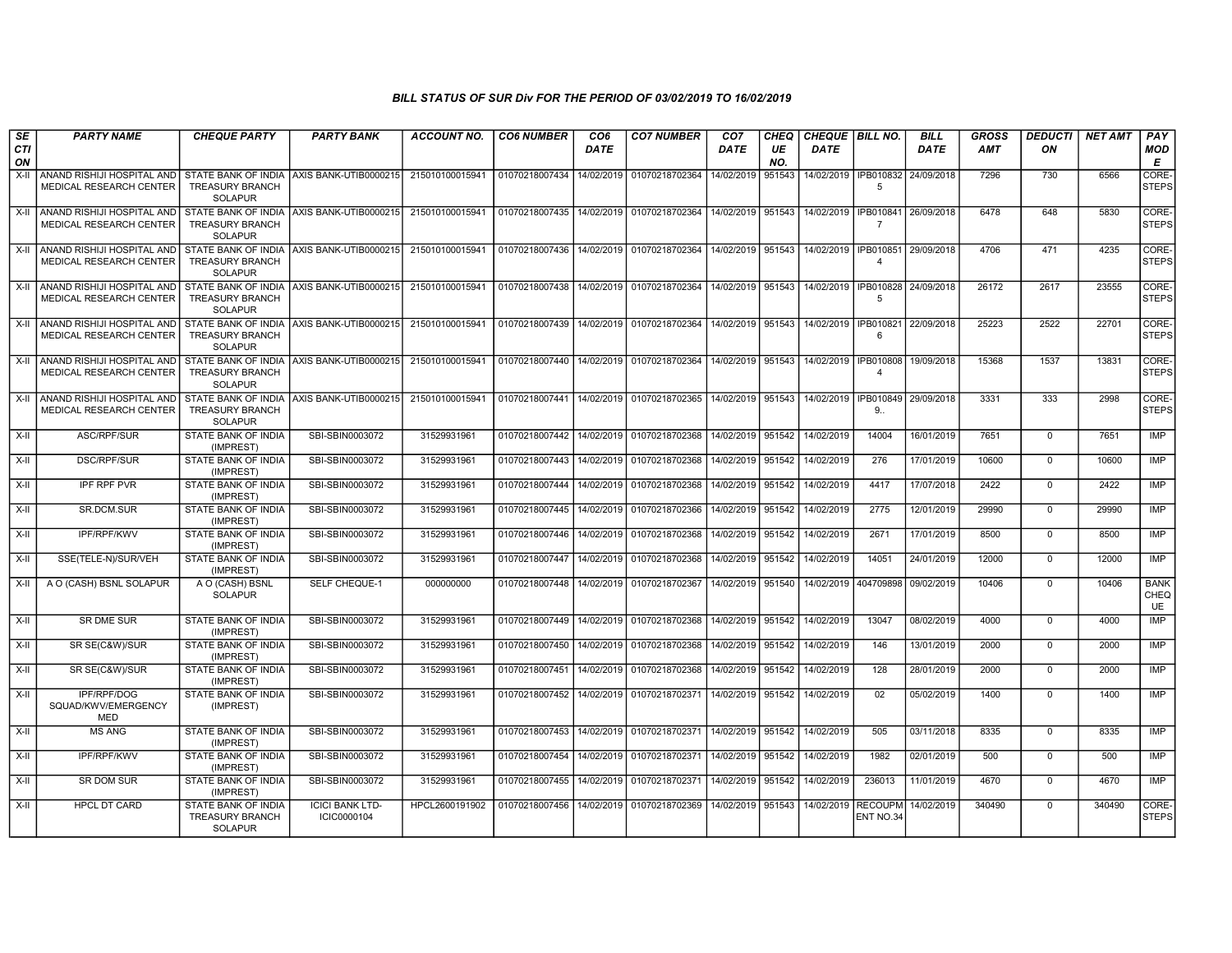| SE               | <b>PARTY NAME</b>                                     | <b>CHEQUE PARTY</b>                                                    | <b>PARTY BANK</b>                                         | <b>ACCOUNT NO.</b> | <b>CO6 NUMBER</b>                            | CO <sub>6</sub> | <b>CO7 NUMBER</b>         | CO <sub>7</sub>   | <b>CHEQ</b> | CHEQUE   BILL NO.      |                         | <b>BILL</b> | GROSS      | <b>DEDUCTI</b> | <b>NET AMT</b> | PAY                              |
|------------------|-------------------------------------------------------|------------------------------------------------------------------------|-----------------------------------------------------------|--------------------|----------------------------------------------|-----------------|---------------------------|-------------------|-------------|------------------------|-------------------------|-------------|------------|----------------|----------------|----------------------------------|
| <b>CTI</b><br>ON |                                                       |                                                                        |                                                           |                    |                                              | <b>DATE</b>     |                           | <b>DATE</b>       | UE<br>NO.   | <b>DATE</b>            |                         | <b>DATE</b> | <b>AMT</b> | ON             |                | <b>MOD</b><br>Е                  |
| X-II             | ANAND RISHIJI HOSPITAL AND<br>MEDICAL RESEARCH CENTER | <b>TREASURY BRANCH</b><br><b>SOLAPUR</b>                               | STATE BANK OF INDIA AXIS BANK-UTIB0000215                 | 215010100015941    | 01070218007434                               | 14/02/2019      | 01070218702364            | 14/02/2019        | 951543      | 14/02/2019   IPB010832 | -5                      | 24/09/2018  | 7296       | 730            | 6566           | CORE-<br><b>STEPS</b>            |
| $X-II$           | ANAND RISHIJI HOSPITAL AND<br>MEDICAL RESEARCH CENTER | <b>TREASURY BRANCH</b><br><b>SOLAPUR</b>                               | STATE BANK OF INDIA AXIS BANK-UTIB0000215 215010100015941 |                    | 01070218007435   14/02/2019   01070218702364 |                 |                           | 14/02/2019 951543 |             | 14/02/2019   IPB010841 | $\overline{7}$          | 26/09/2018  | 6478       | 648            | 5830           | CORE-<br><b>STEPS</b>            |
| X-II             | ANAND RISHIJI HOSPITAL AND<br>MEDICAL RESEARCH CENTER | <b>TREASURY BRANCH</b><br>SOLAPUR                                      | STATE BANK OF INDIA AXIS BANK-UTIB0000215 215010100015941 |                    | 01070218007436   14/02/2019   01070218702364 |                 |                           | 14/02/2019 951543 |             | 14/02/2019   IPB010851 | $\boldsymbol{\Lambda}$  | 29/09/2018  | 4706       | 471            | 4235           | CORE-<br><b>STEPS</b>            |
| X-II             | ANAND RISHIJI HOSPITAL AND<br>MEDICAL RESEARCH CENTER | <b>TREASURY BRANCH</b><br><b>SOLAPUR</b>                               | STATE BANK OF INDIA AXIS BANK-UTIB0000215                 | 215010100015941    | 01070218007438   14/02/2019   01070218702364 |                 |                           | 14/02/2019 951543 |             | 14/02/2019   IPB010828 | -5                      | 24/09/2018  | 26172      | 2617           | 23555          | CORE-<br><b>STEPS</b>            |
| X-II             | ANAND RISHIJI HOSPITAL AND<br>MEDICAL RESEARCH CENTER | <b>TREASURY BRANCH</b><br><b>SOLAPUR</b>                               | STATE BANK OF INDIA AXIS BANK-UTIB0000215 215010100015941 |                    | 01070218007439 14/02/2019 01070218702364     |                 |                           | 14/02/2019 951543 |             | 14/02/2019   IPB010821 | 6                       | 22/09/2018  | 25223      | 2522           | 22701          | CORE-<br><b>STEPS</b>            |
| X-II             | ANAND RISHIJI HOSPITAL AND<br>MEDICAL RESEARCH CENTER | <b>TREASURY BRANCH</b><br><b>SOLAPUR</b>                               | STATE BANK OF INDIA AXIS BANK-UTIB0000215                 | 215010100015941    | 01070218007440                               |                 | 14/02/2019 01070218702364 | 14/02/2019 951543 |             | 14/02/2019   IPB010808 | $\overline{\mathbf{4}}$ | 19/09/2018  | 15368      | 1537           | 13831          | CORE-<br><b>STEPS</b>            |
| X-II             | ANAND RISHIJI HOSPITAL AND<br>MEDICAL RESEARCH CENTER | <b>TREASURY BRANCH</b><br><b>SOLAPUR</b>                               | STATE BANK OF INDIA AXIS BANK-UTIB0000215                 | 215010100015941    | 01070218007441                               |                 | 14/02/2019 01070218702365 | 14/02/2019 951543 |             | 14/02/2019   IPB010849 | 9.                      | 29/09/2018  | 3331       | 333            | 2998           | CORE-<br><b>STEPS</b>            |
| X-II             | ASC/RPF/SUR                                           | <b>STATE BANK OF INDIA</b><br>(IMPREST)                                | SBI-SBIN0003072                                           | 31529931961        | 01070218007442 14/02/2019 01070218702368     |                 |                           | 14/02/2019 951542 |             | 14/02/2019             | 14004                   | 16/01/2019  | 7651       | $\mathbf 0$    | 7651           | <b>IMP</b>                       |
| X-II             | <b>DSC/RPF/SUR</b>                                    | STATE BANK OF INDIA<br>(IMPREST)                                       | SBI-SBIN0003072                                           | 31529931961        | 01070218007443 14/02/2019 01070218702368     |                 |                           | 14/02/2019 951542 |             | 14/02/2019             | 276                     | 17/01/2019  | 10600      | $\Omega$       | 10600          | IMP                              |
| X-II             | <b>IPF RPF PVR</b>                                    | STATE BANK OF INDIA<br>(IMPREST)                                       | SBI-SBIN0003072                                           | 31529931961        | 01070218007444                               | 14/02/2019      | 01070218702368            | 14/02/2019        | 951542      | 14/02/2019             | 4417                    | 17/07/2018  | 2422       | $\mathbf{0}$   | 2422           | <b>IMP</b>                       |
| X-II             | SR.DCM.SUR                                            | <b>STATE BANK OF INDIA</b><br>(IMPREST)                                | SBI-SBIN0003072                                           | 31529931961        | 01070218007445   14/02/2019   01070218702366 |                 |                           | 14/02/2019        | 951542      | 14/02/2019             | 2775                    | 12/01/2019  | 29990      | $\Omega$       | 29990          | <b>IMP</b>                       |
| X-II             | <b>IPF/RPF/KWV</b>                                    | <b>STATE BANK OF INDIA</b><br>(IMPREST)                                | SBI-SBIN0003072                                           | 31529931961        | 01070218007446 14/02/2019 01070218702368     |                 |                           | 14/02/2019        | 951542      | 14/02/2019             | 2671                    | 17/01/2019  | 8500       | $\overline{0}$ | 8500           | IMP                              |
| X-II             | SSE(TELE-N)/SUR/VEH                                   | STATE BANK OF INDIA<br>(IMPREST)                                       | SBI-SBIN0003072                                           | 31529931961        | 01070218007447                               |                 | 14/02/2019 01070218702368 | 14/02/2019        | 951542      | 14/02/2019             | 14051                   | 24/01/2019  | 12000      | $\mathbf 0$    | 12000          | <b>IMP</b>                       |
| X-II             | A O (CASH) BSNL SOLAPUR                               | A O (CASH) BSNL<br><b>SOLAPUR</b>                                      | SELF CHEQUE-1                                             | 000000000          | 01070218007448   14/02/2019   01070218702367 |                 |                           | 14/02/2019 951540 |             | 14/02/2019             | 404709898               | 09/02/2019  | 10406      | $\Omega$       | 10406          | <b>BANK</b><br>CHEQ<br><b>UE</b> |
| X-II             | <b>SR DME SUR</b>                                     | STATE BANK OF INDIA<br>(IMPREST)                                       | SBI-SBIN0003072                                           | 31529931961        | 01070218007449 14/02/2019 01070218702368     |                 |                           | 14/02/2019 951542 |             | 14/02/2019             | 13047                   | 08/02/2019  | 4000       | $\mathbf 0$    | 4000           | IMP                              |
| X-II             | SR SE(C&W)/SUR                                        | STATE BANK OF INDIA<br>(IMPREST)                                       | SBI-SBIN0003072                                           | 31529931961        | 01070218007450                               |                 | 14/02/2019 01070218702368 | 14/02/2019 951542 |             | 14/02/2019             | 146                     | 13/01/2019  | 2000       | $\mathbf 0$    | 2000           | <b>IMP</b>                       |
| X-II             | SR SE(C&W)/SUR                                        | STATE BANK OF INDIA<br>(IMPREST)                                       | SBI-SBIN0003072                                           | 31529931961        | 01070218007451                               |                 | 14/02/2019 01070218702368 | 14/02/2019        | 951542      | 14/02/2019             | 128                     | 28/01/2019  | 2000       | $\mathbf{0}$   | 2000           | <b>IMP</b>                       |
| X-II             | IPF/RPF/DOG<br>SQUAD/KWV/EMERGENCY<br><b>MED</b>      | STATE BANK OF INDIA<br>(IMPREST)                                       | SBI-SBIN0003072                                           | 31529931961        | 01070218007452                               |                 | 14/02/2019 01070218702371 | 14/02/2019        | 951542      | 14/02/2019             | 02                      | 05/02/2019  | 1400       | $^{\circ}$     | 1400           | IMP                              |
| X-II             | <b>MS ANG</b>                                         | STATE BANK OF INDIA<br>(IMPREST)                                       | SBI-SBIN0003072                                           | 31529931961        | 01070218007453 14/02/2019 01070218702371     |                 |                           | 14/02/2019        | 951542      | 14/02/2019             | 505                     | 03/11/2018  | 8335       | $\mathbf{0}$   | 8335           | IMP                              |
| X-II             | <b>IPF/RPF/KWV</b>                                    | STATE BANK OF INDIA<br>(IMPREST)                                       | SBI-SBIN0003072                                           | 31529931961        | 01070218007454 14/02/2019 01070218702371     |                 |                           | 14/02/2019        | 951542      | 14/02/2019             | 1982                    | 02/01/2019  | 500        | $\Omega$       | 500            | IMP                              |
| X-II             | <b>SR DOM SUR</b>                                     | <b>STATE BANK OF INDIA</b><br>(IMPREST)                                | SBI-SBIN0003072                                           | 31529931961        | 01070218007455   14/02/2019   01070218702371 |                 |                           | 14/02/2019        | 951542      | 14/02/2019             | 236013                  | 11/01/2019  | 4670       | $\mathbf 0$    | 4670           | <b>IMP</b>                       |
| $X-H$            | <b>HPCL DT CARD</b>                                   | <b>STATE BANK OF INDIA</b><br><b>TREASURY BRANCH</b><br><b>SOLAPUR</b> | <b>ICICI BANK LTD-</b><br>ICIC0000104                     | HPCL2600191902     | 01070218007456                               |                 | 14/02/2019 01070218702369 | 14/02/2019        | 951543      | 14/02/2019 RECOUPM     | ENT NO.34               | 14/02/2019  | 340490     | $\mathbf 0$    | 340490         | CORE-<br><b>STEPS</b>            |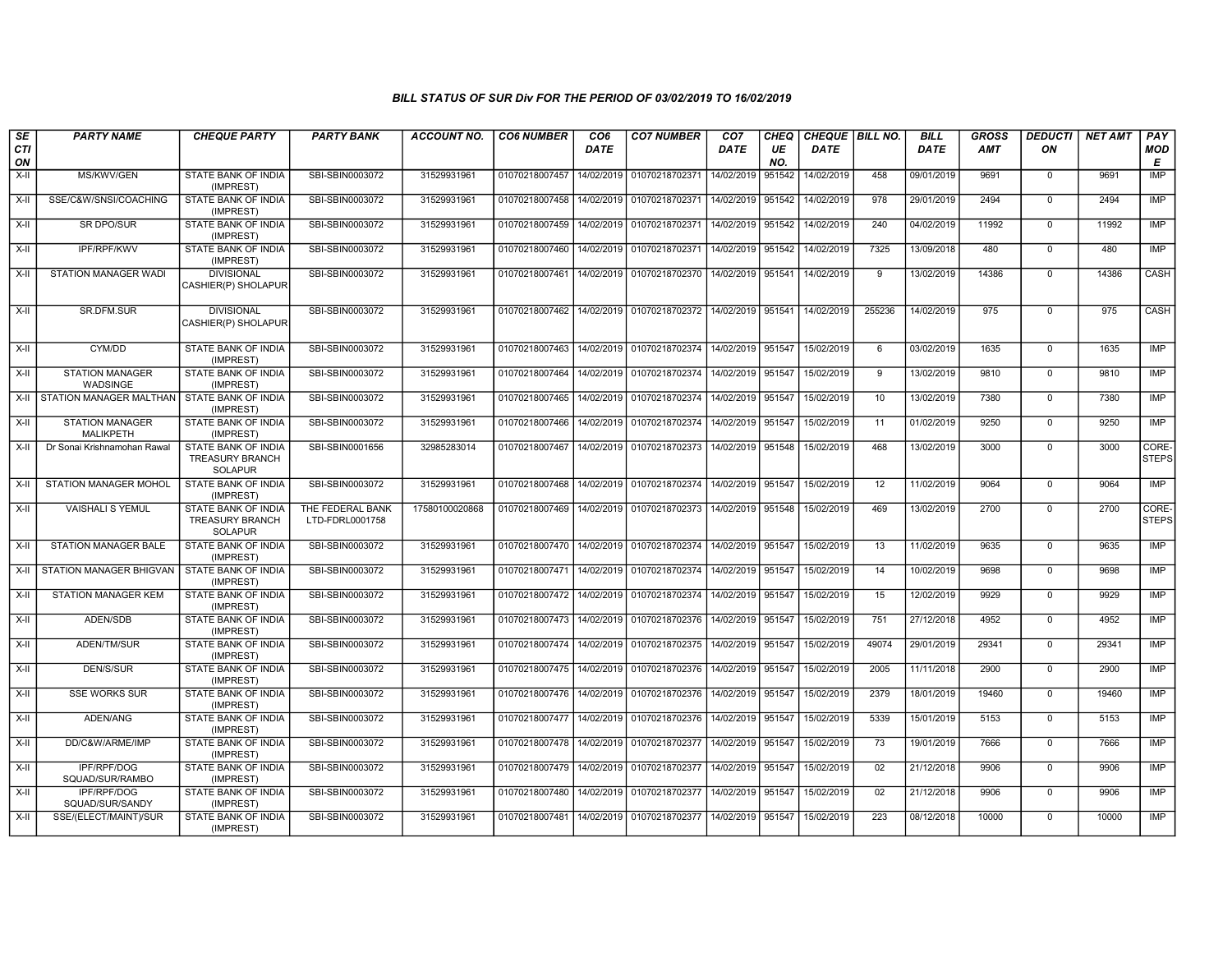| SE        | <b>PARTY NAME</b>                          | <b>CHEQUE PARTY</b>                                                    | <b>PARTY BANK</b>                   | <b>ACCOUNT NO.</b> | <b>CO6 NUMBER</b>                            | CO <sub>6</sub> | <b>CO7 NUMBER</b>                        | CO <sub>7</sub>     | CHEQ      | CHEQUE   BILL NO. |                 | <b>BILL</b> | <b>GROSS</b> | <b>DEDUCTI</b> | <b>NET AMT</b> | <b>PAY</b>            |
|-----------|--------------------------------------------|------------------------------------------------------------------------|-------------------------------------|--------------------|----------------------------------------------|-----------------|------------------------------------------|---------------------|-----------|-------------------|-----------------|-------------|--------------|----------------|----------------|-----------------------|
| CTI<br>ON |                                            |                                                                        |                                     |                    |                                              | <b>DATE</b>     |                                          | <b>DATE</b>         | UE<br>NO. | <b>DATE</b>       |                 | <b>DATE</b> | AMT          | ON             |                | MOD<br>E              |
| $X-II$    | MS/KWV/GEN                                 | STATE BANK OF INDIA<br>(IMPREST)                                       | SBI-SBIN0003072                     | 31529931961        | 01070218007457                               | 14/02/2019      | 01070218702371                           | 14/02/2019          | 951542    | 14/02/2019        | 458             | 09/01/2019  | 9691         | $\mathbf 0$    | 9691           | <b>IMP</b>            |
| X-II      | SSE/C&W/SNSI/COACHING                      | STATE BANK OF INDIA<br>(IMPREST)                                       | SBI-SBIN0003072                     | 31529931961        | 01070218007458 14/02/2019 01070218702371     |                 |                                          | 14/02/2019          | 951542    | 14/02/2019        | 978             | 29/01/2019  | 2494         | $\Omega$       | 2494           | <b>IMP</b>            |
| X-II      | SR DPO/SUR                                 | STATE BANK OF INDIA<br>(IMPREST)                                       | SBI-SBIN0003072                     | 31529931961        | 01070218007459 14/02/2019 01070218702371     |                 |                                          | 14/02/2019 951542   |           | 14/02/2019        | 240             | 04/02/2019  | 11992        | 0              | 11992          | IMP                   |
| X-II      | <b>IPF/RPF/KWV</b>                         | STATE BANK OF INDIA<br>(IMPREST)                                       | SBI-SBIN0003072                     | 31529931961        | 01070218007460   14/02/2019   01070218702371 |                 |                                          | 14/02/2019          | 951542    | 14/02/2019        | 7325            | 13/09/2018  | 480          | $\mathbf 0$    | 480            | IMP                   |
| X-II      | STATION MANAGER WADI                       | <b>DIVISIONAL</b><br>CASHIER(P) SHOLAPUR                               | SBI-SBIN0003072                     | 31529931961        | 01070218007461                               |                 | 14/02/2019 01070218702370                | 14/02/2019          | 951541    | 14/02/2019        | 9               | 13/02/2019  | 14386        | $\Omega$       | 14386          | CASH                  |
| X-II      | SR.DFM.SUR                                 | <b>DIVISIONAL</b><br>CASHIER(P) SHOLAPUR                               | SBI-SBIN0003072                     | 31529931961        |                                              |                 | 01070218007462 14/02/2019 01070218702372 | 14/02/2019 951541   |           | 14/02/2019        | 255236          | 14/02/2019  | 975          | $\Omega$       | 975            | CASH                  |
| X-II      | CYM/DD                                     | STATE BANK OF INDIA<br>(IMPREST)                                       | SBI-SBIN0003072                     | 31529931961        | 01070218007463                               |                 | 14/02/2019 01070218702374                | 14/02/2019          | 951547    | 15/02/2019        | 6               | 03/02/2019  | 1635         | $\mathbf 0$    | 1635           | IMP                   |
| X-II      | <b>STATION MANAGER</b><br>WADSINGE         | STATE BANK OF INDIA<br>(IMPREST)                                       | SBI-SBIN0003072                     | 31529931961        | 01070218007464                               |                 | 14/02/2019 01070218702374                | 14/02/2019          | 951547    | 15/02/2019        | 9               | 13/02/2019  | 9810         | $\mathbf 0$    | 9810           | <b>IMP</b>            |
| $X-H$     | STATION MANAGER MALTHAN                    | <b>STATE BANK OF INDIA</b><br>(IMPREST)                                | SBI-SBIN0003072                     | 31529931961        | 01070218007465 14/02/2019 01070218702374     |                 |                                          | 14/02/2019 951547   |           | 15/02/2019        | 10              | 13/02/2019  | 7380         | $\mathbf 0$    | 7380           | <b>IMP</b>            |
| X-II      | <b>STATION MANAGER</b><br><b>MALIKPETH</b> | STATE BANK OF INDIA<br>(IMPREST)                                       | SBI-SBIN0003072                     | 31529931961        | 01070218007466 14/02/2019 01070218702374     |                 |                                          | 14/02/2019 951547   |           | 15/02/2019        | 11              | 01/02/2019  | 9250         | $\mathbf 0$    | 9250           | <b>IMP</b>            |
| X-II      | Dr Sonai Krishnamohan Rawal                | STATE BANK OF INDIA<br><b>TREASURY BRANCH</b><br><b>SOLAPUR</b>        | SBI-SBIN0001656                     | 32985283014        | 01070218007467                               |                 | 14/02/2019 01070218702373                | 14/02/2019   951548 |           | 15/02/2019        | 468             | 13/02/2019  | 3000         | $\mathbf 0$    | 3000           | CORE-<br><b>STEPS</b> |
| X-II      | STATION MANAGER MOHOL                      | STATE BANK OF INDIA<br>(IMPREST)                                       | SBI-SBIN0003072                     | 31529931961        |                                              |                 | 01070218007468 14/02/2019 01070218702374 | 14/02/2019 951547   |           | 15/02/2019        | 12              | 11/02/2019  | 9064         | $\mathbf 0$    | 9064           | IMP                   |
| X-II      | <b>VAISHALI S YEMUL</b>                    | <b>STATE BANK OF INDIA</b><br><b>TREASURY BRANCH</b><br><b>SOLAPUR</b> | THE FEDERAL BANK<br>LTD-FDRL0001758 | 17580100020868     | 01070218007469                               |                 | 14/02/2019 01070218702373                | 14/02/2019 951548   |           | 15/02/2019        | 469             | 13/02/2019  | 2700         | $\mathbf 0$    | 2700           | CORE-<br><b>STEPS</b> |
| X-II      | <b>STATION MANAGER BALE</b>                | <b>STATE BANK OF INDIA</b><br>(IMPREST)                                | SBI-SBIN0003072                     | 31529931961        | 01070218007470 14/02/2019 01070218702374     |                 |                                          | 14/02/2019 951547   |           | 15/02/2019        | 13              | 11/02/2019  | 9635         | $\mathbf 0$    | 9635           | <b>IMP</b>            |
| X-II      | STATION MANAGER BHIGVAN                    | STATE BANK OF INDIA<br>(IMPREST)                                       | SBI-SBIN0003072                     | 31529931961        | 01070218007471 14/02/2019 01070218702374     |                 |                                          | 14/02/2019          | 951547    | 15/02/2019        | 14              | 10/02/2019  | 9698         | $\mathbf 0$    | 9698           | <b>IMP</b>            |
| X-II      | <b>STATION MANAGER KEM</b>                 | STATE BANK OF INDIA<br>(IMPREST)                                       | SBI-SBIN0003072                     | 31529931961        | 01070218007472 14/02/2019 01070218702374     |                 |                                          | 14/02/2019          | 951547    | 15/02/2019        | 15              | 12/02/2019  | 9929         | $\mathbf 0$    | 9929           | <b>IMP</b>            |
| $X-H$     | ADEN/SDB                                   | <b>STATE BANK OF INDIA</b><br>(IMPREST)                                | SBI-SBIN0003072                     | 31529931961        | 01070218007473 14/02/2019 01070218702376     |                 |                                          | 14/02/2019 951547   |           | 15/02/2019        | 751             | 27/12/2018  | 4952         | 0              | 4952           | <b>IMP</b>            |
| $X-H$     | ADEN/TM/SUR                                | STATE BANK OF INDIA<br>(IMPREST)                                       | SBI-SBIN0003072                     | 31529931961        |                                              |                 | 01070218007474 14/02/2019 01070218702375 | 14/02/2019          | 951547    | 15/02/2019        | 49074           | 29/01/2019  | 29341        | $\mathbf 0$    | 29341          | IMP                   |
| X-II      | DEN/S/SUR                                  | STATE BANK OF INDIA<br>(IMPREST)                                       | SBI-SBIN0003072                     | 31529931961        | 01070218007475                               | 14/02/2019      | 01070218702376                           | 14/02/2019          | 951547    | 15/02/2019        | 2005            | 11/11/2018  | 2900         | 0              | 2900           | IMP                   |
| X-II      | <b>SSE WORKS SUR</b>                       | <b>STATE BANK OF INDIA</b><br>(IMPREST)                                | SBI-SBIN0003072                     | 31529931961        | 01070218007476 14/02/2019 01070218702376     |                 |                                          | 14/02/2019          | 951547    | 15/02/2019        | 2379            | 18/01/2019  | 19460        | $\mathbf 0$    | 19460          | IMP                   |
| X-II      | ADEN/ANG                                   | STATE BANK OF INDIA<br>(IMPREST)                                       | SBI-SBIN0003072                     | 31529931961        | 01070218007477   14/02/2019   01070218702376 |                 |                                          | 14/02/2019          | 951547    | 15/02/2019        | 5339            | 15/01/2019  | 5153         | $\Omega$       | 5153           | <b>IMP</b>            |
| $X-H$     | DD/C&W/ARME/IMP                            | <b>STATE BANK OF INDIA</b><br>(IMPREST)                                | SBI-SBIN0003072                     | 31529931961        | 01070218007478 14/02/2019 01070218702377     |                 |                                          | 14/02/2019 951547   |           | 15/02/2019        | $\overline{73}$ | 19/01/2019  | 7666         | $\mathbf 0$    | 7666           | IMP                   |
| X-II      | IPF/RPF/DOG<br>SQUAD/SUR/RAMBO             | STATE BANK OF INDIA<br>(IMPREST)                                       | SBI-SBIN0003072                     | 31529931961        | 01070218007479   14/02/2019   01070218702377 |                 |                                          | 14/02/2019          | 951547    | 15/02/2019        | 02              | 21/12/2018  | 9906         | $\mathbf 0$    | 9906           | <b>IMP</b>            |
| $X-II$    | IPF/RPF/DOG<br>SQUAD/SUR/SANDY             | STATE BANK OF INDIA<br>(IMPREST)                                       | SBI-SBIN0003072                     | 31529931961        | 01070218007480 14/02/2019 01070218702377     |                 |                                          | 14/02/2019 951547   |           | 15/02/2019        | 02              | 21/12/2018  | 9906         | $\mathbf 0$    | 9906           | IMP                   |
| X-II      | SSE/(ELECT/MAINT)/SUR                      | STATE BANK OF INDIA<br>(IMPREST)                                       | SBI-SBIN0003072                     | 31529931961        | 01070218007481 14/02/2019 01070218702377     |                 |                                          | 14/02/2019          | 951547    | 15/02/2019        | 223             | 08/12/2018  | 10000        | $\mathbf 0$    | 10000          | <b>IMP</b>            |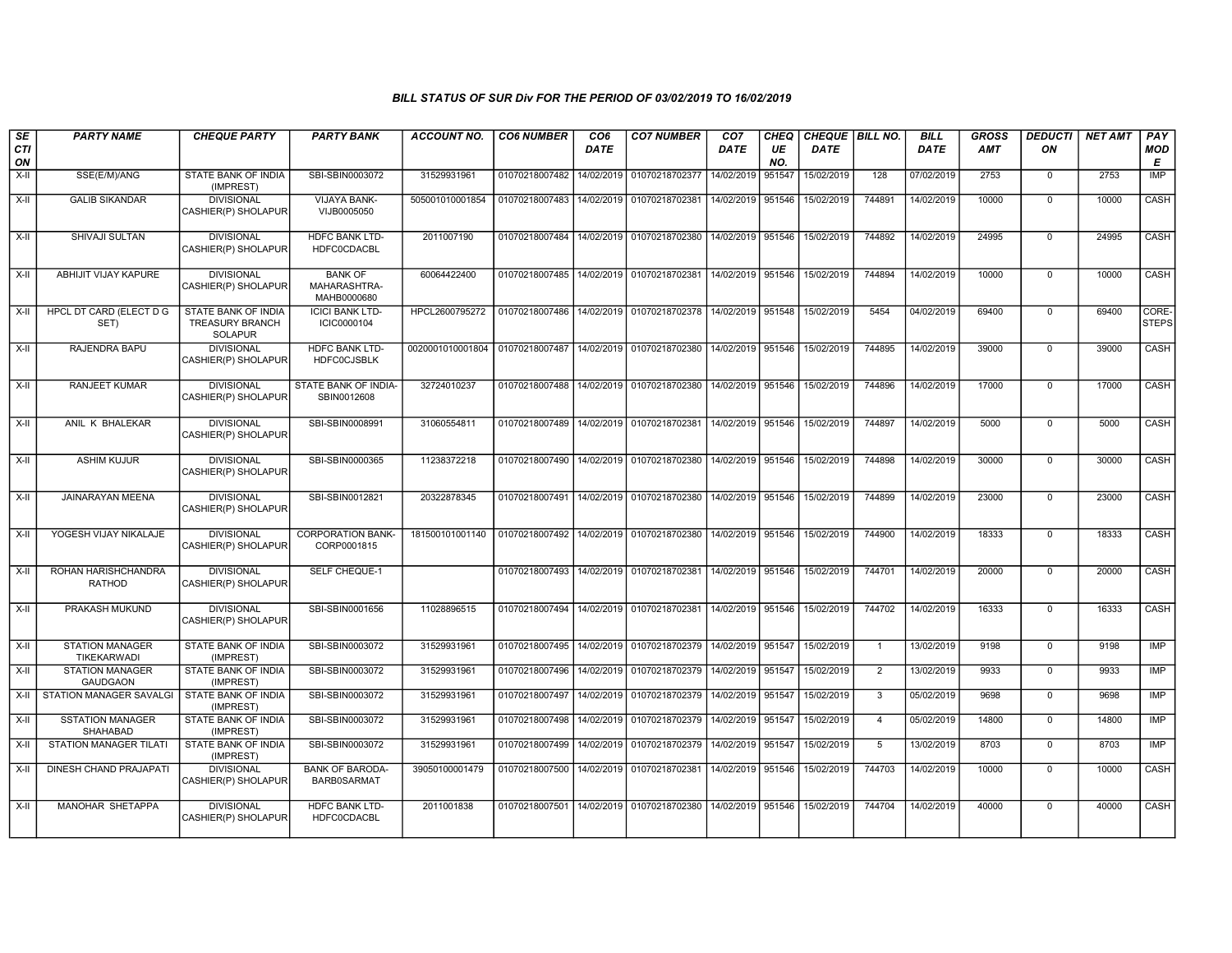| SE        | <b>PARTY NAME</b>                           | <b>CHEQUE PARTY</b>                                      | <b>PARTY BANK</b>                             | <b>ACCOUNT NO.</b>              | <b>CO6 NUMBER</b> | CO <sub>6</sub> | <b>CO7 NUMBER</b>                           | CO <sub>7</sub>   | CHEQ      | CHEQUE   BILL NO. |                | <b>BILL</b> | GROSS      | <b>DEDUCTI</b> | <b>NET AMT</b> | PAY                   |
|-----------|---------------------------------------------|----------------------------------------------------------|-----------------------------------------------|---------------------------------|-------------------|-----------------|---------------------------------------------|-------------------|-----------|-------------------|----------------|-------------|------------|----------------|----------------|-----------------------|
| CTI<br>ON |                                             |                                                          |                                               |                                 |                   | <b>DATE</b>     |                                             | <b>DATE</b>       | UE<br>NO. | <b>DATE</b>       |                | <b>DATE</b> | <b>AMT</b> | ON             |                | <b>MOD</b><br>E       |
| $X-H$     | SSE(E/M)/ANG                                | STATE BANK OF INDIA<br>(IMPREST)                         | SBI-SBIN0003072                               | 31529931961                     | 01070218007482    | 14/02/2019      | 01070218702377                              | 14/02/2019        | 951547    | 15/02/2019        | 128            | 07/02/2019  | 2753       | $\mathbf 0$    | 2753           | IMP                   |
| $X-II$    | <b>GALIB SIKANDAR</b>                       | <b>DIVISIONAL</b><br>CASHIER(P) SHOLAPUR                 | VIJAYA BANK-<br>VIJB0005050                   | 505001010001854                 | 01070218007483    | 14/02/2019      | 01070218702381                              | 14/02/2019 951546 |           | 15/02/2019        | 744891         | 14/02/2019  | 10000      | $\Omega$       | 10000          | CASH                  |
| $X-H$     | SHIVAJI SULTAN                              | <b>DIVISIONAL</b><br>CASHIER(P) SHOLAPUR                 | <b>HDFC BANK LTD-</b><br><b>HDFC0CDACBL</b>   | 2011007190                      | 01070218007484    |                 | 14/02/2019 01070218702380 14/02/2019 951546 |                   |           | 15/02/2019        | 744892         | 14/02/2019  | 24995      | $\overline{0}$ | 24995          | CASH                  |
| $X-H$     | ABHIJIT VIJAY KAPURE                        | <b>DIVISIONAL</b><br>CASHIER(P) SHOLAPUR                 | <b>BANK OF</b><br>MAHARASHTRA-<br>MAHB0000680 | 60064422400                     | 01070218007485    |                 | 14/02/2019 01070218702381                   | 14/02/2019 951546 |           | 15/02/2019        | 744894         | 14/02/2019  | 10000      | $\overline{0}$ | 10000          | <b>CASH</b>           |
| $X-II$    | HPCL DT CARD (ELECT D G<br>SET)             | STATE BANK OF INDIA<br>TREASURY BRANCH<br><b>SOLAPUR</b> | <b>ICICI BANK LTD-</b><br>ICIC0000104         | HPCL2600795272                  | 01070218007486    |                 | 14/02/2019 01070218702378 14/02/2019 951548 |                   |           | 15/02/2019        | 5454           | 04/02/2019  | 69400      | $\overline{0}$ | 69400          | CORE-<br><b>STEPS</b> |
| X-II      | RAJENDRA BAPU                               | <b>DIVISIONAL</b><br>CASHIER(P) SHOLAPUR                 | <b>HDFC BANK LTD-</b><br><b>HDFC0CJSBLK</b>   | 0020001010001804 01070218007487 |                   |                 | 14/02/2019   01070218702380                 | 14/02/2019 951546 |           | 15/02/2019        | 744895         | 14/02/2019  | 39000      | $\Omega$       | 39000          | CASH                  |
| $X-H$     | <b>RANJEET KUMAR</b>                        | <b>DIVISIONAL</b><br>CASHIER(P) SHOLAPUR                 | STATE BANK OF INDIA-<br>SBIN0012608           | 32724010237                     | 01070218007488    |                 | 14/02/2019 01070218702380                   | 14/02/2019 951546 |           | 15/02/2019        | 744896         | 14/02/2019  | 17000      | $\mathbf 0$    | 17000          | CASH                  |
| $X-II$    | ANIL K BHALEKAR                             | <b>DIVISIONAL</b><br>CASHIER(P) SHOLAPUR                 | SBI-SBIN0008991                               | 31060554811                     | 01070218007489    |                 | 14/02/2019 01070218702381                   | 14/02/2019 951546 |           | 15/02/2019        | 744897         | 14/02/2019  | 5000       | $\mathbf 0$    | 5000           | CASH                  |
| X-II      | <b>ASHIM KUJUR</b>                          | <b>DIVISIONAL</b><br>CASHIER(P) SHOLAPUR                 | SBI-SBIN0000365                               | 11238372218                     | 01070218007490    | 14/02/2019      | 01070218702380                              | 14/02/2019 951546 |           | 15/02/2019        | 744898         | 14/02/2019  | 30000      | $\mathbf 0$    | 30000          | CASH                  |
| $X-H$     | JAINARAYAN MEENA                            | <b>DIVISIONAL</b><br>CASHIER(P) SHOLAPUR                 | SBI-SBIN0012821                               | 20322878345                     | 01070218007491    | 14/02/2019      | 01070218702380                              | 14/02/2019 951546 |           | 15/02/2019        | 744899         | 14/02/2019  | 23000      | $\mathbf 0$    | 23000          | CASH                  |
| X-II      | YOGESH VIJAY NIKALAJE                       | <b>DIVISIONAL</b><br>CASHIER(P) SHOLAPUR                 | <b>CORPORATION BANK-</b><br>CORP0001815       | 181500101001140                 | 01070218007492    | 14/02/2019      | 01070218702380                              | 14/02/2019 951546 |           | 15/02/2019        | 744900         | 14/02/2019  | 18333      | $\mathbf 0$    | 18333          | CASH                  |
| X-II      | ROHAN HARISHCHANDRA<br><b>RATHOD</b>        | <b>DIVISIONAL</b><br>CASHIER(P) SHOLAPUR                 | SELF CHEQUE-1                                 |                                 | 01070218007493    |                 | 14/02/2019 01070218702381                   | 14/02/2019 951546 |           | 15/02/2019        | 744701         | 14/02/2019  | 20000      | $\mathbf 0$    | 20000          | CASH                  |
| $X-H$     | PRAKASH MUKUND                              | <b>DIVISIONAL</b><br>CASHIER(P) SHOLAPUR                 | SBI-SBIN0001656                               | 11028896515                     | 01070218007494    | 14/02/2019      | 01070218702381                              | 14/02/2019 951546 |           | 15/02/2019        | 744702         | 14/02/2019  | 16333      | $\overline{0}$ | 16333          | CASH                  |
| X-II      | <b>STATION MANAGER</b><br>TIKEKARWADI       | STATE BANK OF INDIA<br>(IMPREST)                         | SBI-SBIN0003072                               | 31529931961                     | 01070218007495    | 14/02/2019      | 01070218702379                              | 14/02/2019 951547 |           | 15/02/2019        | $\overline{1}$ | 13/02/2019  | 9198       | $\mathbf 0$    | 9198           | IMP                   |
| $X-H$     | <b>STATION MANAGER</b><br><b>GAUDGAON</b>   | STATE BANK OF INDIA<br>(IMPREST)                         | SBI-SBIN0003072                               | 31529931961                     | 01070218007496    | 14/02/2019      | 01070218702379                              | 14/02/2019 951547 |           | 15/02/2019        | $\overline{2}$ | 13/02/2019  | 9933       | $\overline{0}$ | 9933           | IMP                   |
| $X-H$     | STATION MANAGER SAVALGI STATE BANK OF INDIA | (IMPREST)                                                | SBI-SBIN0003072                               | 31529931961                     | 01070218007497    | 14/02/2019      | 01070218702379 14/02/2019 951547            |                   |           | 15/02/2019        | 3              | 05/02/2019  | 9698       | $\mathbf 0$    | 9698           | IMP                   |
| $X-H$     | <b>SSTATION MANAGER</b><br>SHAHABAD         | STATE BANK OF INDIA<br>(IMPREST)                         | SBI-SBIN0003072                               | 31529931961                     | 01070218007498    | 14/02/2019      | 01070218702379                              | 14/02/2019 951547 |           | 15/02/2019        | $\overline{4}$ | 05/02/2019  | 14800      | $\mathsf 0$    | 14800          | IMP                   |
| X-II      | <b>STATION MANAGER TILATI</b>               | STATE BANK OF INDIA<br>(IMPREST)                         | SBI-SBIN0003072                               | 31529931961                     | 01070218007499    | 14/02/2019      | 01070218702379                              | 14/02/2019 951547 |           | 15/02/2019        | 5              | 13/02/2019  | 8703       | $\mathbf 0$    | 8703           | IMP                   |
| $X-II$    | DINESH CHAND PRAJAPATI                      | <b>DIVISIONAL</b><br>CASHIER(P) SHOLAPUR                 | <b>BANK OF BARODA-</b><br><b>BARB0SARMAT</b>  | 39050100001479                  | 01070218007500    | 14/02/2019      | 01070218702381                              | 14/02/2019 951546 |           | 15/02/2019        | 744703         | 14/02/2019  | 10000      | $\Omega$       | 10000          | <b>CASH</b>           |
| $X-II$    | MANOHAR SHETAPPA                            | <b>DIVISIONAL</b><br>CASHIER(P) SHOLAPUR                 | <b>HDFC BANK LTD-</b><br><b>HDFC0CDACBL</b>   | 2011001838                      | 01070218007501    |                 | 14/02/2019 01070218702380                   | 14/02/2019 951546 |           | 15/02/2019        | 744704         | 14/02/2019  | 40000      | $\mathbf 0$    | 40000          | CASH                  |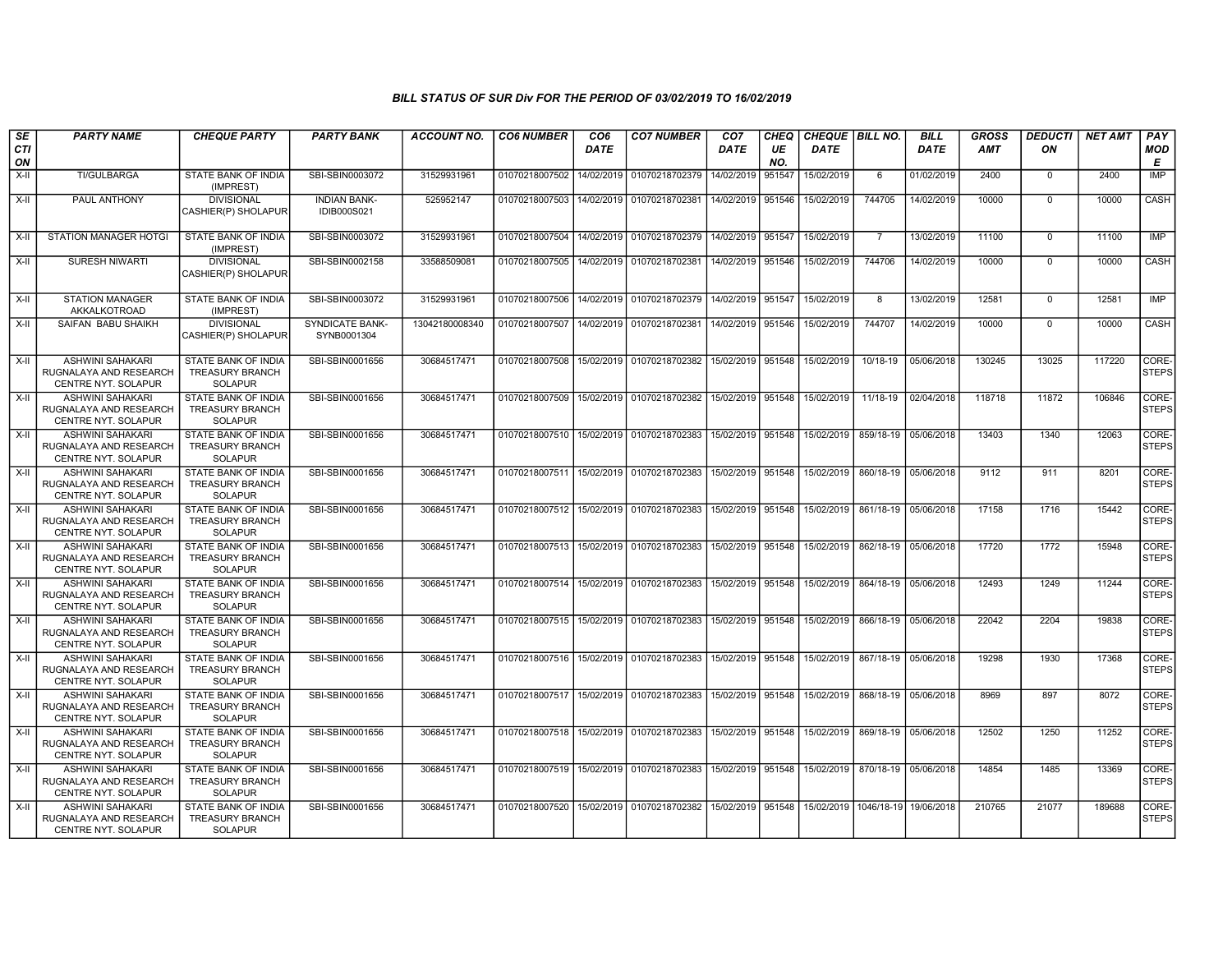| SE<br>CTI<br>ON | <b>PARTY NAME</b>                                                               | <b>CHEQUE PARTY</b>                                                    | <b>PARTY BANK</b>                         | ACCOUNT NO.    | <b>CO6 NUMBER</b>                        | CO <sub>6</sub><br><b>DATE</b> | <b>CO7 NUMBER</b>                                          | CO <sub>7</sub><br><b>DATE</b> | CHEQ<br>UE<br>NO. | CHEQUE   BILL NO.<br><b>DATE</b> |                      | <b>BILL</b><br><b>DATE</b> | GROSS<br>AMT | <b>DEDUCTI</b><br>ON | <b>NET AMT</b> | PAY<br>MOD<br>Е       |
|-----------------|---------------------------------------------------------------------------------|------------------------------------------------------------------------|-------------------------------------------|----------------|------------------------------------------|--------------------------------|------------------------------------------------------------|--------------------------------|-------------------|----------------------------------|----------------------|----------------------------|--------------|----------------------|----------------|-----------------------|
| X-II            | <b>TI/GULBARGA</b>                                                              | STATE BANK OF INDIA<br>(IMPREST)                                       | SBI-SBIN0003072                           | 31529931961    | 01070218007502                           | 14/02/2019                     | 01070218702379                                             | 14/02/2019                     | 951547            | 15/02/2019                       | 6                    | 01/02/2019                 | 2400         | $^{\circ}$           | 2400           | IMP                   |
| X-II            | PAUL ANTHONY                                                                    | <b>DIVISIONAL</b><br>CASHIER(P) SHOLAPUR                               | <b>INDIAN BANK-</b><br><b>IDIB000S021</b> | 525952147      | 01070218007503                           | 14/02/2019                     | 01070218702381                                             | 14/02/2019                     | 951546            | 15/02/2019                       | 744705               | 14/02/2019                 | 10000        | $\mathbf 0$          | 10000          | CASH                  |
| X-II            | STATION MANAGER HOTGI                                                           | STATE BANK OF INDIA<br>(IMPREST)                                       | SBI-SBIN0003072                           | 31529931961    | 01070218007504                           | 14/02/2019                     | 01070218702379 14/02/2019 951547                           |                                |                   | 15/02/2019                       | 7                    | 13/02/2019                 | 11100        | $\mathbf 0$          | 11100          | IMP                   |
| X-II            | SURESH NIWARTI                                                                  | <b>DIVISIONAL</b><br>CASHIER(P) SHOLAPUR                               | SBI-SBIN0002158                           | 33588509081    | 01070218007505                           | 14/02/2019                     | 01070218702381                                             | 14/02/2019                     | 951546            | 15/02/2019                       | 744706               | 14/02/2019                 | 10000        | 0                    | 10000          | CASH                  |
| X-II            | <b>STATION MANAGER</b><br>AKKALKOTROAD                                          | STATE BANK OF INDIA<br>(IMPREST)                                       | SBI-SBIN0003072                           | 31529931961    |                                          |                                | 01070218007506 14/02/2019 01070218702379 14/02/2019 951547 |                                |                   | 15/02/2019                       | 8                    | 13/02/2019                 | 12581        | $\mathbf 0$          | 12581          | <b>IMP</b>            |
| X-II            | SAIFAN BABU SHAIKH                                                              | <b>DIVISIONAL</b><br>CASHIER(P) SHOLAPUR                               | SYNDICATE BANK-<br>SYNB0001304            | 13042180008340 | 01070218007507                           | 14/02/2019                     | 01070218702381                                             | 14/02/2019                     | 951546            | 15/02/2019                       | 744707               | 14/02/2019                 | 10000        | $\mathbf 0$          | 10000          | CASH                  |
| X-II            | <b>ASHWINI SAHAKARI</b><br>RUGNALAYA AND RESEARCH<br><b>CENTRE NYT, SOLAPUR</b> | <b>STATE BANK OF INDIA</b><br><b>TREASURY BRANCH</b><br><b>SOLAPUR</b> | SBI-SBIN0001656                           | 30684517471    | 01070218007508                           |                                | 15/02/2019 01070218702382 15/02/2019 951548                |                                |                   | 15/02/2019                       | 10/18-19             | 05/06/2018                 | 130245       | 13025                | 117220         | CORE-<br><b>STEPS</b> |
| X-II            | <b>ASHWINI SAHAKARI</b><br>RUGNALAYA AND RESEARCH<br>CENTRE NYT. SOLAPUR        | STATE BANK OF INDIA<br><b>TREASURY BRANCH</b><br><b>SOLAPUR</b>        | SBI-SBIN0001656                           | 30684517471    | 01070218007509                           |                                | 15/02/2019 01070218702382                                  | 15/02/2019                     | 951548            | 15/02/2019                       | 11/18-19             | 02/04/2018                 | 118718       | 11872                | 106846         | CORE-<br><b>STEPS</b> |
| X-II            | <b>ASHWINI SAHAKARI</b><br>RUGNALAYA AND RESEARCH<br><b>CENTRE NYT, SOLAPUR</b> | STATE BANK OF INDIA<br><b>TREASURY BRANCH</b><br><b>SOLAPUR</b>        | SBI-SBIN0001656                           | 30684517471    | 01070218007510                           | 15/02/2019                     | 01070218702383                                             | 15/02/2019 951548              |                   | 15/02/2019                       | 859/18-19            | 05/06/2018                 | 13403        | 1340                 | 12063          | CORE-<br><b>STEPS</b> |
| X-II            | ASHWINI SAHAKARI<br>RUGNALAYA AND RESEARCH<br><b>CENTRE NYT, SOLAPUR</b>        | STATE BANK OF INDIA<br><b>TREASURY BRANCH</b><br><b>SOLAPUR</b>        | SBI-SBIN0001656                           | 30684517471    | 01070218007511                           |                                | 15/02/2019   01070218702383                                | 15/02/2019 951548              |                   | 15/02/2019                       | 860/18-19            | 05/06/2018                 | 9112         | 911                  | 8201           | CORE-<br><b>STEPS</b> |
| X-II            | ASHWINI SAHAKARI<br>RUGNALAYA AND RESEARCH<br>CENTRE NYT. SOLAPUR               | STATE BANK OF INDIA<br><b>TREASURY BRANCH</b><br><b>SOLAPUR</b>        | SBI-SBIN0001656                           | 30684517471    | 01070218007512                           |                                | 15/02/2019 01070218702383                                  | 15/02/2019 951548              |                   | 15/02/2019                       | 861/18-19            | 05/06/2018                 | 17158        | 1716                 | 15442          | CORE-<br><b>STEPS</b> |
| X-II            | <b>ASHWINI SAHAKARI</b><br>RUGNALAYA AND RESEARCH<br>CENTRE NYT. SOLAPUR        | STATE BANK OF INDIA<br><b>TREASURY BRANCH</b><br><b>SOLAPUR</b>        | SBI-SBIN0001656                           | 30684517471    | 01070218007513                           |                                | 15/02/2019 01070218702383                                  | 15/02/2019 951548              |                   | 15/02/2019                       | 862/18-19            | 05/06/2018                 | 17720        | 1772                 | 15948          | CORE-<br><b>STEPS</b> |
| X-II            | ASHWINI SAHAKARI<br>RUGNALAYA AND RESEARCH<br>CENTRE NYT. SOLAPUR               | STATE BANK OF INDIA<br><b>TREASURY BRANCH</b><br><b>SOLAPUR</b>        | SBI-SBIN0001656                           | 30684517471    |                                          |                                | 01070218007514 15/02/2019 01070218702383                   | 15/02/2019 951548              |                   | 15/02/2019                       | 864/18-19 05/06/2018 |                            | 12493        | 1249                 | 11244          | CORE-<br><b>STEPS</b> |
| X-II            | ASHWINI SAHAKARI<br>RUGNALAYA AND RESEARCH<br>CENTRE NYT. SOLAPUR               | STATE BANK OF INDIA<br><b>TREASURY BRANCH</b><br><b>SOLAPUR</b>        | SBI-SBIN0001656                           | 30684517471    | 01070218007515 15/02/2019 01070218702383 |                                |                                                            | 15/02/2019 951548              |                   | 15/02/2019                       | 866/18-19            | 05/06/2018                 | 22042        | 2204                 | 19838          | CORE-<br>STEPS        |
| X-II            | <b>ASHWINI SAHAKARI</b><br>RUGNALAYA AND RESEARCH<br>CENTRE NYT. SOLAPUR        | STATE BANK OF INDIA<br><b>TREASURY BRANCH</b><br><b>SOLAPUR</b>        | SBI-SBIN0001656                           | 30684517471    | 01070218007516 15/02/2019 01070218702383 |                                |                                                            | 15/02/2019 951548              |                   | 15/02/2019                       |                      | 867/18-19 05/06/2018       | 19298        | 1930                 | 17368          | CORE-<br>STEPS        |
| X-II            | ASHWINI SAHAKARI<br>RUGNALAYA AND RESEARCH<br>CENTRE NYT. SOLAPUR               | STATE BANK OF INDIA<br><b>TREASURY BRANCH</b><br><b>SOLAPUR</b>        | SBI-SBIN0001656                           | 30684517471    | 01070218007517                           |                                | 15/02/2019 01070218702383                                  | 15/02/2019 951548              |                   | 15/02/2019                       | 868/18-19 05/06/2018 |                            | 8969         | 897                  | 8072           | CORE-<br><b>STEPS</b> |
| X-II            | <b>ASHWINI SAHAKARI</b><br>RUGNALAYA AND RESEARCH<br><b>CENTRE NYT, SOLAPUR</b> | <b>STATE BANK OF INDIA</b><br><b>TREASURY BRANCH</b><br><b>SOLAPUR</b> | SBI-SBIN0001656                           | 30684517471    |                                          |                                | 01070218007518 15/02/2019 01070218702383                   | 15/02/2019 951548              |                   | 15/02/2019                       | 869/18-19 05/06/2018 |                            | 12502        | 1250                 | 11252          | CORE-<br><b>STEPS</b> |
| X-II            | <b>ASHWINI SAHAKARI</b><br>RUGNALAYA AND RESEARCH<br><b>CENTRE NYT, SOLAPUR</b> | STATE BANK OF INDIA<br><b>TREASURY BRANCH</b><br><b>SOLAPUR</b>        | SBI-SBIN0001656                           | 30684517471    |                                          |                                | 01070218007519 15/02/2019 01070218702383                   | 15/02/2019 951548              |                   | 15/02/2019 870/18-19 05/06/2018  |                      |                            | 14854        | 1485                 | 13369          | CORE-<br><b>STEPS</b> |
| $X-H$           | <b>ASHWINI SAHAKARI</b><br>RUGNALAYA AND RESEARCH<br>CENTRE NYT. SOLAPUR        | STATE BANK OF INDIA<br><b>TREASURY BRANCH</b><br>SOLAPUR               | SBI-SBIN0001656                           | 30684517471    |                                          |                                | 01070218007520 15/02/2019 01070218702382                   | 15/02/2019 951548              |                   | 15/02/2019 1046/18-19 19/06/2018 |                      |                            | 210765       | 21077                | 189688         | CORE-<br><b>STEPS</b> |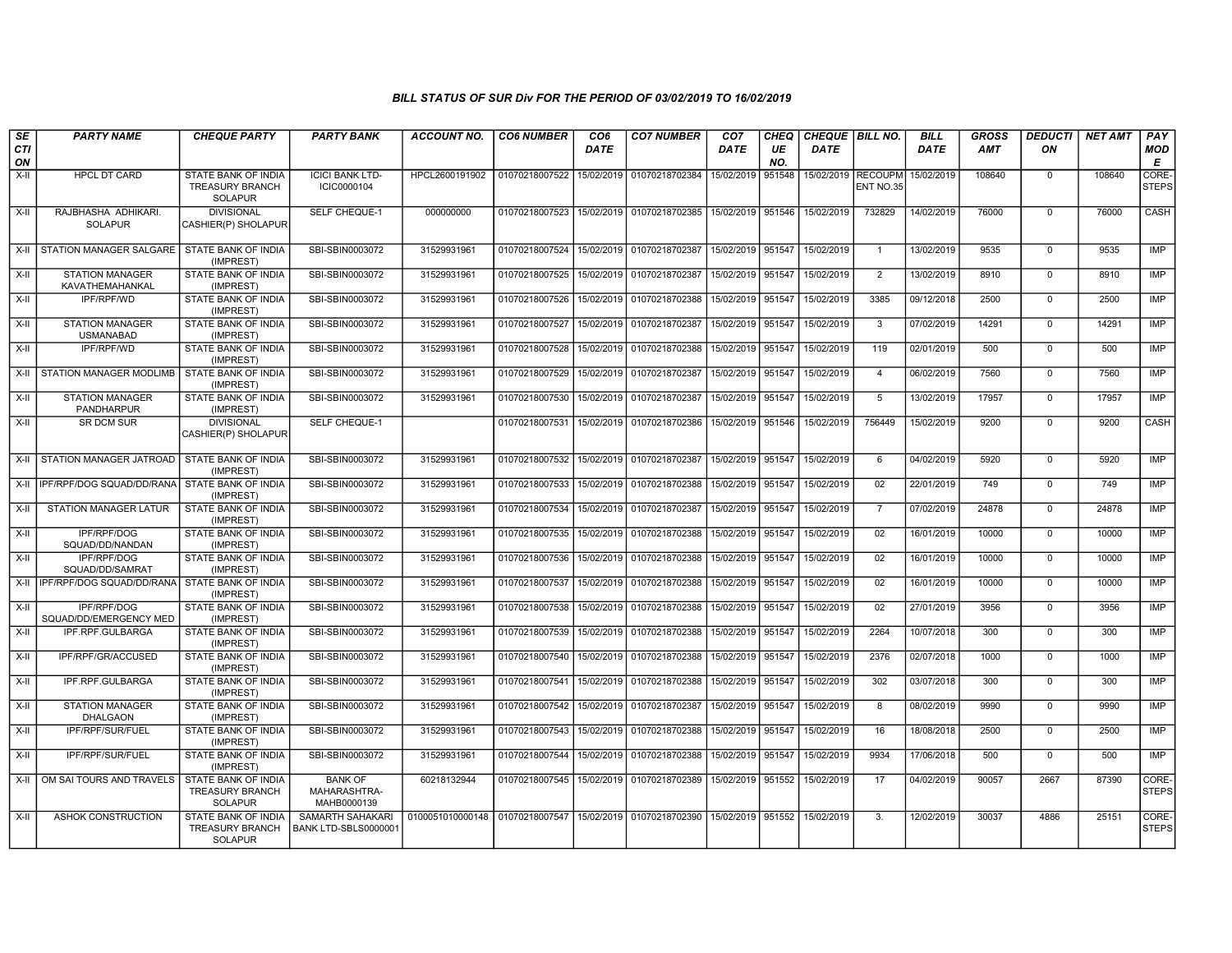| SE        | <b>PARTY NAME</b>                          | <b>CHEQUE PARTY</b>                                             | <b>PARTY BANK</b>                             | <b>ACCOUNT NO.</b>                                                          | <b>CO6 NUMBER</b> | CO6         | <b>CO7 NUMBER</b> | CO <sub>7</sub>   | CHEQ      | CHEQUE   BILL NO.  |                | <b>BILL</b> | <b>GROSS</b> | <b>DEDUCTI</b> | <b>NET AMT</b> | PAY                   |
|-----------|--------------------------------------------|-----------------------------------------------------------------|-----------------------------------------------|-----------------------------------------------------------------------------|-------------------|-------------|-------------------|-------------------|-----------|--------------------|----------------|-------------|--------------|----------------|----------------|-----------------------|
| CTI<br>ON |                                            |                                                                 |                                               |                                                                             |                   | <b>DATE</b> |                   | DATE              | UE<br>NO. | <b>DATE</b>        |                | DATE        | <b>AMT</b>   | ON             |                | <b>MOD</b><br>E       |
| X-II      | <b>HPCL DT CARD</b>                        | STATE BANK OF INDIA<br><b>TREASURY BRANCH</b><br><b>SOLAPUR</b> | <b>ICICI BANK LTD-</b><br>ICIC0000104         | HPCL2600191902                                                              | 01070218007522    | 15/02/2019  | 01070218702384    | 15/02/2019        | 951548    | 15/02/2019 RECOUPM | ENT NO.35      | 15/02/2019  | 108640       | $\mathbf 0$    | 108640         | CORE-<br><b>STEPS</b> |
| X-II      | RAJBHASHA ADHIKARI.<br><b>SOLAPUR</b>      | <b>DIVISIONAL</b><br>CASHIER(P) SHOLAPUR                        | SELF CHEQUE-1                                 | 000000000                                                                   | 01070218007523    | 15/02/2019  | 01070218702385    | 15/02/2019 951546 |           | 15/02/2019         | 732829         | 14/02/2019  | 76000        | $\mathbf 0$    | 76000          | <b>CASH</b>           |
| X-II      | <b>STATION MANAGER SALGARE</b>             | STATE BANK OF INDIA<br>(IMPREST)                                | SBI-SBIN0003072                               | 31529931961                                                                 | 01070218007524    | 15/02/2019  | 01070218702387    | 15/02/2019 951547 |           | 15/02/2019         | $\overline{1}$ | 13/02/2019  | 9535         | $\overline{0}$ | 9535           | IMP                   |
| X-II      | <b>STATION MANAGER</b><br>KAVATHEMAHANKAL  | STATE BANK OF INDIA<br>(IMPREST)                                | SBI-SBIN0003072                               | 31529931961                                                                 | 01070218007525    | 15/02/2019  | 01070218702387    | 15/02/2019 951547 |           | 15/02/2019         | $\overline{2}$ | 13/02/2019  | 8910         | $\mathbf 0$    | 8910           | <b>IMP</b>            |
| $X-H$     | IPF/RPF/WD                                 | STATE BANK OF INDIA<br>(IMPREST)                                | SBI-SBIN0003072                               | 31529931961                                                                 | 01070218007526    | 15/02/2019  | 01070218702388    | 15/02/2019        | 951547    | 15/02/2019         | 3385           | 09/12/2018  | 2500         | $\mathbf 0$    | 2500           | <b>IMP</b>            |
| X-II      | <b>STATION MANAGER</b><br><b>USMANABAD</b> | STATE BANK OF INDIA<br>(IMPREST)                                | SBI-SBIN0003072                               | 31529931961                                                                 | 01070218007527    | 15/02/2019  | 01070218702387    | 15/02/2019        | 951547    | 15/02/2019         | $\mathbf{3}$   | 07/02/2019  | 14291        | $\mathsf 0$    | 14291          | IMP                   |
| $X-II$    | IPF/RPF/WD                                 | STATE BANK OF INDIA<br>(IMPREST)                                | SBI-SBIN0003072                               | 31529931961                                                                 | 01070218007528    | 15/02/2019  | 01070218702388    | 15/02/2019 951547 |           | 15/02/2019         | 119            | 02/01/2019  | 500          | $\overline{0}$ | 500            | IMP                   |
| $X-H$     | STATION MANAGER MODLIMB                    | STATE BANK OF INDIA<br>(IMPREST)                                | SBI-SBIN0003072                               | 31529931961                                                                 | 01070218007529    | 15/02/2019  | 01070218702387    | 15/02/2019        | 951547    | 15/02/2019         | $\overline{4}$ | 06/02/2019  | 7560         | $\mathbf 0$    | 7560           | <b>IMP</b>            |
| X-II      | <b>STATION MANAGER</b><br>PANDHARPUR       | STATE BANK OF INDIA<br>(IMPREST)                                | SBI-SBIN0003072                               | 31529931961                                                                 | 01070218007530    | 15/02/2019  | 01070218702387    | 15/02/2019 951547 |           | 15/02/2019         | 5              | 13/02/2019  | 17957        | $\mathbf 0$    | 17957          | IMP                   |
| $X-H$     | <b>SR DCM SUR</b>                          | <b>DIVISIONAL</b><br>CASHIER(P) SHOLAPUR                        | SELF CHEQUE-1                                 |                                                                             | 01070218007531    | 15/02/2019  | 01070218702386    | 15/02/2019 951546 |           | 15/02/2019         | 756449         | 15/02/2019  | 9200         | $\mathbf{0}$   | 9200           | CASH                  |
| $X-H$     | <b>STATION MANAGER JATROAD</b>             | STATE BANK OF INDIA<br>(IMPREST)                                | SBI-SBIN0003072                               | 31529931961                                                                 | 01070218007532    | 15/02/2019  | 01070218702387    | 15/02/2019 951547 |           | 15/02/2019         | 6              | 04/02/2019  | 5920         | $\mathbf 0$    | 5920           | IMP                   |
| X-II      | IPF/RPF/DOG SQUAD/DD/RANA                  | STATE BANK OF INDIA<br>(IMPREST)                                | SBI-SBIN0003072                               | 31529931961                                                                 | 01070218007533    | 15/02/2019  | 01070218702388    | 15/02/2019 951547 |           | 15/02/2019         | 02             | 22/01/2019  | 749          | $\mathbf 0$    | 749            | IMP                   |
| X-II      | <b>STATION MANAGER LATUR</b>               | STATE BANK OF INDIA<br>(IMPREST)                                | SBI-SBIN0003072                               | 31529931961                                                                 | 01070218007534    | 15/02/2019  | 01070218702387    | 15/02/2019 951547 |           | 15/02/2019         | $\overline{7}$ | 07/02/2019  | 24878        | $\mathbf{0}$   | 24878          | IMP                   |
| X-II      | <b>IPF/RPF/DOG</b><br>SQUAD/DD/NANDAN      | STATE BANK OF INDIA<br>(IMPREST)                                | SBI-SBIN0003072                               | 31529931961                                                                 | 01070218007535    | 15/02/2019  | 01070218702388    | 15/02/2019 951547 |           | 15/02/2019         | 02             | 16/01/2019  | 10000        | $\mathbf 0$    | 10000          | <b>IMP</b>            |
| X-II      | IPF/RPF/DOG<br>SQUAD/DD/SAMRAT             | STATE BANK OF INDIA<br>(IMPREST)                                | SBI-SBIN0003072                               | 31529931961                                                                 | 01070218007536    | 15/02/2019  | 01070218702388    | 15/02/2019 951547 |           | 15/02/2019         | 02             | 16/01/2019  | 10000        | $\mathbf 0$    | 10000          | IMP                   |
| X-II      | IPF/RPF/DOG SQUAD/DD/RANA                  | <b>STATE BANK OF INDIA</b><br>(IMPREST)                         | SBI-SBIN0003072                               | 31529931961                                                                 | 01070218007537    | 15/02/2019  | 01070218702388    | 15/02/2019        | 951547    | 15/02/2019         | 02             | 16/01/2019  | 10000        | $\overline{0}$ | 10000          | IMP                   |
| X-II      | IPF/RPF/DOG<br>SQUAD/DD/EMERGENCY MED      | STATE BANK OF INDIA<br>(IMPREST)                                | SBI-SBIN0003072                               | 31529931961                                                                 | 01070218007538    | 15/02/2019  | 01070218702388    | 15/02/2019 951547 |           | 15/02/2019         | 02             | 27/01/2019  | 3956         | $\mathbf 0$    | 3956           | IMP                   |
| $X-II$    | IPF.RPF.GULBARGA                           | STATE BANK OF INDIA<br>(IMPREST)                                | SBI-SBIN0003072                               | 31529931961                                                                 | 01070218007539    | 15/02/2019  | 01070218702388    | 15/02/2019 951547 |           | 15/02/2019         | 2264           | 10/07/2018  | 300          | $\overline{0}$ | 300            | IMP                   |
| X-II      | IPF/RPF/GR/ACCUSED                         | STATE BANK OF INDIA<br>(IMPREST)                                | SBI-SBIN0003072                               | 31529931961                                                                 | 01070218007540    | 15/02/2019  | 01070218702388    | 15/02/2019 951547 |           | 15/02/2019         | 2376           | 02/07/2018  | 1000         | $\mathbf 0$    | 1000           | IMP                   |
| X-II      | IPF.RPF.GULBARGA                           | <b>STATE BANK OF INDIA</b><br>(IMPREST)                         | SBI-SBIN0003072                               | 31529931961                                                                 | 01070218007541    | 15/02/2019  | 01070218702388    | 15/02/2019 951547 |           | 15/02/2019         | 302            | 03/07/2018  | 300          | $\Omega$       | 300            | IMP                   |
| X-II      | <b>STATION MANAGER</b><br><b>DHALGAON</b>  | STATE BANK OF INDIA<br>(IMPREST)                                | SBI-SBIN0003072                               | 31529931961                                                                 | 01070218007542    | 15/02/2019  | 01070218702387    | 15/02/2019 951547 |           | 15/02/2019         | 8              | 08/02/2019  | 9990         | $\mathbf 0$    | 9990           | IMP                   |
| X-II      | IPF/RPF/SUR/FUEL                           | STATE BANK OF INDIA<br>(IMPREST)                                | SBI-SBIN0003072                               | 31529931961                                                                 | 01070218007543    | 15/02/2019  | 01070218702388    | 15/02/2019 951547 |           | 15/02/2019         | 16             | 18/08/2018  | 2500         | $\mathbf 0$    | 2500           | <b>IMP</b>            |
| X-II      | IPF/RPF/SUR/FUEL                           | STATE BANK OF INDIA<br>(IMPREST)                                | SBI-SBIN0003072                               | 31529931961                                                                 | 01070218007544    | 15/02/2019  | 01070218702388    | 15/02/2019 951547 |           | 15/02/2019         | 9934           | 17/06/2018  | 500          | $\Omega$       | 500            | IMP                   |
| X-II      | OM SAI TOURS AND TRAVELS                   | STATE BANK OF INDIA<br>TREASURY BRANCH<br><b>SOLAPUR</b>        | <b>BANK OF</b><br>MAHARASHTRA-<br>MAHB0000139 | 60218132944                                                                 | 01070218007545    | 15/02/2019  | 01070218702389    | 15/02/2019 951552 |           | 15/02/2019         | 17             | 04/02/2019  | 90057        | 2667           | 87390          | CORE-<br><b>STEPS</b> |
| X-II      | ASHOK CONSTRUCTION                         | STATE BANK OF INDIA<br>TREASURY BRANCH<br><b>SOLAPUR</b>        | SAMARTH SAHAKARI<br>BANK LTD-SBLS0000001      | 0100051010000148 01070218007547 15/02/2019 01070218702390 15/02/2019 951552 |                   |             |                   |                   |           | 15/02/2019         | 3.             | 12/02/2019  | 30037        | 4886           | 25151          | CORE-<br><b>STEPS</b> |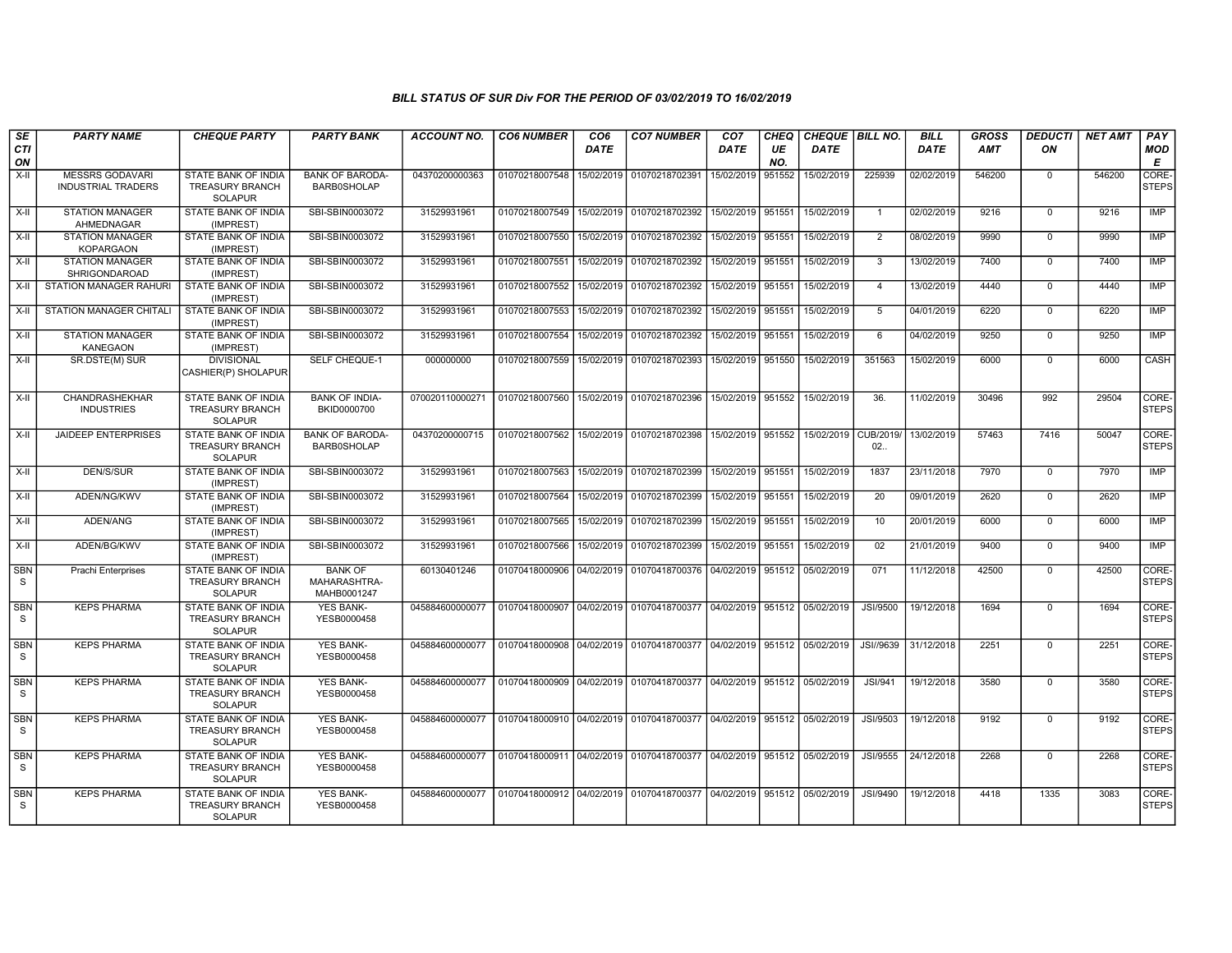| SE               | <b>PARTY NAME</b>                                   | <b>CHEQUE PARTY</b>                                                    | <b>PARTY BANK</b>                             | <b>ACCOUNT NO.</b> | <b>CO6 NUMBER</b>         | CO <sub>6</sub> | <b>CO7 NUMBER</b>                                                     | CO <sub>7</sub>   | <b>CHEQ</b> | CHEQUE BILL NO. |                 | <b>BILL</b> | <b>GROSS</b> | <b>DEDUCTI</b> | <b>NET AMT</b> | PAY                   |
|------------------|-----------------------------------------------------|------------------------------------------------------------------------|-----------------------------------------------|--------------------|---------------------------|-----------------|-----------------------------------------------------------------------|-------------------|-------------|-----------------|-----------------|-------------|--------------|----------------|----------------|-----------------------|
| <b>CTI</b><br>ON |                                                     |                                                                        |                                               |                    |                           | <b>DATE</b>     |                                                                       | <b>DATE</b>       | UE<br>NO.   | DATE            |                 | <b>DATE</b> | <b>AMT</b>   | ON             |                | <b>MOD</b><br>E       |
| $X-I$            | <b>MESSRS GODAVARI</b><br><b>INDUSTRIAL TRADERS</b> | STATE BANK OF INDIA<br><b>TREASURY BRANCH</b><br><b>SOLAPUR</b>        | <b>BANK OF BARODA-</b><br><b>BARB0SHOLAP</b>  | 04370200000363     | 01070218007548            | 15/02/2019      | 01070218702391                                                        | 15/02/2019        | 951552      | 15/02/2019      | 225939          | 02/02/2019  | 546200       | $\mathbf 0$    | 546200         | CORE-<br><b>STEPS</b> |
| $X-I$            | <b>STATION MANAGER</b><br>AHMEDNAGAR                | <b>STATE BANK OF INDIA</b><br>(IMPREST)                                | SBI-SBIN0003072                               | 31529931961        | 01070218007549            | 15/02/2019      | 01070218702392                                                        | 15/02/2019 951551 |             | 15/02/2019      | $\overline{1}$  | 02/02/2019  | 9216         | $\mathbf 0$    | 9216           | IMP                   |
| $X-H$            | <b>STATION MANAGER</b><br><b>KOPARGAON</b>          | <b>STATE BANK OF INDIA</b><br>(IMPREST)                                | SBI-SBIN0003072                               | 31529931961        | 01070218007550            | 15/02/2019      | 01070218702392                                                        | 15/02/2019 951551 |             | 15/02/2019      | 2               | 08/02/2019  | 9990         | $\overline{0}$ | 9990           | IMP                   |
| X-II             | <b>STATION MANAGER</b><br>SHRIGONDAROAD             | STATE BANK OF INDIA<br>(IMPREST)                                       | SBI-SBIN0003072                               | 31529931961        | 01070218007551            | 15/02/2019      | 01070218702392                                                        | 15/02/2019 951551 |             | 15/02/2019      | 3               | 13/02/2019  | 7400         | $\mathbf 0$    | 7400           | <b>IMP</b>            |
| $X-II$           | <b>STATION MANAGER RAHURI</b>                       | STATE BANK OF INDIA<br>(IMPREST)                                       | SBI-SBIN0003072                               | 31529931961        | 01070218007552            | 15/02/2019      | 01070218702392                                                        | 15/02/2019 951551 |             | 15/02/2019      | $\overline{4}$  | 13/02/2019  | 4440         | $\mathbf 0$    | 4440           | IMP                   |
| $X-H$            | <b>STATION MANAGER CHITALI</b>                      | <b>STATE BANK OF INDIA</b><br>(IMPREST)                                | SBI-SBIN0003072                               | 31529931961        | 01070218007553            | 15/02/2019      | 01070218702392                                                        | 15/02/2019 951551 |             | 15/02/2019      | 5               | 04/01/2019  | 6220         | $\mathbf 0$    | 6220           | <b>IMP</b>            |
| X-II             | <b>STATION MANAGER</b><br><b>KANEGAON</b>           | <b>STATE BANK OF INDIA</b><br>(IMPREST)                                | SBI-SBIN0003072                               | 31529931961        | 01070218007554            | 15/02/2019      | 01070218702392                                                        | 15/02/2019 951551 |             | 15/02/2019      | 6               | 04/02/2019  | 9250         | $\mathbf 0$    | 9250           | <b>IMP</b>            |
| X-II             | SR.DSTE(M) SUR                                      | <b>DIVISIONAL</b><br>CASHIER(P) SHOLAPUR                               | SELF CHEQUE-1                                 | 000000000          | 01070218007559            | 15/02/2019      | 01070218702393                                                        | 15/02/2019 951550 |             | 15/02/2019      | 351563          | 15/02/2019  | 6000         | $\mathbf 0$    | 6000           | CASH                  |
| X-II             | CHANDRASHEKHAR<br><b>INDUSTRIES</b>                 | STATE BANK OF INDIA<br><b>TREASURY BRANCH</b><br><b>SOLAPUR</b>        | <b>BANK OF INDIA-</b><br>BKID0000700          | 070020110000271    | 01070218007560            |                 | 15/02/2019 01070218702396                                             | 15/02/2019 951552 |             | 15/02/2019      | 36.             | 11/02/2019  | 30496        | 992            | 29504          | CORE-<br>STEPS        |
| X-II             | <b>JAIDEEP ENTERPRISES</b>                          | STATE BANK OF INDIA<br><b>TREASURY BRANCH</b><br><b>SOLAPUR</b>        | <b>BANK OF BARODA-</b><br><b>BARB0SHOLAP</b>  | 04370200000715     | 01070218007562            | 15/02/2019      | 01070218702398                                                        | 15/02/2019 951552 |             | 15/02/2019      | CUB/2019<br>02. | 13/02/2019  | 57463        | 7416           | 50047          | CORE-<br><b>STEPS</b> |
| X-II             | DEN/S/SUR                                           | STATE BANK OF INDIA<br>(IMPREST)                                       | SBI-SBIN0003072                               | 31529931961        | 01070218007563            | 15/02/2019      | 01070218702399                                                        | 15/02/2019 951551 |             | 15/02/2019      | 1837            | 23/11/2018  | 7970         | $\mathbf 0$    | 7970           | <b>IMP</b>            |
| $X-H$            | ADEN/NG/KWV                                         | <b>STATE BANK OF INDIA</b><br>(IMPREST)                                | SBI-SBIN0003072                               | 31529931961        | 01070218007564            | 15/02/2019      | 01070218702399                                                        | 15/02/2019 951551 |             | 15/02/2019      | $\overline{20}$ | 09/01/2019  | 2620         | $\mathbf 0$    | 2620           | IMP                   |
| $X-H$            | ADEN/ANG                                            | <b>STATE BANK OF INDIA</b><br>(IMPREST)                                | SBI-SBIN0003072                               | 31529931961        | 01070218007565            | 15/02/2019      | 01070218702399                                                        | 15/02/2019 951551 |             | 15/02/2019      | 10              | 20/01/2019  | 6000         | $\overline{0}$ | 6000           | IMP                   |
| X-II             | ADEN/BG/KWV                                         | STATE BANK OF INDIA<br>(IMPREST)                                       | SBI-SBIN0003072                               | 31529931961        | 01070218007566            | 15/02/2019      | 01070218702399                                                        | 15/02/2019 951551 |             | 15/02/2019      | 02              | 21/01/2019  | 9400         | $\mathbf 0$    | 9400           | <b>IMP</b>            |
| <b>SBN</b><br>S  | Prachi Enterprises                                  | STATE BANK OF INDIA<br><b>TREASURY BRANCH</b><br><b>SOLAPUR</b>        | <b>BANK OF</b><br>MAHARASHTRA-<br>MAHB0001247 | 60130401246        | 01070418000906            | 04/02/2019      | 01070418700376 04/02/2019 951512                                      |                   |             | 05/02/2019      | 071             | 11/12/2018  | 42500        | $\mathbf 0$    | 42500          | CORE-<br><b>STEPS</b> |
| <b>SBN</b><br>S  | <b>KEPS PHARMA</b>                                  | <b>STATE BANK OF INDIA</b><br><b>TREASURY BRANCH</b><br><b>SOLAPUR</b> | <b>YES BANK-</b><br>YESB0000458               | 045884600000077    | 01070418000907            | 04/02/2019      | 01070418700377 04/02/2019 951512 05/02/2019                           |                   |             |                 | <b>JSI/9500</b> | 19/12/2018  | 1694         | $\mathbf 0$    | 1694           | CORE-<br><b>STEPS</b> |
| <b>SBN</b><br>S  | <b>KEPS PHARMA</b>                                  | STATE BANK OF INDIA<br><b>TREASURY BRANCH</b><br><b>SOLAPUR</b>        | <b>YES BANK-</b><br>YESB0000458               | 045884600000077    | 01070418000908            | 04/02/2019      | 01070418700377 04/02/2019 951512 05/02/2019                           |                   |             |                 | JSI//9639       | 31/12/2018  | 2251         | $\mathbf 0$    | 2251           | CORE-<br><b>STEPS</b> |
| SBN<br>S         | <b>KEPS PHARMA</b>                                  | STATE BANK OF INDIA<br><b>TREASURY BRANCH</b><br><b>SOLAPUR</b>        | <b>YES BANK-</b><br>YESB0000458               | 045884600000077    | 01070418000909            | 04/02/2019      | 01070418700377 04/02/2019 951512 05/02/2019                           |                   |             |                 | JSI/941         | 19/12/2018  | 3580         | $\mathbf 0$    | 3580           | CORE-<br><b>STEPS</b> |
| <b>SBN</b><br>S  | <b>KEPS PHARMA</b>                                  | <b>STATE BANK OF INDIA</b><br><b>TREASURY BRANCH</b><br><b>SOLAPUR</b> | <b>YES BANK-</b><br>YESB0000458               | 045884600000077    | 01070418000910 04/02/2019 |                 | 01070418700377 04/02/2019 951512 05/02/2019                           |                   |             |                 | JSI/9503        | 19/12/2018  | 9192         | $\mathbf 0$    | 9192           | CORE-<br><b>STEPS</b> |
| <b>SBN</b><br>S  | <b>KEPS PHARMA</b>                                  | STATE BANK OF INDIA<br><b>TREASURY BRANCH</b><br><b>SOLAPUR</b>        | <b>YES BANK-</b><br>YESB0000458               | 045884600000077    | 01070418000911 04/02/2019 |                 | 01070418700377 04/02/2019 951512 05/02/2019                           |                   |             |                 | JSI/9555        | 24/12/2018  | 2268         | $\mathbf 0$    | 2268           | CORE-<br>STEPS        |
| SBN<br>S         | <b>KEPS PHARMA</b>                                  | STATE BANK OF INDIA<br><b>TREASURY BRANCH</b><br><b>SOLAPUR</b>        | <b>YES BANK-</b><br>YESB0000458               | 045884600000077    |                           |                 | 01070418000912 04/02/2019 01070418700377 04/02/2019 951512 05/02/2019 |                   |             |                 | JSI/9490        | 19/12/2018  | 4418         | 1335           | 3083           | CORE-<br>STEPS        |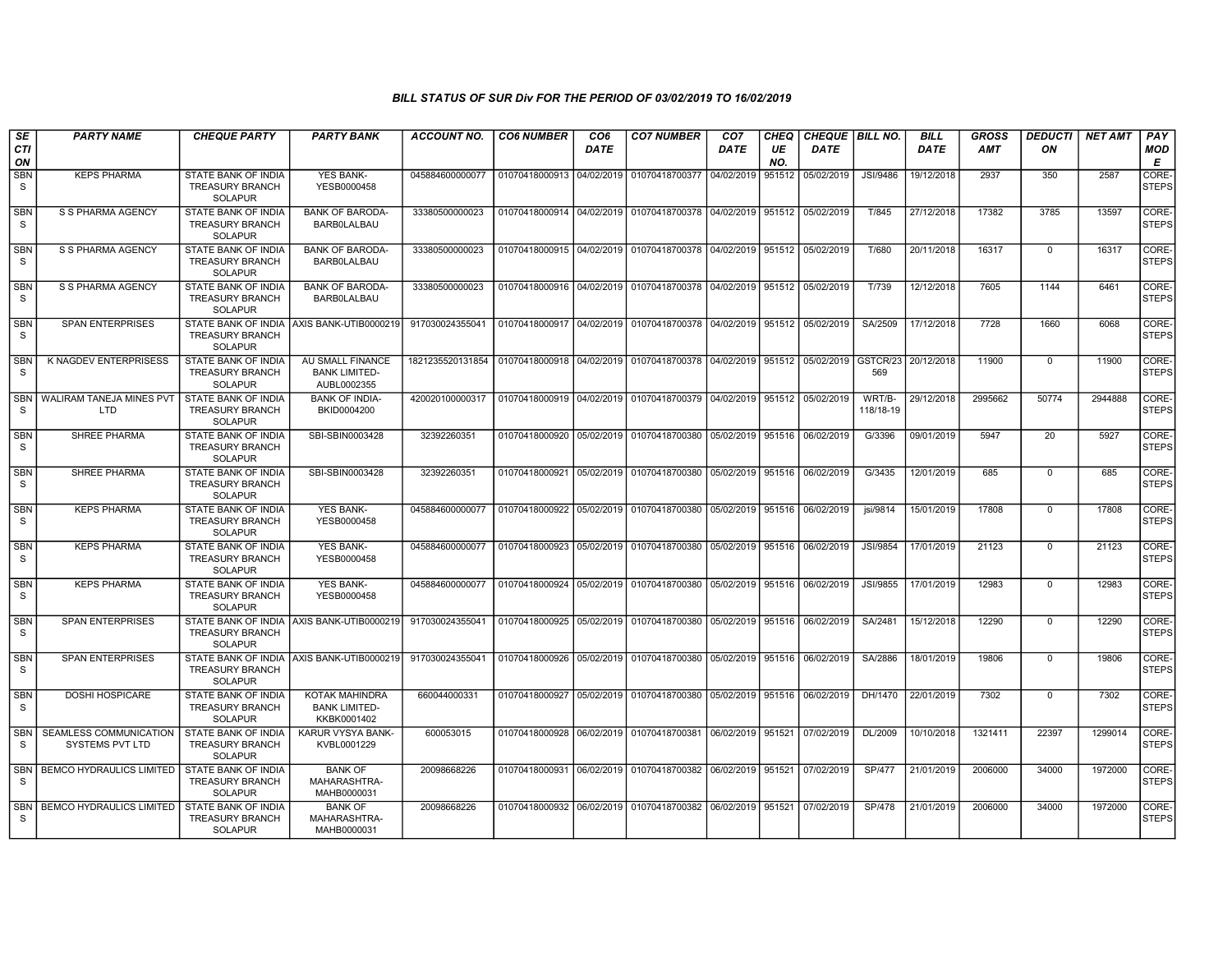| SE<br><b>CTI</b> | <b>PARTY NAME</b>                                | <b>CHEQUE PARTY</b>                                                    | <b>PARTY BANK</b>                                       | <b>ACCOUNT NO.</b> | <b>CO6 NUMBER</b>         | CO <sub>6</sub> | <b>CO7 NUMBER</b>                                                     | CO <sub>7</sub>              | CHEQ      | CHEQUE   BILL NO. |                     | <b>BILL</b> | <b>GROSS</b><br><b>AMT</b> | <b>DEDUCTI</b><br>ON | <b>NET AMT</b> | PAY                   |
|------------------|--------------------------------------------------|------------------------------------------------------------------------|---------------------------------------------------------|--------------------|---------------------------|-----------------|-----------------------------------------------------------------------|------------------------------|-----------|-------------------|---------------------|-------------|----------------------------|----------------------|----------------|-----------------------|
| ON               |                                                  |                                                                        |                                                         |                    |                           | <b>DATE</b>     |                                                                       | <b>DATE</b>                  | UE<br>NO. | <b>DATE</b>       |                     | <b>DATE</b> |                            |                      |                | MOD<br>Е              |
| <b>SBN</b><br>S  | <b>KEPS PHARMA</b>                               | STATE BANK OF INDIA<br><b>TREASURY BRANCH</b><br><b>SOLAPUR</b>        | YES BANK-<br>YESB0000458                                | 045884600000077    | 01070418000913            | 04/02/2019      | 01070418700377                                                        | 04/02/2019                   | 951512    | 05/02/2019        | JSI/9486            | 19/12/2018  | 2937                       | 350                  | 2587           | CORE-<br><b>STEPS</b> |
| <b>SBN</b><br>S. | S S PHARMA AGENCY                                | <b>STATE BANK OF INDIA</b><br><b>TREASURY BRANCH</b><br><b>SOLAPUR</b> | <b>BANK OF BARODA-</b><br><b>BARBOLALBAU</b>            | 33380500000023     |                           |                 | 01070418000914 04/02/2019 01070418700378                              | 04/02/2019                   | 951512    | 05/02/2019        | T/845               | 27/12/2018  | 17382                      | 3785                 | 13597          | CORE-<br><b>STEPS</b> |
| <b>SBN</b><br>S  | S S PHARMA AGENCY                                | STATE BANK OF INDIA<br><b>TREASURY BRANCH</b><br><b>SOLAPUR</b>        | <b>BANK OF BARODA-</b><br><b>BARBOLALBAU</b>            | 33380500000023     |                           |                 | 01070418000915 04/02/2019 01070418700378                              | 04/02/2019                   | 951512    | 05/02/2019        | T/680               | 20/11/2018  | 16317                      | $\mathbf{0}$         | 16317          | CORE-<br><b>STEPS</b> |
| <b>SBN</b><br>S  | S S PHARMA AGENCY                                | <b>STATE BANK OF INDIA</b><br><b>TREASURY BRANCH</b><br><b>SOLAPUR</b> | <b>BANK OF BARODA-</b><br><b>BARBOLALBAU</b>            | 33380500000023     |                           |                 | 01070418000916 04/02/2019 01070418700378 04/02/2019                   |                              | 951512    | 05/02/2019        | T/739               | 12/12/2018  | 7605                       | 1144                 | 6461           | CORE-<br><b>STEPS</b> |
| <b>SBN</b><br>S  | <b>SPAN ENTERPRISES</b>                          | <b>TREASURY BRANCH</b><br><b>SOLAPUR</b>                               | STATE BANK OF INDIA LAXIS BANK-UTIB0000219              | 917030024355041    |                           |                 | 01070418000917 04/02/2019 01070418700378                              | 04/02/2019                   | 951512    | 05/02/2019        | SA/2509             | 17/12/2018  | 7728                       | 1660                 | 6068           | CORE-<br><b>STEPS</b> |
| <b>SBN</b><br>S  | K NAGDEV ENTERPRISESS                            | STATE BANK OF INDIA<br><b>TREASURY BRANCH</b><br><b>SOLAPUR</b>        | AU SMALL FINANCE<br><b>BANK LIMITED-</b><br>AUBL0002355 | 1821235520131854   |                           |                 | 01070418000918 04/02/2019 01070418700378                              | 04/02/2019                   | 951512    | 05/02/2019        | GSTCR/23<br>569     | 20/12/2018  | 11900                      | 0                    | 11900          | CORE-<br><b>STEPS</b> |
| <b>SBN</b><br>S. | WALIRAM TANEJA MINES PVT<br>LTD                  | STATE BANK OF INDIA<br><b>TREASURY BRANCH</b><br><b>SOLAPUR</b>        | <b>BANK OF INDIA-</b><br>BKID0004200                    | 420020100000317    | 01070418000919 04/02/2019 |                 | 01070418700379                                                        | 04/02/2019                   | 951512    | 05/02/2019        | WRT/B-<br>118/18-19 | 29/12/2018  | 2995662                    | 50774                | 2944888        | CORE-<br><b>STEPS</b> |
| <b>SBN</b><br>S. | <b>SHREE PHARMA</b>                              | <b>STATE BANK OF INDIA</b><br><b>TREASURY BRANCH</b><br><b>SOLAPUR</b> | SBI-SBIN0003428                                         | 32392260351        |                           |                 | 01070418000920 05/02/2019 01070418700380                              | 05/02/2019 951516            |           | 06/02/2019        | G/3396              | 09/01/2019  | 5947                       | $\overline{20}$      | 5927           | CORE-<br><b>STEPS</b> |
| <b>SBN</b><br>S  | SHREE PHARMA                                     | STATE BANK OF INDIA<br><b>TREASURY BRANCH</b><br><b>SOLAPUR</b>        | SBI-SBIN0003428                                         | 32392260351        | 01070418000921            |                 | 05/02/2019 01070418700380                                             | 05/02/2019                   | 951516    | 06/02/2019        | G/3435              | 12/01/2019  | 685                        | 0                    | 685            | CORE-<br><b>STEPS</b> |
| <b>SBN</b><br>S. | <b>KEPS PHARMA</b>                               | STATE BANK OF INDIA<br><b>TREASURY BRANCH</b><br><b>SOLAPUR</b>        | <b>YES BANK-</b><br>YESB0000458                         | 045884600000077    | 01070418000922            |                 | 05/02/2019 01070418700380                                             | 05/02/2019                   | 951516    | 06/02/2019        | jsi/9814            | 15/01/2019  | 17808                      | $\mathbf{0}$         | 17808          | CORE-<br><b>STEPS</b> |
| <b>SBN</b><br>S. | <b>KEPS PHARMA</b>                               | STATE BANK OF INDIA<br><b>TREASURY BRANCH</b><br><b>SOLAPUR</b>        | YES BANK-<br>YESB0000458                                | 045884600000077    |                           |                 | 01070418000923 05/02/2019 01070418700380                              | 05/02/2019                   | 951516    | 06/02/2019        | JSI/9854            | 17/01/2019  | 21123                      | $\mathbf{0}$         | 21123          | CORE-<br><b>STEPS</b> |
| <b>SBN</b><br>S. | <b>KEPS PHARMA</b>                               | STATE BANK OF INDIA<br><b>TREASURY BRANCH</b><br><b>SOLAPUR</b>        | YES BANK-<br>YESB0000458                                | 045884600000077    |                           |                 | 01070418000924 05/02/2019 01070418700380                              | 05/02/2019                   | 951516    | 06/02/2019        | JSI/9855            | 17/01/2019  | 12983                      | $\mathbf 0$          | 12983          | CORE-<br><b>STEPS</b> |
| <b>SBN</b><br>S  | <b>SPAN ENTERPRISES</b>                          | <b>TREASURY BRANCH</b><br><b>SOLAPUR</b>                               | STATE BANK OF INDIA AXIS BANK-UTIB0000219               | 917030024355041    |                           |                 | 01070418000925 05/02/2019 01070418700380                              | 05/02/2019                   | 951516    | 06/02/2019        | SA/2481             | 15/12/2018  | 12290                      | $\mathbf 0$          | 12290          | CORE-<br><b>STEPS</b> |
| <b>SBN</b><br>S  | <b>SPAN ENTERPRISES</b>                          | <b>TREASURY BRANCH</b><br><b>SOLAPUR</b>                               | STATE BANK OF INDIA AXIS BANK-UTIB0000219               | 917030024355041    |                           |                 | 01070418000926 05/02/2019 01070418700380                              | 05/02/2019 951516            |           | 06/02/2019        | SA/2886             | 18/01/2019  | 19806                      | $\mathbf{0}$         | 19806          | CORE-<br><b>STEPS</b> |
| <b>SBN</b><br>S  | <b>DOSHI HOSPICARE</b>                           | STATE BANK OF INDIA<br><b>TREASURY BRANCH</b><br><b>SOLAPUR</b>        | KOTAK MAHINDRA<br><b>BANK LIMITED-</b><br>KKBK0001402   | 660044000331       |                           |                 | 01070418000927 05/02/2019 01070418700380                              | 05/02/2019 951516 06/02/2019 |           |                   | DH/1470             | 22/01/2019  | 7302                       | $\Omega$             | 7302           | CORE-<br><b>STEPS</b> |
| <b>SBN</b><br>S. | SEAMLESS COMMUNICATION<br><b>SYSTEMS PVT LTD</b> | STATE BANK OF INDIA<br><b>TREASURY BRANCH</b><br><b>SOLAPUR</b>        | <b>KARUR VYSYA BANK-</b><br>KVBL0001229                 | 600053015          |                           |                 | 01070418000928 06/02/2019 01070418700381 06/02/2019                   |                              |           | 951521 07/02/2019 | DL/2009             | 10/10/2018  | 1321411                    | 22397                | 1299014        | CORE-<br><b>STEPS</b> |
| <b>SBN</b><br>S. | <b>BEMCO HYDRAULICS LIMITED</b>                  | <b>STATE BANK OF INDIA</b><br><b>TREASURY BRANCH</b><br><b>SOLAPUR</b> | <b>BANK OF</b><br>MAHARASHTRA-<br>MAHB0000031           | 20098668226        |                           |                 | 01070418000931 06/02/2019 01070418700382 06/02/2019 951521 07/02/2019 |                              |           |                   | <b>SP/477</b>       | 21/01/2019  | 2006000                    | 34000                | 1972000        | CORE-<br><b>STEPS</b> |
| -S               | SBN   BEMCO HYDRAULICS LIMITED                   | <b>STATE BANK OF INDIA</b><br>TREASURY BRANCH<br><b>SOLAPUR</b>        | <b>BANK OF</b><br>MAHARASHTRA-<br>MAHB0000031           | 20098668226        |                           |                 | 01070418000932 06/02/2019 01070418700382 06/02/2019 951521 07/02/2019 |                              |           |                   | <b>SP/478</b>       | 21/01/2019  | 2006000                    | 34000                | 1972000        | CORE-<br><b>STEPS</b> |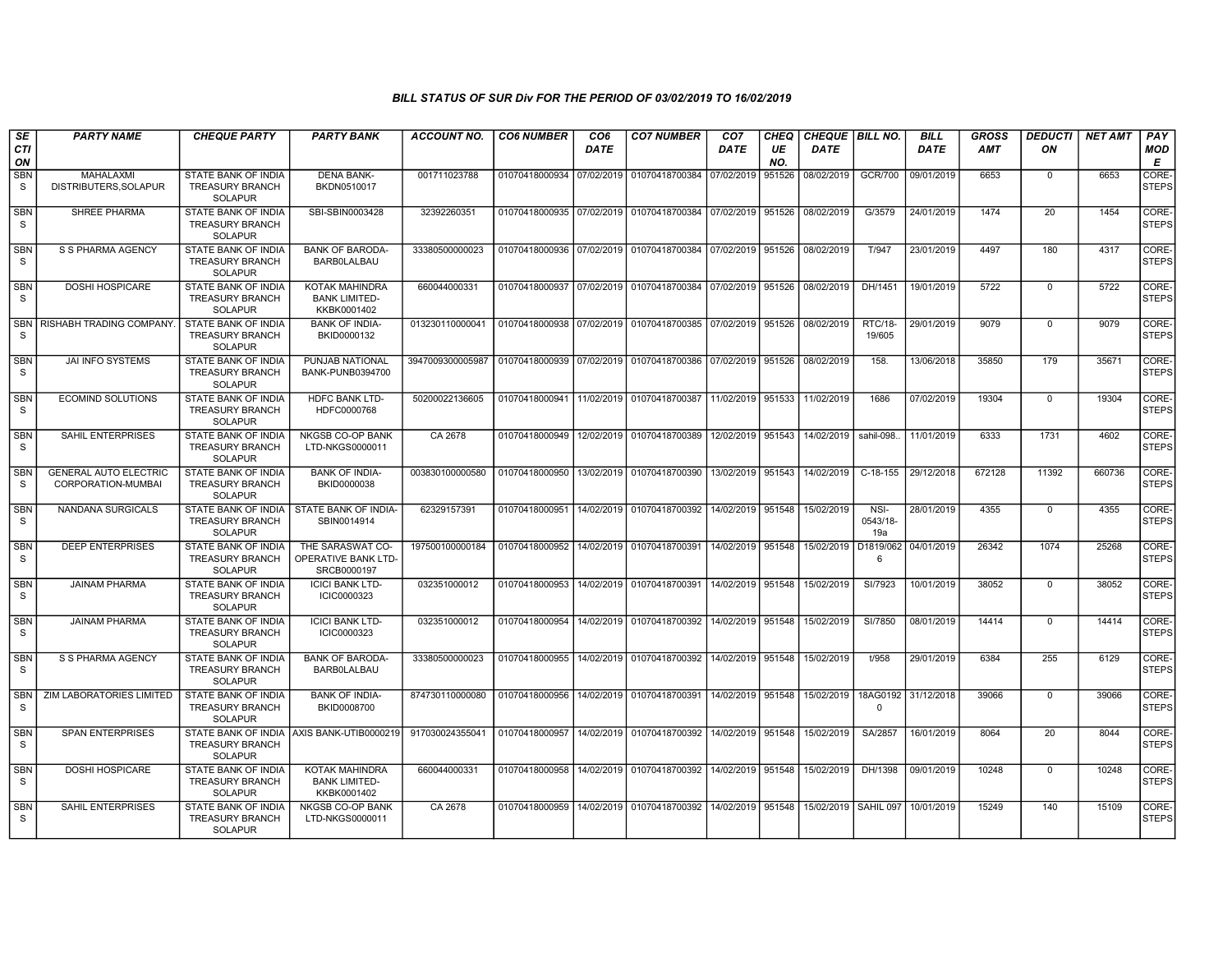| SE<br><b>CTI</b>      | <b>PARTY NAME</b>                                  | <b>CHEQUE PARTY</b>                                                                      | <b>PARTY BANK</b>                                      | <b>ACCOUNT NO.</b> | <b>CO6 NUMBER</b>         | CO <sub>6</sub><br><b>DATE</b> | <b>CO7 NUMBER</b>                                          | CO <sub>7</sub><br><b>DATE</b> | CHEQ<br>UE    | <b>CHEQUE   BILL NO.</b><br><b>DATE</b> |                          | <b>BILL</b><br><b>DATE</b> | GROSS<br>AMT | <b>DEDUCTI</b><br>ON | <b>NET AMT</b> | PAY<br><b>MOD</b>          |
|-----------------------|----------------------------------------------------|------------------------------------------------------------------------------------------|--------------------------------------------------------|--------------------|---------------------------|--------------------------------|------------------------------------------------------------|--------------------------------|---------------|-----------------------------------------|--------------------------|----------------------------|--------------|----------------------|----------------|----------------------------|
| ON<br><b>SBN</b><br>S | MAHALAXMI<br>DISTRIBUTERS.SOLAPUR                  | STATE BANK OF INDIA<br><b>TREASURY BRANCH</b>                                            | <b>DENA BANK-</b><br>BKDN0510017                       | 001711023788       | 01070418000934            | 07/02/2019                     | 01070418700384                                             | 07/02/2019                     | NO.<br>951526 | 08/02/2019                              | <b>GCR/700</b>           | 09/01/2019                 | 6653         | $\mathbf 0$          | 6653           | E<br>CORE-<br><b>STEPS</b> |
| <b>SBN</b><br>S.      | <b>SHREE PHARMA</b>                                | <b>SOLAPUR</b><br><b>STATE BANK OF INDIA</b><br><b>TREASURY BRANCH</b><br><b>SOLAPUR</b> | SBI-SBIN0003428                                        | 32392260351        |                           |                                | 01070418000935 07/02/2019 01070418700384                   | 07/02/2019                     | 951526        | 08/02/2019                              | G/3579                   | 24/01/2019                 | 1474         | $\overline{20}$      | 1454           | CORE-<br><b>STEPS</b>      |
| <b>SBN</b><br>S       | S S PHARMA AGENCY                                  | STATE BANK OF INDIA<br><b>TREASURY BRANCH</b><br><b>SOLAPUR</b>                          | <b>BANK OF BARODA-</b><br><b>BARB0LALBAU</b>           | 33380500000023     |                           |                                | 01070418000936 07/02/2019 01070418700384                   | 07/02/2019                     | 951526        | 08/02/2019                              | T/947                    | 23/01/2019                 | 4497         | 180                  | 4317           | CORE-<br>STEPS             |
| <b>SBN</b><br>S.      | <b>DOSHI HOSPICARE</b>                             | <b>STATE BANK OF INDIA</b><br><b>TREASURY BRANCH</b><br><b>SOLAPUR</b>                   | KOTAK MAHINDRA<br><b>BANK LIMITED-</b><br>KKBK0001402  | 660044000331       |                           |                                | 01070418000937 07/02/2019 01070418700384 07/02/2019        |                                | 951526        | 08/02/2019                              | DH/1451                  | 19/01/2019                 | 5722         | $\mathbf 0$          | 5722           | CORE-<br><b>STEPS</b>      |
| <b>SBN</b><br>S.      | <b>RISHABH TRADING COMPANY</b>                     | STATE BANK OF INDIA<br><b>TREASURY BRANCH</b><br><b>SOLAPUR</b>                          | <b>BANK OF INDIA-</b><br>BKID0000132                   | 013230110000041    |                           |                                | 01070418000938 07/02/2019 01070418700385                   | 07/02/2019                     | 951526        | 08/02/2019                              | <b>RTC/18-</b><br>19/605 | 29/01/2019                 | 9079         | $\mathbf 0$          | 9079           | CORE-<br>STEPS             |
| <b>SBN</b><br>S.      | <b>JAI INFO SYSTEMS</b>                            | STATE BANK OF INDIA<br><b>TREASURY BRANCH</b><br><b>SOLAPUR</b>                          | PUNJAB NATIONAL<br>BANK-PUNB0394700                    | 3947009300005987   | 01070418000939 07/02/2019 |                                | 01070418700386                                             | 07/02/2019                     | 951526        | 08/02/2019                              | 158.                     | 13/06/2018                 | 35850        | 179                  | 35671          | CORE-<br><b>STEPS</b>      |
| SBN<br>S.             | ECOMIND SOLUTIONS                                  | STATE BANK OF INDIA<br><b>TREASURY BRANCH</b><br><b>SOLAPUR</b>                          | HDFC BANK LTD-<br>HDFC0000768                          | 50200022136605     | 01070418000941 11/02/2019 |                                | 01070418700387                                             | 11/02/2019                     | 951533        | 11/02/2019                              | 1686                     | 07/02/2019                 | 19304        | $\mathbf 0$          | 19304          | CORE-<br><b>STEPS</b>      |
| <b>SBN</b><br>S.      | <b>SAHIL ENTERPRISES</b>                           | <b>STATE BANK OF INDIA</b><br><b>TREASURY BRANCH</b><br><b>SOLAPUR</b>                   | <b>NKGSB CO-OP BANK</b><br>LTD-NKGS0000011             | CA 2678            |                           |                                | 01070418000949 12/02/2019 01070418700389                   | 12/02/2019                     | 951543        | 14/02/2019                              | sahil-098.               | 11/01/2019                 | 6333         | 1731                 | 4602           | CORE-<br><b>STEPS</b>      |
| <b>SBN</b><br>S       | <b>GENERAL AUTO ELECTRIC</b><br>CORPORATION-MUMBAI | STATE BANK OF INDIA<br><b>TREASURY BRANCH</b><br><b>SOLAPUR</b>                          | <b>BANK OF INDIA-</b><br>BKID0000038                   | 003830100000580    | 01070418000950            |                                | 13/02/2019 01070418700390                                  | 13/02/2019                     | 951543        | 14/02/2019                              | $C-18-155$               | 29/12/2018                 | 672128       | 11392                | 660736         | CORE-<br><b>STEPS</b>      |
| <b>SBN</b><br>S.      | NANDANA SURGICALS                                  | <b>STATE BANK OF INDIA</b><br><b>TREASURY BRANCH</b><br><b>SOLAPUR</b>                   | STATE BANK OF INDIA-<br>SBIN0014914                    | 62329157391        | 01070418000951            |                                | 14/02/2019 01070418700392                                  | 14/02/2019                     | 951548        | 15/02/2019                              | NSI-<br>0543/18-<br>19a  | 28/01/2019                 | 4355         | $\mathbf 0$          | 4355           | CORE-<br><b>STEPS</b>      |
| <b>SBN</b><br>S.      | <b>DEEP ENTERPRISES</b>                            | <b>STATE BANK OF INDIA</b><br><b>TREASURY BRANCH</b><br><b>SOLAPUR</b>                   | THE SARASWAT CO-<br>OPERATIVE BANK LTD-<br>SRCB0000197 | 197500100000184    | 01070418000952            |                                | 14/02/2019 01070418700391                                  | 14/02/2019                     | 951548        | 15/02/2019                              | 6                        | D1819/062 04/01/2019       | 26342        | 1074                 | 25268          | CORE-<br><b>STEPS</b>      |
| <b>SBN</b><br>S.      | <b>JAINAM PHARMA</b>                               | STATE BANK OF INDIA<br><b>TREASURY BRANCH</b><br><b>SOLAPUR</b>                          | <b>ICICI BANK LTD-</b><br>ICIC0000323                  | 032351000012       | 01070418000953            |                                | 14/02/2019 01070418700391                                  | 14/02/2019                     | 951548        | 15/02/2019                              | SI/7923                  | 10/01/2019                 | 38052        | $\mathbf 0$          | 38052          | CORE-<br><b>STEPS</b>      |
| <b>SBN</b><br>S       | <b>JAINAM PHARMA</b>                               | <b>STATE BANK OF INDIA</b><br><b>TREASURY BRANCH</b><br><b>SOLAPUR</b>                   | <b>ICICI BANK LTD-</b><br>ICIC0000323                  | 032351000012       | 01070418000954            |                                | 14/02/2019 01070418700392                                  | 14/02/2019                     | 951548        | 15/02/2019                              | SI/7850                  | 08/01/2019                 | 14414        | $\mathbf 0$          | 14414          | CORE-<br><b>STEPS</b>      |
| <b>SBN</b><br>S       | S S PHARMA AGENCY                                  | <b>STATE BANK OF INDIA</b><br><b>TREASURY BRANCH</b><br><b>SOLAPUR</b>                   | <b>BANK OF BARODA-</b><br><b>BARBOLALBAU</b>           | 33380500000023     | 01070418000955            |                                | 14/02/2019 01070418700392                                  | 14/02/2019                     | 951548        | 15/02/2019                              | t/958                    | 29/01/2019                 | 6384         | 255                  | 6129           | CORE-<br>STEPS             |
| <b>SBN</b><br>S       | <b>ZIM LABORATORIES LIMITED</b>                    | STATE BANK OF INDIA<br><b>TREASURY BRANCH</b><br><b>SOLAPUR</b>                          | <b>BANK OF INDIA-</b><br>BKID0008700                   | 874730110000080    | 01070418000956            |                                | 14/02/2019 01070418700391                                  | 14/02/2019 951548              |               | 15/02/2019                              | $\Omega$                 | 18AG0192 31/12/2018        | 39066        | $\mathbf 0$          | 39066          | CORE-<br>STEPS             |
| <b>SBN</b><br>S.      | <b>SPAN ENTERPRISES</b>                            | <b>TREASURY BRANCH</b><br><b>SOLAPUR</b>                                                 | STATE BANK OF INDIA LAXIS BANK-UTIB0000219             | 917030024355041    | 01070418000957            |                                | 14/02/2019 01070418700392                                  | 14/02/2019                     | 951548        | 15/02/2019                              | SA/2857                  | 16/01/2019                 | 8064         | 20                   | 8044           | CORE-<br><b>STEPS</b>      |
| <b>SBN</b><br>S       | <b>DOSHI HOSPICARE</b>                             | <b>STATE BANK OF INDIA</b><br><b>TREASURY BRANCH</b><br><b>SOLAPUR</b>                   | KOTAK MAHINDRA<br><b>BANK LIMITED-</b><br>KKBK0001402  | 660044000331       | 01070418000958            |                                | 14/02/2019 01070418700392                                  | 14/02/2019                     | 951548        | 15/02/2019                              | DH/1398                  | 09/01/2019                 | 10248        | 0                    | 10248          | CORE-<br><b>STEPS</b>      |
| <b>SBN</b><br>S.      | <b>SAHIL ENTERPRISES</b>                           | STATE BANK OF INDIA<br>TREASURY BRANCH<br><b>SOLAPUR</b>                                 | <b>NKGSB CO-OP BANK</b><br>LTD-NKGS0000011             | CA 2678            |                           |                                | 01070418000959 14/02/2019 01070418700392 14/02/2019 951548 |                                |               | 15/02/2019 SAHIL 097                    |                          | 10/01/2019                 | 15249        | 140                  | 15109          | CORE-<br><b>STEPS</b>      |